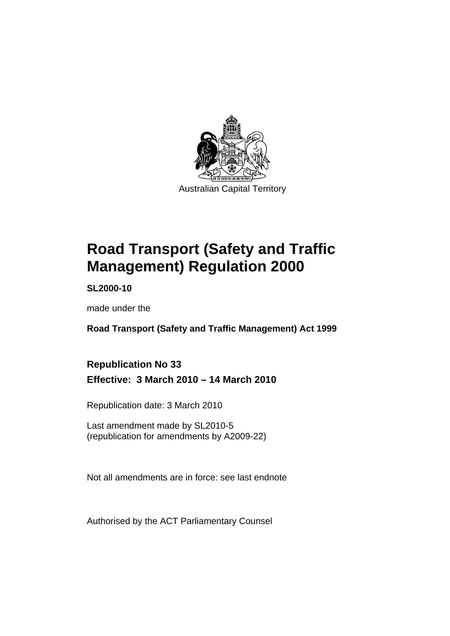

# **[Road Transport \(Safety and Traffic](#page-10-0)  [Management\) Regulation 2000](#page-10-0)**

**SL2000-10** 

made under the

**[Road Transport \(Safety and Traffic Management\) Act 1999](#page-10-0)** 

# **Republication No 33 Effective: 3 March 2010 – 14 March 2010**

Republication date: 3 March 2010

Last amendment made by SL2010-5 (republication for amendments by A2009-22)

Not all amendments are in force: see last endnote

Authorised by the ACT Parliamentary Counsel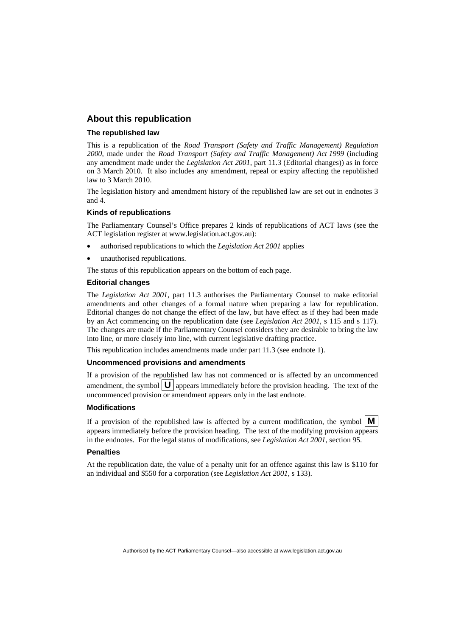### **About this republication**

#### **The republished law**

This is a republication of the *Road Transport (Safety and Traffic Management) Regulation 2000*, made under the *[Road Transport \(Safety and Traffic Management\) Act 1999](#page-10-0)* (including any amendment made under the *Legislation Act 2001*, part 11.3 (Editorial changes)) as in force on 3 March 2010*.* It also includes any amendment, repeal or expiry affecting the republished law to 3 March 2010.

The legislation history and amendment history of the republished law are set out in endnotes 3 and 4.

#### **Kinds of republications**

The Parliamentary Counsel's Office prepares 2 kinds of republications of ACT laws (see the ACT legislation register at www.legislation.act.gov.au):

- authorised republications to which the *Legislation Act 2001* applies
- unauthorised republications.

The status of this republication appears on the bottom of each page.

#### **Editorial changes**

The *Legislation Act 2001*, part 11.3 authorises the Parliamentary Counsel to make editorial amendments and other changes of a formal nature when preparing a law for republication. Editorial changes do not change the effect of the law, but have effect as if they had been made by an Act commencing on the republication date (see *Legislation Act 2001*, s 115 and s 117). The changes are made if the Parliamentary Counsel considers they are desirable to bring the law into line, or more closely into line, with current legislative drafting practice.

This republication includes amendments made under part 11.3 (see endnote 1).

#### **Uncommenced provisions and amendments**

If a provision of the republished law has not commenced or is affected by an uncommenced amendment, the symbol  $\mathbf{U}$  appears immediately before the provision heading. The text of the uncommenced provision or amendment appears only in the last endnote.

#### **Modifications**

If a provision of the republished law is affected by a current modification, the symbol  $\vert \mathbf{M} \vert$ appears immediately before the provision heading. The text of the modifying provision appears in the endnotes. For the legal status of modifications, see *Legislation Act 2001*, section 95.

#### **Penalties**

At the republication date, the value of a penalty unit for an offence against this law is \$110 for an individual and \$550 for a corporation (see *Legislation Act 2001*, s 133).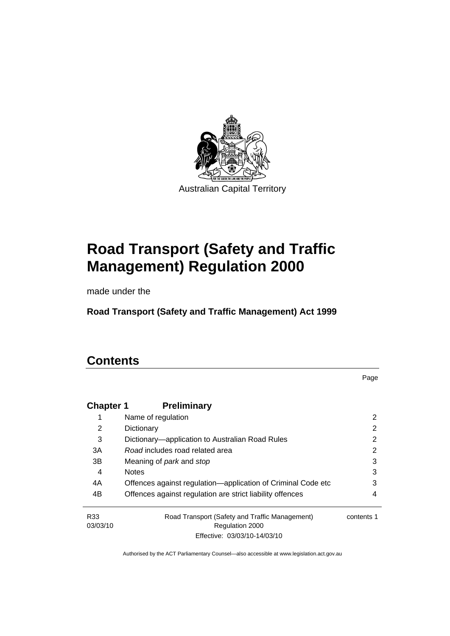

# **[Road Transport \(Safety and Traffic](#page-10-0)  [Management\) Regulation 2000](#page-10-0)**

made under the

**[Road Transport \(Safety and Traffic Management\) Act 1999](#page-10-0)** 

# **Contents**

Page

| <b>Chapter 1</b> | <b>Preliminary</b>                                           |            |
|------------------|--------------------------------------------------------------|------------|
| 1                | Name of regulation                                           | 2          |
| 2                | Dictionary                                                   | 2          |
| 3                | Dictionary-application to Australian Road Rules              | 2          |
| 3A               | Road includes road related area                              | 2          |
| 3B               | Meaning of <i>park</i> and <i>stop</i>                       | 3          |
| 4                | <b>Notes</b>                                                 | 3          |
| 4A               | Offences against regulation-application of Criminal Code etc | 3          |
| 4B               | Offences against regulation are strict liability offences    | 4          |
| R33              | Road Transport (Safety and Traffic Management)               | contents 1 |
| 03/03/10         | Regulation 2000                                              |            |
|                  | Effective: 03/03/10-14/03/10                                 |            |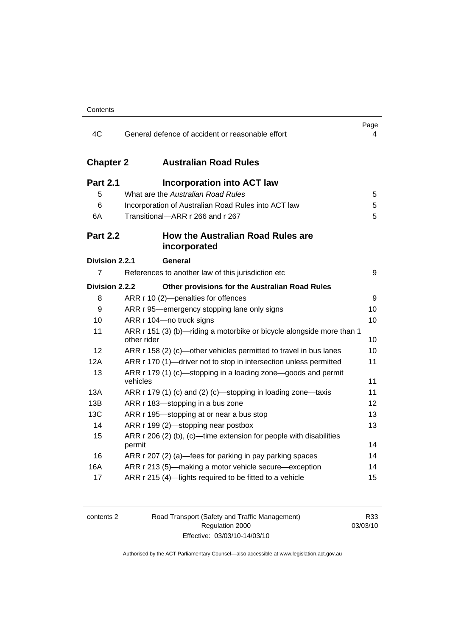| 4C               | General defence of accident or reasonable effort                                     | Page<br>4 |
|------------------|--------------------------------------------------------------------------------------|-----------|
| <b>Chapter 2</b> | <b>Australian Road Rules</b>                                                         |           |
| <b>Part 2.1</b>  | <b>Incorporation into ACT law</b>                                                    |           |
| 5                | What are the Australian Road Rules                                                   | 5         |
| 6                | Incorporation of Australian Road Rules into ACT law                                  | 5         |
| 6A               | Transitional-ARR r 266 and r 267                                                     | 5         |
| <b>Part 2.2</b>  | <b>How the Australian Road Rules are</b><br>incorporated                             |           |
| Division 2.2.1   | General                                                                              |           |
| 7                | References to another law of this jurisdiction etc                                   | 9         |
| Division 2.2.2   | Other provisions for the Australian Road Rules                                       |           |
| 8                | ARR r 10 (2)-penalties for offences                                                  | 9         |
| 9                | ARR r 95—emergency stopping lane only signs                                          | 10        |
| 10               | ARR r 104-no truck signs                                                             | 10        |
| 11               | ARR r 151 (3) (b)—riding a motorbike or bicycle alongside more than 1<br>other rider | 10        |
| 12               | ARR r 158 (2) (c)-other vehicles permitted to travel in bus lanes                    | 10        |
| 12A              | ARR r 170 (1)-driver not to stop in intersection unless permitted                    | 11        |
| 13               | ARR r 179 (1) (c)—stopping in a loading zone—goods and permit<br>vehicles            | 11        |
| 13A              | ARR r 179 (1) (c) and (2) (c)-stopping in loading zone-taxis                         | 11        |
| 13B              | ARR r 183-stopping in a bus zone                                                     | 12        |
| <b>13C</b>       | ARR r 195—stopping at or near a bus stop                                             | 13        |
| 14               | ARR r 199 (2)-stopping near postbox                                                  | 13        |
| 15               | ARR r 206 (2) (b), (c)—time extension for people with disabilities<br>permit         | 14        |
| 16               | ARR r 207 (2) (a)—fees for parking in pay parking spaces                             | 14        |
| 16A              | ARR r 213 (5)-making a motor vehicle secure-exception                                | 14        |
| 17               | ARR r 215 (4)-lights required to be fitted to a vehicle                              | 15        |

2 Road Transport (Safety and Traffic Management) Regulation 2000 Effective: 03/03/10-14/03/10

R33 03/03/10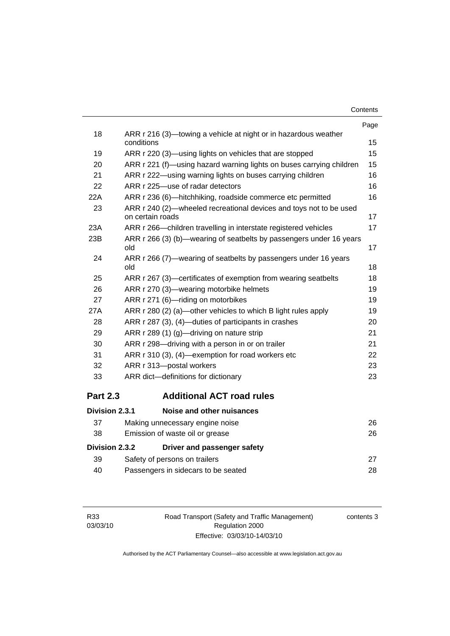| Contents |  |
|----------|--|
|----------|--|

|                 |                                                                                        | Page |
|-----------------|----------------------------------------------------------------------------------------|------|
| 18              | ARR r 216 (3)—towing a vehicle at night or in hazardous weather<br>conditions          | 15   |
| 19              | ARR r 220 (3)—using lights on vehicles that are stopped                                | 15   |
| 20              | ARR r 221 (f)—using hazard warning lights on buses carrying children                   | 15   |
| 21              | ARR r 222—using warning lights on buses carrying children                              | 16   |
| 22              | ARR r 225-use of radar detectors                                                       | 16   |
| 22A             | ARR r 236 (6)—hitchhiking, roadside commerce etc permitted                             | 16   |
| 23              | ARR r 240 (2)—wheeled recreational devices and toys not to be used<br>on certain roads | 17   |
| 23A             | ARR r 266—children travelling in interstate registered vehicles                        | 17   |
| 23B             | ARR r 266 (3) (b)—wearing of seatbelts by passengers under 16 years<br>old             | 17   |
| 24              | ARR r 266 (7)—wearing of seatbelts by passengers under 16 years<br>old                 | 18   |
| 25              | ARR r 267 (3)—certificates of exemption from wearing seatbelts                         | 18   |
| 26              | ARR r 270 (3)—wearing motorbike helmets                                                | 19   |
| 27              | ARR r 271 (6)-riding on motorbikes                                                     | 19   |
| 27A             | ARR r 280 (2) (a)—other vehicles to which B light rules apply                          | 19   |
| 28              | ARR r 287 (3), (4)—duties of participants in crashes                                   | 20   |
| 29              | ARR r 289 (1) (g)—driving on nature strip                                              | 21   |
| 30              | ARR r 298-driving with a person in or on trailer                                       | 21   |
| 31              | ARR r 310 (3), (4)—exemption for road workers etc                                      | 22   |
| 32              | ARR r 313-postal workers                                                               | 23   |
| 33              | ARR dict-definitions for dictionary                                                    | 23   |
| <b>Part 2.3</b> | <b>Additional ACT road rules</b>                                                       |      |
| Division 2.3.1  | Noise and other nuisances                                                              |      |

| 37             | Making unnecessary engine noise     | 26 |
|----------------|-------------------------------------|----|
| 38             | Emission of waste oil or grease     | 26 |
| Division 2.3.2 | Driver and passenger safety         |    |
| -39            | Safety of persons on trailers       | 27 |
| 40             | Passengers in sidecars to be seated | 28 |

Road Transport (Safety and Traffic Management) Regulation 2000 Effective: 03/03/10-14/03/10

contents 3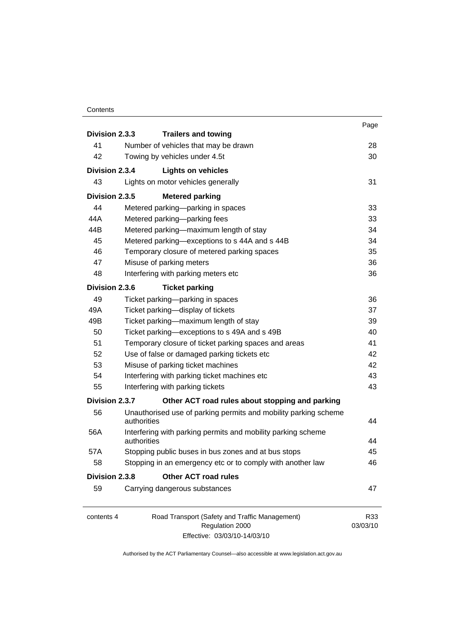#### **Contents**

|                |                                                                             | Page     |
|----------------|-----------------------------------------------------------------------------|----------|
| Division 2.3.3 | <b>Trailers and towing</b>                                                  |          |
| 41             | Number of vehicles that may be drawn                                        | 28       |
| 42             | Towing by vehicles under 4.5t                                               | 30       |
| Division 2.3.4 | <b>Lights on vehicles</b>                                                   |          |
| 43             | Lights on motor vehicles generally                                          | 31       |
| Division 2.3.5 | <b>Metered parking</b>                                                      |          |
| 44             | Metered parking-parking in spaces                                           | 33       |
| 44A            | Metered parking-parking fees                                                | 33       |
| 44B            | Metered parking-maximum length of stay                                      | 34       |
| 45             | Metered parking-exceptions to s 44A and s 44B                               | 34       |
| 46             | Temporary closure of metered parking spaces                                 | 35       |
| 47             | Misuse of parking meters                                                    | 36       |
| 48             | Interfering with parking meters etc                                         | 36       |
| Division 2.3.6 | <b>Ticket parking</b>                                                       |          |
| 49             | Ticket parking-parking in spaces                                            | 36       |
| 49A            | Ticket parking-display of tickets                                           | 37       |
| 49B            | Ticket parking-maximum length of stay                                       | 39       |
| 50             | Ticket parking-exceptions to s 49A and s 49B                                | 40       |
| 51             | Temporary closure of ticket parking spaces and areas                        | 41       |
| 52             | Use of false or damaged parking tickets etc                                 | 42       |
| 53             | Misuse of parking ticket machines                                           | 42       |
| 54             | Interfering with parking ticket machines etc                                | 43       |
| 55             | Interfering with parking tickets                                            | 43       |
| Division 2.3.7 | Other ACT road rules about stopping and parking                             |          |
| 56             | Unauthorised use of parking permits and mobility parking scheme             |          |
|                | authorities                                                                 | 44       |
| 56A            | Interfering with parking permits and mobility parking scheme<br>authorities | 44       |
| 57A            | Stopping public buses in bus zones and at bus stops                         | 45       |
| 58             | Stopping in an emergency etc or to comply with another law                  | 46       |
| Division 2.3.8 | <b>Other ACT road rules</b>                                                 |          |
| 59             | Carrying dangerous substances                                               | 47       |
| contents 4     | Road Transport (Safety and Traffic Management)                              | R33      |
|                | Regulation 2000                                                             | 03/03/10 |

Effective: 03/03/10-14/03/10

03/03/10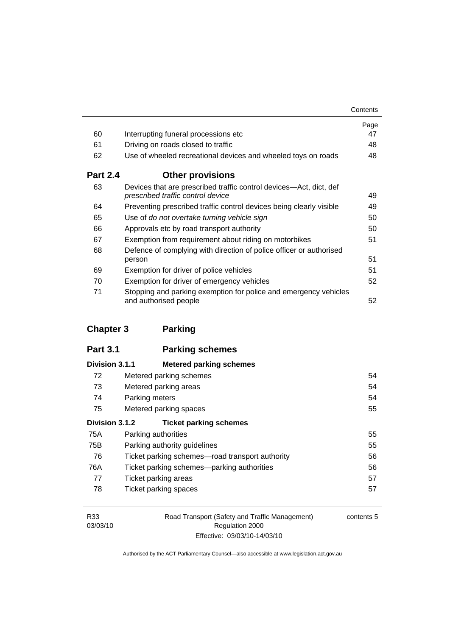|                 |                                                                                                         | Contents |
|-----------------|---------------------------------------------------------------------------------------------------------|----------|
|                 |                                                                                                         | Page     |
| 60              | Interrupting funeral processions etc                                                                    | 47       |
| 61              | Driving on roads closed to traffic                                                                      | 48       |
| 62              | Use of wheeled recreational devices and wheeled toys on roads                                           | 48       |
| <b>Part 2.4</b> | <b>Other provisions</b>                                                                                 |          |
| 63              | Devices that are prescribed traffic control devices—Act, dict, def<br>prescribed traffic control device | 49       |
| 64              | Preventing prescribed traffic control devices being clearly visible                                     | 49       |
| 65              | Use of do not overtake turning vehicle sign                                                             | 50       |
| 66              | Approvals etc by road transport authority                                                               | 50       |
| 67              | Exemption from requirement about riding on motorbikes                                                   | 51       |
| 68              | Defence of complying with direction of police officer or authorised                                     |          |
|                 | person                                                                                                  | 51       |
| 69              | Exemption for driver of police vehicles                                                                 | 51       |
| 70              | Exemption for driver of emergency vehicles                                                              | 52       |
| 71              | Stopping and parking exemption for police and emergency vehicles<br>and authorised people               | 52       |

# **Chapter 3 Parking**

| <b>Part 3.1</b> | <b>Parking schemes</b> |
|-----------------|------------------------|
|-----------------|------------------------|

| Division 3.1.1 | <b>Metered parking schemes</b>                  |    |
|----------------|-------------------------------------------------|----|
| 72             | Metered parking schemes                         | 54 |
| 73             | Metered parking areas                           | 54 |
| 74             | Parking meters                                  | 54 |
| 75             | Metered parking spaces                          | 55 |
| Division 3.1.2 | <b>Ticket parking schemes</b>                   |    |
| 75A            | Parking authorities                             | 55 |
| 75B            | Parking authority guidelines                    | 55 |
| 76             | Ticket parking schemes—road transport authority | 56 |
| 76A            | Ticket parking schemes—parking authorities      | 56 |
| 77             | Ticket parking areas                            | 57 |
| 78             | Ticket parking spaces                           | 57 |

| R33      | Road Transport (Safety and Traffic Management) | contents 5 |
|----------|------------------------------------------------|------------|
| 03/03/10 | Regulation 2000                                |            |
|          | Effective: 03/03/10-14/03/10                   |            |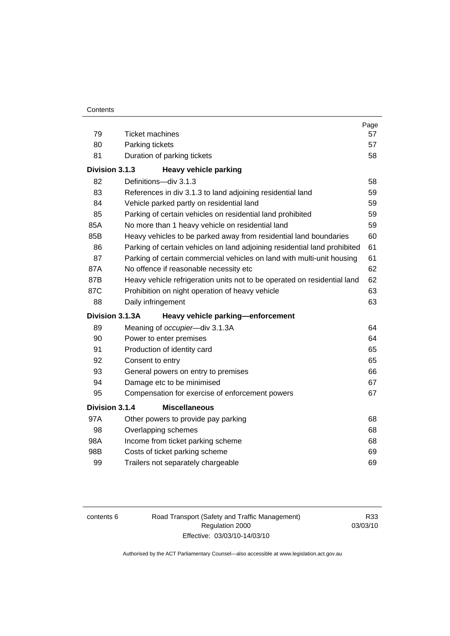| 79              | <b>Ticket machines</b>                                                    | Page<br>57 |
|-----------------|---------------------------------------------------------------------------|------------|
| 80              | Parking tickets                                                           | 57         |
| 81              | Duration of parking tickets                                               | 58         |
|                 |                                                                           |            |
| Division 3.1.3  | <b>Heavy vehicle parking</b>                                              |            |
| 82              | Definitions-div 3.1.3                                                     | 58         |
| 83              | References in div 3.1.3 to land adjoining residential land                | 59         |
| 84              | Vehicle parked partly on residential land                                 | 59         |
| 85              | Parking of certain vehicles on residential land prohibited                | 59         |
| 85A             | No more than 1 heavy vehicle on residential land                          | 59         |
| 85B             | Heavy vehicles to be parked away from residential land boundaries         | 60         |
| 86              | Parking of certain vehicles on land adjoining residential land prohibited | 61         |
| 87              | Parking of certain commercial vehicles on land with multi-unit housing    | 61         |
| 87A             | No offence if reasonable necessity etc                                    | 62         |
| 87B             | Heavy vehicle refrigeration units not to be operated on residential land  | 62         |
| 87C             | Prohibition on night operation of heavy vehicle                           | 63         |
| 88              | Daily infringement                                                        | 63         |
| Division 3.1.3A | Heavy vehicle parking-enforcement                                         |            |
| 89              | Meaning of occupier-div 3.1.3A                                            | 64         |
| 90              | Power to enter premises                                                   | 64         |
| 91              | Production of identity card                                               | 65         |
| 92              | Consent to entry                                                          | 65         |
| 93              | General powers on entry to premises                                       | 66         |
| 94              | Damage etc to be minimised                                                | 67         |
| 95              | Compensation for exercise of enforcement powers                           | 67         |
| Division 3.1.4  | <b>Miscellaneous</b>                                                      |            |
| 97A             | Other powers to provide pay parking                                       | 68         |
| 98              | Overlapping schemes                                                       | 68         |
| 98A             | Income from ticket parking scheme                                         | 68         |
| 98B             | Costs of ticket parking scheme                                            | 69         |
| 99              | Trailers not separately chargeable                                        | 69         |

contents 6 Road Transport (Safety and Traffic Management) Regulation 2000 Effective: 03/03/10-14/03/10

R33 03/03/10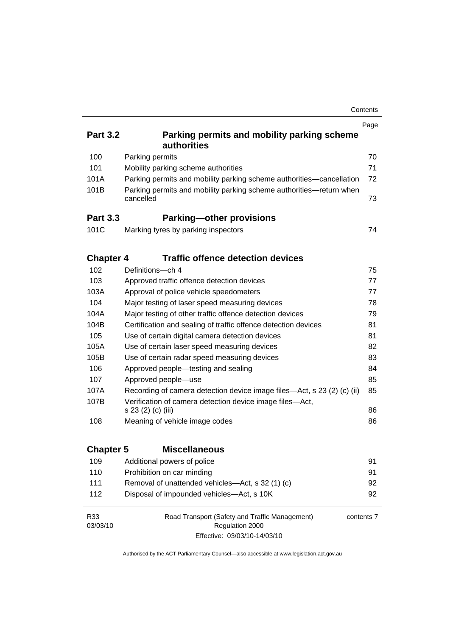| Contents |
|----------|
|----------|

| <b>Part 3.2</b>  | Parking permits and mobility parking scheme<br><b>authorities</b>                                               | Page |
|------------------|-----------------------------------------------------------------------------------------------------------------|------|
| 100              | Parking permits                                                                                                 | 70   |
| 101              | Mobility parking scheme authorities                                                                             | 71   |
| 101A             | Parking permits and mobility parking scheme authorities-cancellation                                            | 72   |
| 101B             | Parking permits and mobility parking scheme authorities-return when<br>cancelled                                | 73   |
| <b>Part 3.3</b>  | <b>Parking-other provisions</b>                                                                                 |      |
| 101C             | Marking tyres by parking inspectors                                                                             | 74   |
| <b>Chapter 4</b> | <b>Traffic offence detection devices</b>                                                                        |      |
| 102              | Definitions-ch 4                                                                                                | 75   |
| 103              | Approved traffic offence detection devices                                                                      | 77   |
| 103A             | Approval of police vehicle speedometers                                                                         | 77   |
| 104              | Major testing of laser speed measuring devices                                                                  | 78   |
| 104A             | Major testing of other traffic offence detection devices                                                        | 79   |
| 104B             | Certification and sealing of traffic offence detection devices                                                  | 81   |
| 105              | Use of certain digital camera detection devices                                                                 | 81   |
| 105A             | Use of certain laser speed measuring devices                                                                    | 82   |
| 105B             | Use of certain radar speed measuring devices                                                                    | 83   |
| 106              | Approved people-testing and sealing                                                                             | 84   |
| 107              | Approved people-use                                                                                             | 85   |
| 107A             | Recording of camera detection device image files—Act, s 23 (2) (c) (ii)                                         | 85   |
| 107B             | Verification of camera detection device image files-Act,<br>s 23 (2) (c) (iii)                                  | 86   |
| 108              | Meaning of vehicle image codes                                                                                  | 86   |
| <b>Chapter 5</b> | <b>Miscellaneous</b>                                                                                            |      |
| 109              | Additional powers of police                                                                                     | 91   |
| 110              | Prohibition on car minding                                                                                      | 91   |
| 111              | Removal of unattended vehicles-Act, s 32 (1) (c)                                                                | 92   |
| 112              | Disposal of impounded vehicles-Act, s 10K                                                                       | 92   |
| R33<br>03/03/10  | Road Transport (Safety and Traffic Management)<br>contents 7<br>Regulation 2000<br>Effective: 03/03/10-14/03/10 |      |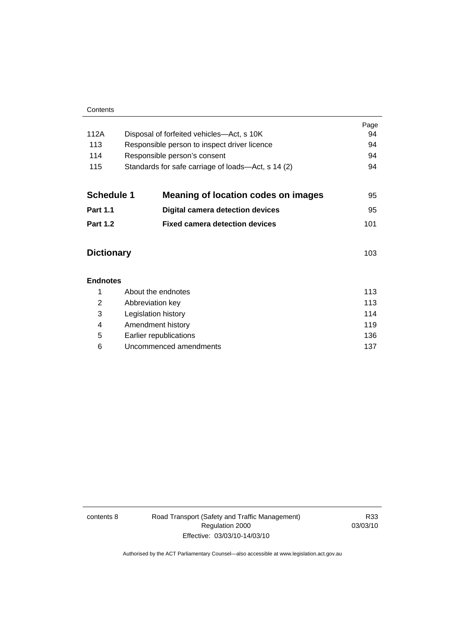|                 |                                                    | Page |  |
|-----------------|----------------------------------------------------|------|--|
| 112A            | Disposal of forfeited vehicles—Act, s 10K          |      |  |
| 113             | Responsible person to inspect driver licence       | 94   |  |
| 114             | Responsible person's consent                       | 94   |  |
| 115             | Standards for safe carriage of loads—Act, s 14 (2) |      |  |
| Schedule 1      | <b>Meaning of location codes on images</b>         | 95   |  |
| <b>Part 1.1</b> | Digital camera detection devices                   | 95   |  |
| <b>Part 1.2</b> | <b>Fixed camera detection devices</b>              | 101  |  |
|                 |                                                    |      |  |

# **Dictionary** [103](#page-112-0)

| <b>Endnotes</b> |                        |     |
|-----------------|------------------------|-----|
|                 | About the endnotes     | 113 |
| 2               | Abbreviation key       | 113 |
| 3               | Legislation history    | 114 |
| 4               | Amendment history      | 119 |
| 5               | Earlier republications | 136 |
| 6               | Uncommenced amendments | 137 |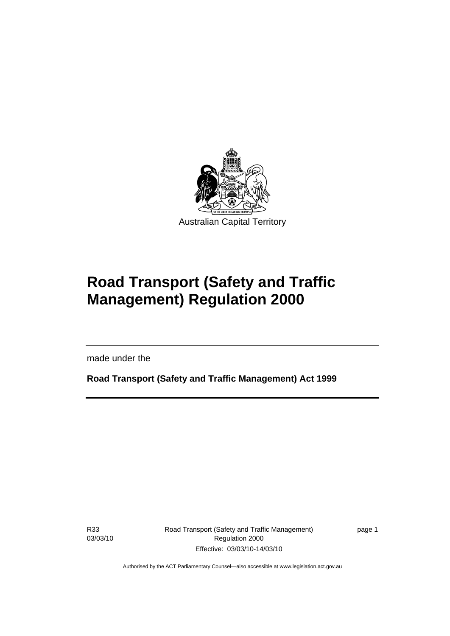<span id="page-10-0"></span>

# **Road Transport (Safety and Traffic Management) Regulation 2000**

made under the

**Road Transport (Safety and Traffic Management) Act 1999** 

R33 03/03/10

l

Road Transport (Safety and Traffic Management) Regulation 2000 Effective: 03/03/10-14/03/10

page 1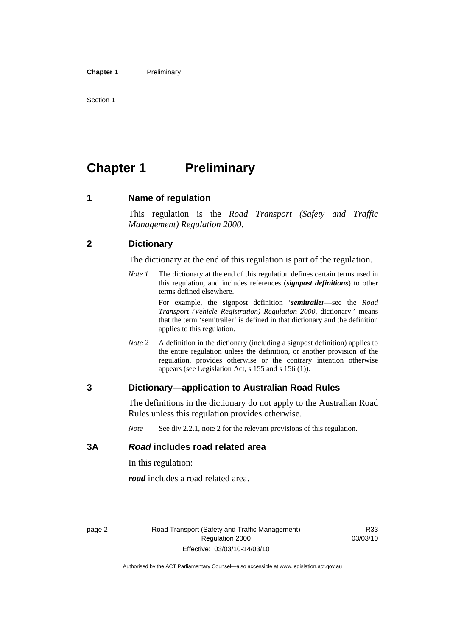<span id="page-11-0"></span>Section 1

# **Chapter 1** Preliminary

### **1 Name of regulation**

This regulation is the *Road Transport (Safety and Traffic Management) Regulation 2000*.

### **2 Dictionary**

The dictionary at the end of this regulation is part of the regulation.

*Note 1* The dictionary at the end of this regulation defines certain terms used in this regulation, and includes references (*signpost definitions*) to other terms defined elsewhere.

> For example, the signpost definition '*semitrailer*—see the *Road Transport (Vehicle Registration) Regulation 2000*, dictionary.' means that the term 'semitrailer' is defined in that dictionary and the definition applies to this regulation.

*Note 2* A definition in the dictionary (including a signpost definition) applies to the entire regulation unless the definition, or another provision of the regulation, provides otherwise or the contrary intention otherwise appears (see Legislation Act, s 155 and s 156 (1)).

### **3 Dictionary—application to Australian Road Rules**

The definitions in the dictionary do not apply to the Australian Road Rules unless this regulation provides otherwise.

*Note* See div 2.2.1, note 2 for the relevant provisions of this regulation.

### **3A** *Road* **includes road related area**

In this regulation:

*road* includes a road related area.

R33 03/03/10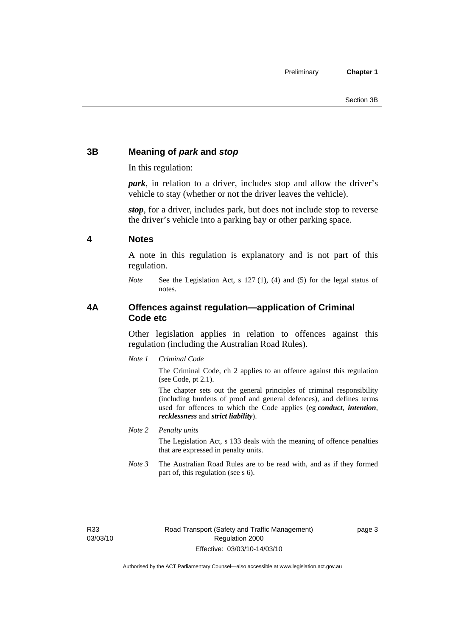# <span id="page-12-0"></span>**3B Meaning of** *park* **and** *stop*

In this regulation:

*park*, in relation to a driver, includes stop and allow the driver's vehicle to stay (whether or not the driver leaves the vehicle).

*stop*, for a driver, includes park, but does not include stop to reverse the driver's vehicle into a parking bay or other parking space.

### **4 Notes**

A note in this regulation is explanatory and is not part of this regulation.

*Note* See the Legislation Act, s 127 (1), (4) and (5) for the legal status of notes.

# **4A Offences against regulation—application of Criminal Code etc**

Other legislation applies in relation to offences against this regulation (including the Australian Road Rules).

*Note 1 Criminal Code*

The Criminal Code, ch 2 applies to an offence against this regulation (see Code, pt 2.1).

The chapter sets out the general principles of criminal responsibility (including burdens of proof and general defences), and defines terms used for offences to which the Code applies (eg *conduct*, *intention*, *recklessness* and *strict liability*).

*Note 2 Penalty units* 

The Legislation Act, s 133 deals with the meaning of offence penalties that are expressed in penalty units.

*Note 3* The Australian Road Rules are to be read with, and as if they formed part of, this regulation (see s 6).

R33 03/03/10 page 3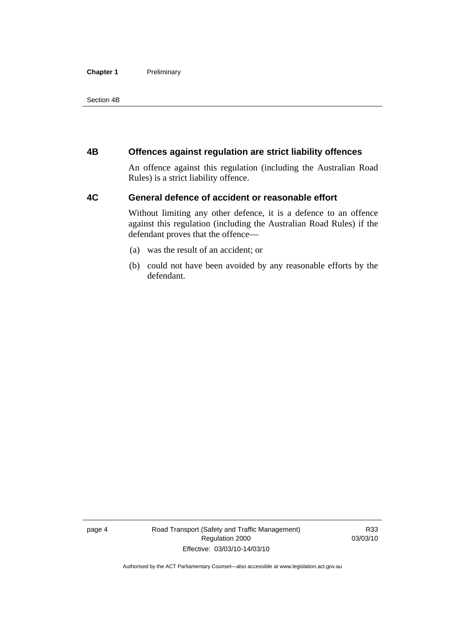#### <span id="page-13-0"></span>**Chapter 1** Preliminary

Section 4B

### **4B Offences against regulation are strict liability offences**

An offence against this regulation (including the Australian Road Rules) is a strict liability offence.

# **4C General defence of accident or reasonable effort**

Without limiting any other defence, it is a defence to an offence against this regulation (including the Australian Road Rules) if the defendant proves that the offence—

- (a) was the result of an accident; or
- (b) could not have been avoided by any reasonable efforts by the defendant.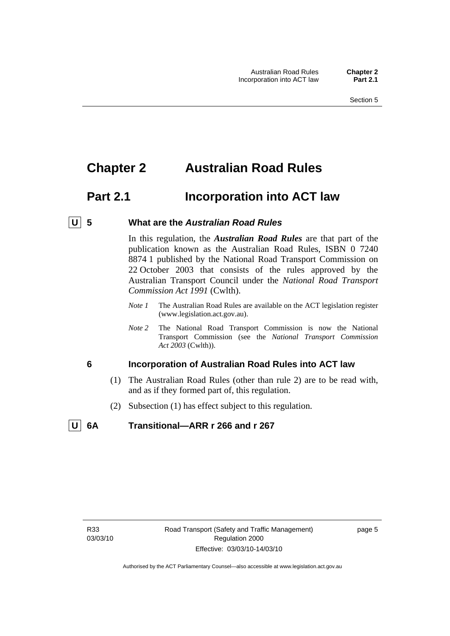# <span id="page-14-0"></span>**Chapter 2 Australian Road Rules**

# **Part 2.1** Incorporation into ACT law

#### **U 5 What are the** *Australian Road Rules*

In this regulation, the *Australian Road Rules* are that part of the publication known as the Australian Road Rules, ISBN 0 7240 8874 1 published by the National Road Transport Commission on 22 October 2003 that consists of the rules approved by the Australian Transport Council under the *National Road Transport Commission Act 1991* (Cwlth).

- *Note 1* The Australian Road Rules are available on the ACT legislation register (www.legislation.act.gov.au).
- *Note 2* The National Road Transport Commission is now the National Transport Commission (see the *National Transport Commission Act 2003* (Cwlth)).

#### **6 Incorporation of Australian Road Rules into ACT law**

- (1) The Australian Road Rules (other than rule 2) are to be read with, and as if they formed part of, this regulation.
- (2) Subsection (1) has effect subject to this regulation.

# **U 6A Transitional—ARR r 266 and r 267**

page 5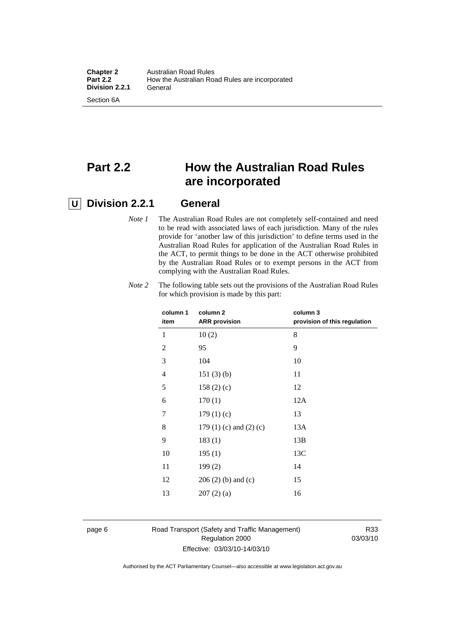# **Part 2.2 How the Australian Road Rules are incorporated**

# **U Division 2.2.1 General**

*Note 1* The Australian Road Rules are not completely self-contained and need to be read with associated laws of each jurisdiction. Many of the rules provide for 'another law of this jurisdiction' to define terms used in the Australian Road Rules for application of the Australian Road Rules in the ACT, to permit things to be done in the ACT otherwise prohibited by the Australian Road Rules or to exempt persons in the ACT from complying with the Australian Road Rules.

| column 1       | column <sub>2</sub>             | column 3                     |
|----------------|---------------------------------|------------------------------|
| item           | <b>ARR</b> provision            | provision of this regulation |
| 1              | 10(2)                           | 8                            |
| $\overline{2}$ | 95                              | 9                            |
| 3              | 104                             | 10                           |
| $\overline{4}$ | 151(3)(b)                       | 11                           |
| 5              | 158(2)(c)                       | 12                           |
| 6              | 170(1)                          | 12A                          |
| 7              | 179(1)(c)                       | 13                           |
| 8              | 179 $(1)$ $(c)$ and $(2)$ $(c)$ | 13A                          |
| 9              | 183(1)                          | 13B                          |
| 10             | 195(1)                          | 13C                          |
| 11             | 199(2)                          | 14                           |
| 12             | $206(2)$ (b) and (c)            | 15                           |
| 13             | 207(2)(a)                       | 16                           |
|                |                                 |                              |

*Note 2* The following table sets out the provisions of the Australian Road Rules for which provision is made by this part:

#### page 6 Road Transport (Safety and Traffic Management) Regulation 2000 Effective: 03/03/10-14/03/10

R33 03/03/10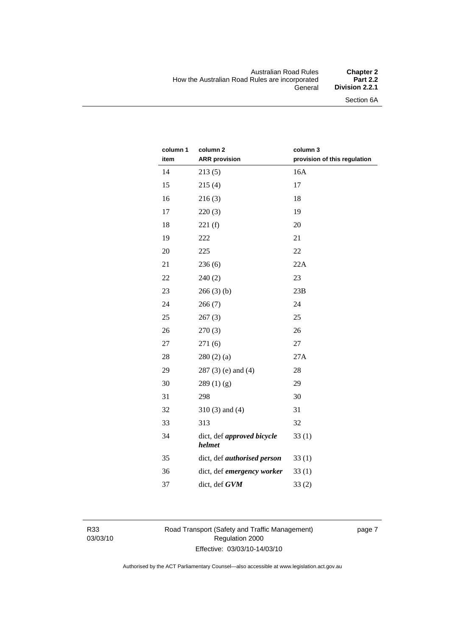#### Australian Road Rules **Chapter 2**  How the Australian Road Rules are incorporated<br>General **Division 2.2.1**

Section 6A

| column 1 | column <sub>2</sub>                  | column 3                     |
|----------|--------------------------------------|------------------------------|
| item     | <b>ARR</b> provision                 | provision of this regulation |
| 14       | 213(5)                               | 16A                          |
| 15       | 215(4)                               | 17                           |
| 16       | 216(3)                               | 18                           |
| 17       | 220(3)                               | 19                           |
| 18       | 221(f)                               | 20                           |
| 19       | 222                                  | 21                           |
| 20       | 225                                  | 22                           |
| 21       | 236(6)                               | 22A                          |
| 22       | 240(2)                               | 23                           |
| 23       | 266(3)(b)                            | 23B                          |
| 24       | 266(7)                               | 24                           |
| 25       | 267(3)                               | 25                           |
| 26       | 270(3)                               | 26                           |
| 27       | 271(6)                               | 27                           |
| 28       | 280(2)(a)                            | 27A                          |
| 29       | $287(3)$ (e) and (4)                 | 28                           |
| 30       | 289(1)(g)                            | 29                           |
| 31       | 298                                  | 30                           |
| 32       | $310(3)$ and $(4)$                   | 31                           |
| 33       | 313                                  | 32                           |
| 34       | dict, def approved bicycle<br>helmet | 33(1)                        |
| 35       | dict, def <i>authorised</i> person   | 33(1)                        |
| 36       | dict, def emergency worker           | 33(1)                        |
| 37       | dict, def GVM                        | 33(2)                        |

R33 03/03/10 Road Transport (Safety and Traffic Management) Regulation 2000 Effective: 03/03/10-14/03/10

page 7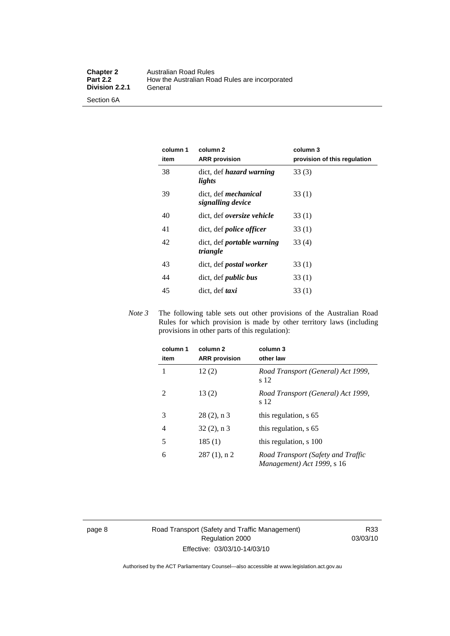| column 1<br>item | column <sub>2</sub><br><b>ARR</b> provision      | column 3<br>provision of this regulation |
|------------------|--------------------------------------------------|------------------------------------------|
| 38               | dict, def <i>hazard</i> warning<br>lights        | 33(3)                                    |
| 39               | dict, def <i>mechanical</i><br>signalling device | 33(1)                                    |
| 40               | dict, def <i>oversize</i> vehicle                | 33(1)                                    |
| 41               | dict, def <i>police</i> officer                  | 33(1)                                    |
| 42               | dict, def <i>portable</i> warning<br>triangle    | 33(4)                                    |
| 43               | dict, def <i>postal</i> worker                   | 33(1)                                    |
| 44               | dict, def <i>public</i> bus                      | 33(1)                                    |
| 45               | dict, def taxi                                   | 33(1)                                    |

*Note 3* The following table sets out other provisions of the Australian Road Rules for which provision is made by other territory laws (including provisions in other parts of this regulation):

| column 1<br>item | column <sub>2</sub><br><b>ARR</b> provision | column 3<br>other law                                            |
|------------------|---------------------------------------------|------------------------------------------------------------------|
| 1                | 12(2)                                       | Road Transport (General) Act 1999,<br>s 12                       |
| 2                | 13(2)                                       | Road Transport (General) Act 1999,<br>s 12                       |
| 3                | $28(2)$ , n 3                               | this regulation, s 65                                            |
| 4                | $32(2)$ , n 3                               | this regulation, s 65                                            |
| 5                | 185(1)                                      | this regulation, s 100                                           |
| 6                | $287(1)$ , n 2                              | Road Transport (Safety and Traffic<br>Management) Act 1999, s 16 |

page 8 Road Transport (Safety and Traffic Management) Regulation 2000 Effective: 03/03/10-14/03/10

R33 03/03/10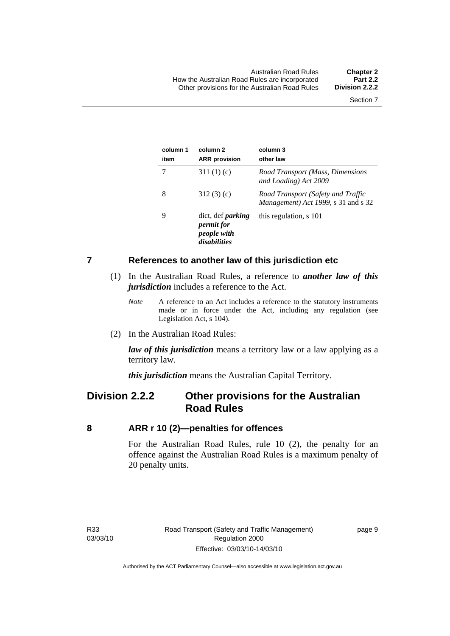<span id="page-18-0"></span>

| column 1<br>item | column <sub>2</sub><br><b>ARR</b> provision                                  | column 3<br>other law                                                     |
|------------------|------------------------------------------------------------------------------|---------------------------------------------------------------------------|
|                  | 311 $(1)(c)$                                                                 | Road Transport (Mass, Dimensions<br>and Loading) Act 2009                 |
| 8                | 312(3)(c)                                                                    | Road Transport (Safety and Traffic<br>Management) Act 1999, s 31 and s 32 |
| 9                | dict, def <i>parking</i><br><i>permit for</i><br>people with<br>disabilities | this regulation, s 101                                                    |

#### **7 References to another law of this jurisdiction etc**

- (1) In the Australian Road Rules, a reference to *another law of this jurisdiction* includes a reference to the Act.
	- *Note* A reference to an Act includes a reference to the statutory instruments made or in force under the Act, including any regulation (see Legislation Act, s 104).
- (2) In the Australian Road Rules:

*law of this jurisdiction* means a territory law or a law applying as a territory law.

*this jurisdiction* means the Australian Capital Territory.

# **Division 2.2.2 Other provisions for the Australian Road Rules**

#### **8 ARR r 10 (2)—penalties for offences**

For the Australian Road Rules, rule 10 (2), the penalty for an offence against the Australian Road Rules is a maximum penalty of 20 penalty units.

page 9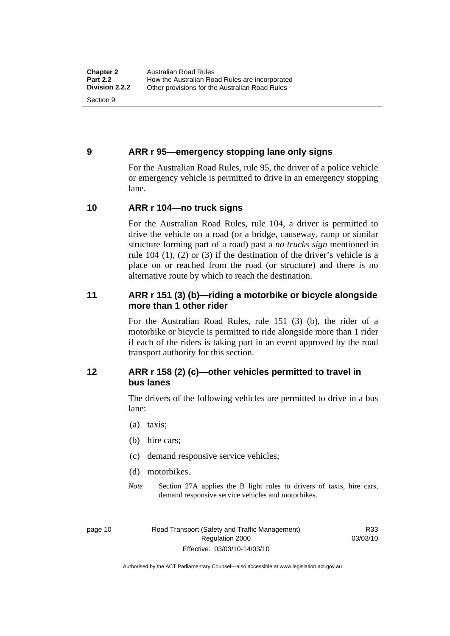# <span id="page-19-0"></span>**9 ARR r 95—emergency stopping lane only signs**

For the Australian Road Rules, rule 95, the driver of a police vehicle or emergency vehicle is permitted to drive in an emergency stopping lane.

### **10 ARR r 104—no truck signs**

For the Australian Road Rules, rule 104, a driver is permitted to drive the vehicle on a road (or a bridge, causeway, ramp or similar structure forming part of a road) past a *no trucks sign* mentioned in rule 104 (1), (2) or (3) if the destination of the driver's vehicle is a place on or reached from the road (or structure) and there is no alternative route by which to reach the destination.

# **11 ARR r 151 (3) (b)—riding a motorbike or bicycle alongside more than 1 other rider**

For the Australian Road Rules, rule 151 (3) (b), the rider of a motorbike or bicycle is permitted to ride alongside more than 1 rider if each of the riders is taking part in an event approved by the road transport authority for this section.

# **12 ARR r 158 (2) (c)—other vehicles permitted to travel in bus lanes**

The drivers of the following vehicles are permitted to drive in a bus lane:

- (a) taxis;
- (b) hire cars;
- (c) demand responsive service vehicles;
- (d) motorbikes.
- *Note* Section 27A applies the B light rules to drivers of taxis, hire cars, demand responsive service vehicles and motorbikes.

page 10 Road Transport (Safety and Traffic Management) Regulation 2000 Effective: 03/03/10-14/03/10

R33 03/03/10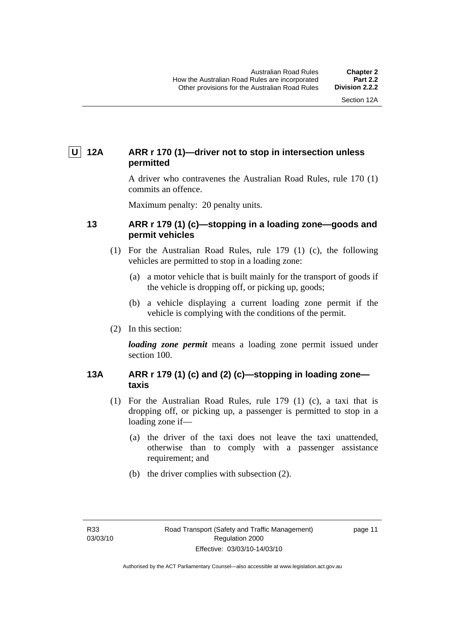# <span id="page-20-0"></span> **U 12A ARR r 170 (1)—driver not to stop in intersection unless permitted**

A driver who contravenes the Australian Road Rules, rule 170 (1) commits an offence.

Maximum penalty: 20 penalty units.

### **13 ARR r 179 (1) (c)—stopping in a loading zone—goods and permit vehicles**

- (1) For the Australian Road Rules, rule 179 (1) (c), the following vehicles are permitted to stop in a loading zone:
	- (a) a motor vehicle that is built mainly for the transport of goods if the vehicle is dropping off, or picking up, goods;
	- (b) a vehicle displaying a current loading zone permit if the vehicle is complying with the conditions of the permit.
- (2) In this section:

*loading zone permit* means a loading zone permit issued under section 100.

# **13A ARR r 179 (1) (c) and (2) (c)—stopping in loading zone taxis**

- (1) For the Australian Road Rules, rule 179 (1) (c), a taxi that is dropping off, or picking up, a passenger is permitted to stop in a loading zone if—
	- (a) the driver of the taxi does not leave the taxi unattended, otherwise than to comply with a passenger assistance requirement; and
	- (b) the driver complies with subsection (2).

page 11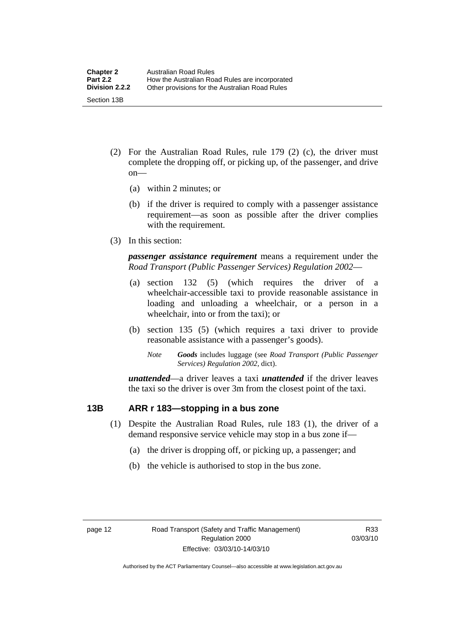- <span id="page-21-0"></span> (2) For the Australian Road Rules, rule 179 (2) (c), the driver must complete the dropping off, or picking up, of the passenger, and drive on—
	- (a) within 2 minutes; or
	- (b) if the driver is required to comply with a passenger assistance requirement—as soon as possible after the driver complies with the requirement.
- (3) In this section:

*passenger assistance requirement* means a requirement under the *Road Transport (Public Passenger Services) Regulation 2002*—

- (a) section 132 (5) (which requires the driver of a wheelchair-accessible taxi to provide reasonable assistance in loading and unloading a wheelchair, or a person in a wheelchair, into or from the taxi); or
- (b) section 135 (5) (which requires a taxi driver to provide reasonable assistance with a passenger's goods).
	- *Note Goods* includes luggage (see *Road Transport (Public Passenger Services) Regulation 2002*, dict).

*unattended*—a driver leaves a taxi *unattended* if the driver leaves the taxi so the driver is over 3m from the closest point of the taxi.

### **13B ARR r 183—stopping in a bus zone**

- (1) Despite the Australian Road Rules, rule 183 (1), the driver of a demand responsive service vehicle may stop in a bus zone if—
	- (a) the driver is dropping off, or picking up, a passenger; and
	- (b) the vehicle is authorised to stop in the bus zone.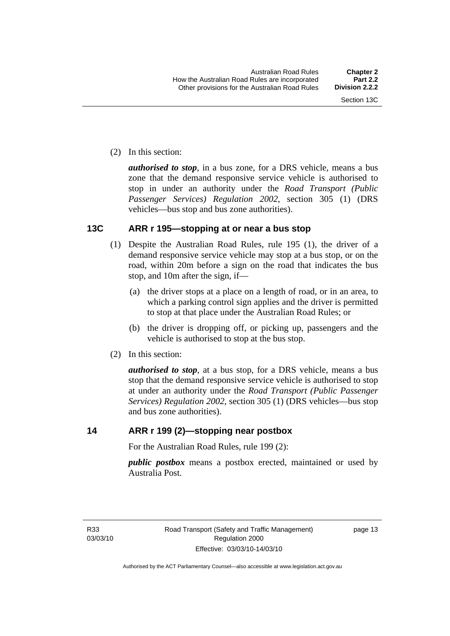<span id="page-22-0"></span>(2) In this section:

*authorised to stop*, in a bus zone, for a DRS vehicle, means a bus zone that the demand responsive service vehicle is authorised to stop in under an authority under the *Road Transport (Public Passenger Services) Regulation 2002*, section 305 (1) (DRS vehicles—bus stop and bus zone authorities).

# **13C ARR r 195—stopping at or near a bus stop**

- (1) Despite the Australian Road Rules, rule 195 (1), the driver of a demand responsive service vehicle may stop at a bus stop, or on the road, within 20m before a sign on the road that indicates the bus stop, and 10m after the sign, if—
	- (a) the driver stops at a place on a length of road, or in an area, to which a parking control sign applies and the driver is permitted to stop at that place under the Australian Road Rules; or
	- (b) the driver is dropping off, or picking up, passengers and the vehicle is authorised to stop at the bus stop.
- (2) In this section:

*authorised to stop*, at a bus stop, for a DRS vehicle, means a bus stop that the demand responsive service vehicle is authorised to stop at under an authority under the *Road Transport (Public Passenger Services) Regulation 2002*, section 305 (1) (DRS vehicles—bus stop and bus zone authorities).

### **14 ARR r 199 (2)—stopping near postbox**

For the Australian Road Rules, rule 199 (2):

*public postbox* means a postbox erected, maintained or used by Australia Post.

page 13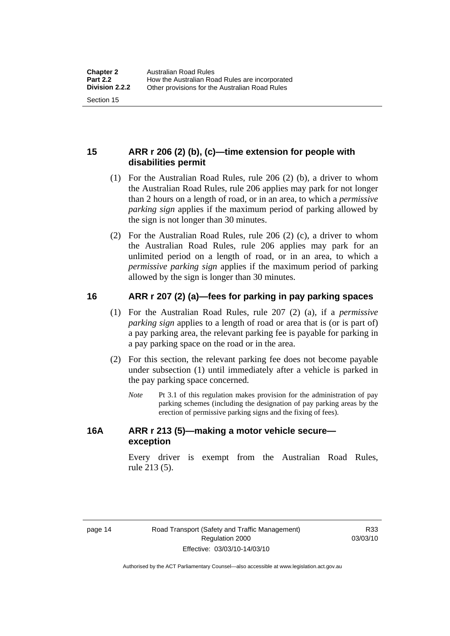# <span id="page-23-0"></span>**15 ARR r 206 (2) (b), (c)—time extension for people with disabilities permit**

- (1) For the Australian Road Rules, rule 206 (2) (b), a driver to whom the Australian Road Rules, rule 206 applies may park for not longer than 2 hours on a length of road, or in an area, to which a *permissive parking sign* applies if the maximum period of parking allowed by the sign is not longer than 30 minutes.
- (2) For the Australian Road Rules, rule 206 (2) (c), a driver to whom the Australian Road Rules, rule 206 applies may park for an unlimited period on a length of road, or in an area, to which a *permissive parking sign* applies if the maximum period of parking allowed by the sign is longer than 30 minutes.

# **16 ARR r 207 (2) (a)—fees for parking in pay parking spaces**

- (1) For the Australian Road Rules, rule 207 (2) (a), if a *permissive parking sign* applies to a length of road or area that is (or is part of) a pay parking area, the relevant parking fee is payable for parking in a pay parking space on the road or in the area.
- (2) For this section, the relevant parking fee does not become payable under subsection (1) until immediately after a vehicle is parked in the pay parking space concerned.
	- *Note* Pt 3.1 of this regulation makes provision for the administration of pay parking schemes (including the designation of pay parking areas by the erection of permissive parking signs and the fixing of fees).

# **16A ARR r 213 (5)—making a motor vehicle secure exception**

Every driver is exempt from the Australian Road Rules, rule 213 (5).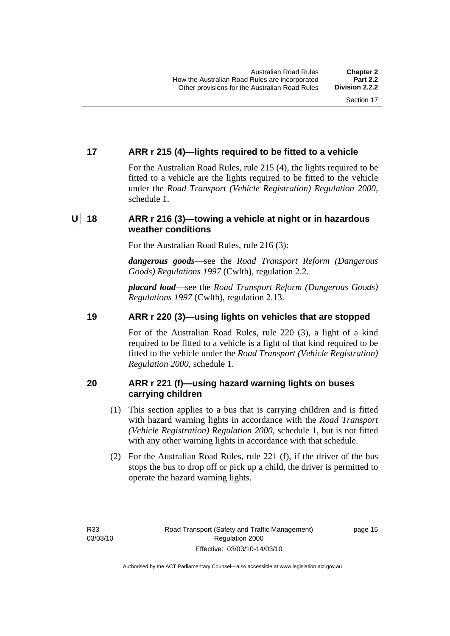# <span id="page-24-0"></span>**17 ARR r 215 (4)—lights required to be fitted to a vehicle**

For the Australian Road Rules, rule 215 (4), the lights required to be fitted to a vehicle are the lights required to be fitted to the vehicle under the *Road Transport (Vehicle Registration) Regulation 2000,*  schedule 1.

# **U 18 ARR r 216 (3)—towing a vehicle at night or in hazardous weather conditions**

For the Australian Road Rules, rule 216 (3):

*dangerous goods*—see the *Road Transport Reform (Dangerous Goods) Regulations 1997* (Cwlth), regulation 2.2.

*placard load*—see the *Road Transport Reform (Dangerous Goods) Regulations 1997* (Cwlth), regulation 2.13.

# **19 ARR r 220 (3)—using lights on vehicles that are stopped**

For of the Australian Road Rules, rule 220 (3), a light of a kind required to be fitted to a vehicle is a light of that kind required to be fitted to the vehicle under the *Road Transport (Vehicle Registration) Regulation 2000*, schedule 1.

# **20 ARR r 221 (f)—using hazard warning lights on buses carrying children**

- (1) This section applies to a bus that is carrying children and is fitted with hazard warning lights in accordance with the *Road Transport (Vehicle Registration) Regulation 2000*, schedule 1, but is not fitted with any other warning lights in accordance with that schedule.
- (2) For the Australian Road Rules, rule 221 (f), if the driver of the bus stops the bus to drop off or pick up a child, the driver is permitted to operate the hazard warning lights.

page 15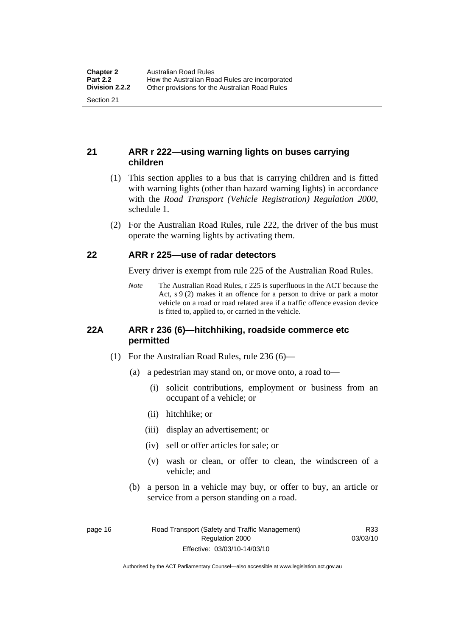# <span id="page-25-0"></span>**21 ARR r 222—using warning lights on buses carrying children**

- (1) This section applies to a bus that is carrying children and is fitted with warning lights (other than hazard warning lights) in accordance with the *Road Transport (Vehicle Registration) Regulation 2000*, schedule 1.
- (2) For the Australian Road Rules, rule 222, the driver of the bus must operate the warning lights by activating them.

### **22 ARR r 225—use of radar detectors**

Every driver is exempt from rule 225 of the Australian Road Rules.

*Note* The Australian Road Rules, r 225 is superfluous in the ACT because the Act, s 9 (2) makes it an offence for a person to drive or park a motor vehicle on a road or road related area if a traffic offence evasion device is fitted to, applied to, or carried in the vehicle.

#### **22A ARR r 236 (6)—hitchhiking, roadside commerce etc permitted**

- (1) For the Australian Road Rules, rule 236 (6)—
	- (a) a pedestrian may stand on, or move onto, a road to—
		- (i) solicit contributions, employment or business from an occupant of a vehicle; or
		- (ii) hitchhike; or
		- (iii) display an advertisement; or
		- (iv) sell or offer articles for sale; or
		- (v) wash or clean, or offer to clean, the windscreen of a vehicle; and
	- (b) a person in a vehicle may buy, or offer to buy, an article or service from a person standing on a road.

page 16 Road Transport (Safety and Traffic Management) Regulation 2000 Effective: 03/03/10-14/03/10

R33 03/03/10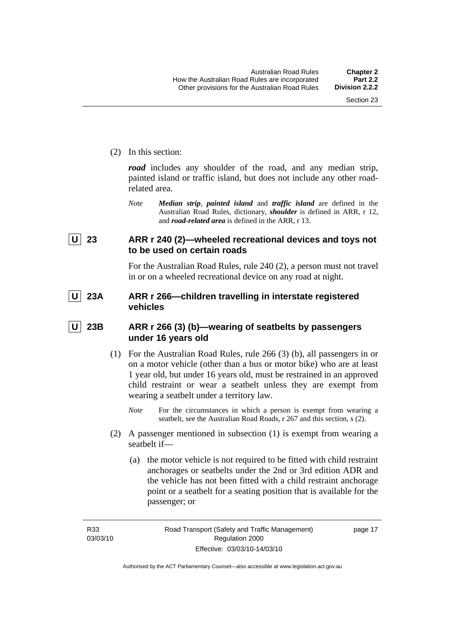<span id="page-26-0"></span>(2) In this section:

*road* includes any shoulder of the road, and any median strip, painted island or traffic island, but does not include any other roadrelated area.

*Note Median strip*, *painted island* and *traffic island* are defined in the Australian Road Rules, dictionary, *shoulder* is defined in ARR, r 12, and *road-related area* is defined in the ARR, r 13.

# **U 23 ARR r 240 (2)—wheeled recreational devices and toys not to be used on certain roads**

For the Australian Road Rules, rule 240 (2), a person must not travel in or on a wheeled recreational device on any road at night.

# **U 23A ARR r 266—children travelling in interstate registered vehicles**

# **U 23B ARR r 266 (3) (b)—wearing of seatbelts by passengers under 16 years old**

- (1) For the Australian Road Rules, rule 266 (3) (b), all passengers in or on a motor vehicle (other than a bus or motor bike) who are at least 1 year old, but under 16 years old, must be restrained in an approved child restraint or wear a seatbelt unless they are exempt from wearing a seatbelt under a territory law.
	- *Note* For the circumstances in which a person is exempt from wearing a seatbelt, see the Australian Road Roads, r 267 and this section, s (2).
- (2) A passenger mentioned in subsection (1) is exempt from wearing a seatbelt if—
	- (a) the motor vehicle is not required to be fitted with child restraint anchorages or seatbelts under the 2nd or 3rd edition ADR and the vehicle has not been fitted with a child restraint anchorage point or a seatbelt for a seating position that is available for the passenger; or

page 17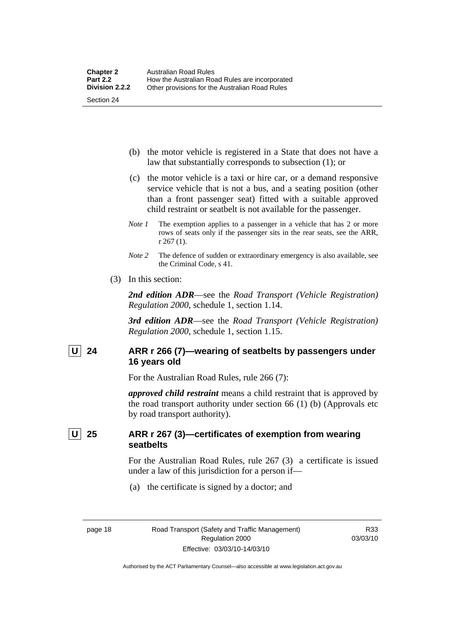- <span id="page-27-0"></span> (b) the motor vehicle is registered in a State that does not have a law that substantially corresponds to subsection (1); or
- (c) the motor vehicle is a taxi or hire car, or a demand responsive service vehicle that is not a bus, and a seating position (other than a front passenger seat) fitted with a suitable approved child restraint or seatbelt is not available for the passenger.
- *Note 1* The exemption applies to a passenger in a vehicle that has 2 or more rows of seats only if the passenger sits in the rear seats, see the ARR, r 267 (1).
- *Note* 2 The defence of sudden or extraordinary emergency is also available, see the Criminal Code, s 41.
- (3) In this section:

*2nd edition ADR*—see the *Road Transport (Vehicle Registration) Regulation 2000*, schedule 1, section 1.14.

*3rd edition ADR*—see the *Road Transport (Vehicle Registration) Regulation 2000*, schedule 1, section 1.15.

# U 24 ARR r 266 (7)—wearing of seatbelts by passengers under **16 years old**

For the Australian Road Rules, rule 266 (7):

*approved child restraint* means a child restraint that is approved by the road transport authority under section 66 (1) (b) (Approvals etc by road transport authority).

# **U 25 ARR r 267 (3)—certificates of exemption from wearing seatbelts**

For the Australian Road Rules, rule 267 (3) a certificate is issued under a law of this jurisdiction for a person if—

(a) the certificate is signed by a doctor; and

page 18 Road Transport (Safety and Traffic Management) Regulation 2000 Effective: 03/03/10-14/03/10

R33 03/03/10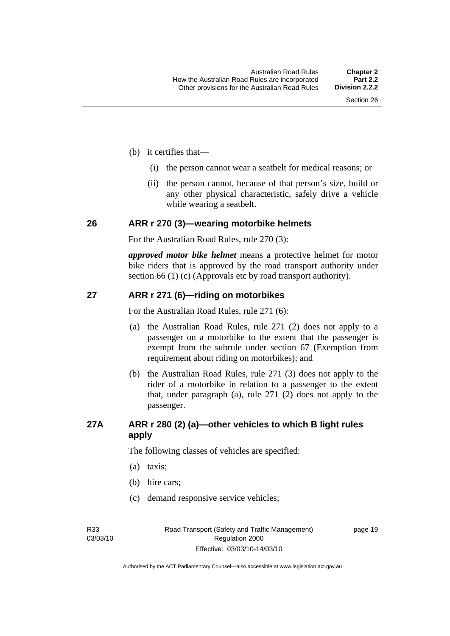- <span id="page-28-0"></span> (b) it certifies that—
	- (i) the person cannot wear a seatbelt for medical reasons; or
	- (ii) the person cannot, because of that person's size, build or any other physical characteristic, safely drive a vehicle while wearing a seatbelt.

#### **26 ARR r 270 (3)—wearing motorbike helmets**

For the Australian Road Rules, rule 270 (3):

*approved motor bike helmet* means a protective helmet for motor bike riders that is approved by the road transport authority under section 66 (1) (c) (Approvals etc by road transport authority).

### **27 ARR r 271 (6)—riding on motorbikes**

For the Australian Road Rules, rule 271 (6):

- (a) the Australian Road Rules, rule 271 (2) does not apply to a passenger on a motorbike to the extent that the passenger is exempt from the subrule under section 67 (Exemption from requirement about riding on motorbikes); and
- (b) the Australian Road Rules, rule 271 (3) does not apply to the rider of a motorbike in relation to a passenger to the extent that, under paragraph (a), rule 271 (2) does not apply to the passenger.

# **27A ARR r 280 (2) (a)—other vehicles to which B light rules apply**

The following classes of vehicles are specified:

- (a) taxis;
- (b) hire cars;
- (c) demand responsive service vehicles;

R33 03/03/10 page 19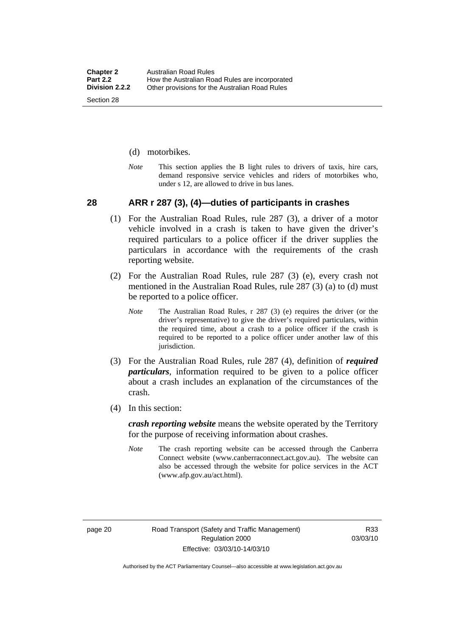- <span id="page-29-0"></span>(d) motorbikes.
- *Note* This section applies the B light rules to drivers of taxis, hire cars, demand responsive service vehicles and riders of motorbikes who, under s 12, are allowed to drive in bus lanes.

#### **28 ARR r 287 (3), (4)—duties of participants in crashes**

- (1) For the Australian Road Rules, rule 287 (3), a driver of a motor vehicle involved in a crash is taken to have given the driver's required particulars to a police officer if the driver supplies the particulars in accordance with the requirements of the crash reporting website.
- (2) For the Australian Road Rules, rule 287 (3) (e), every crash not mentioned in the Australian Road Rules, rule 287 (3) (a) to (d) must be reported to a police officer.
	- *Note* The Australian Road Rules, r 287 (3) (e) requires the driver (or the driver's representative) to give the driver's required particulars, within the required time, about a crash to a police officer if the crash is required to be reported to a police officer under another law of this jurisdiction.
- (3) For the Australian Road Rules, rule 287 (4), definition of *required particulars*, information required to be given to a police officer about a crash includes an explanation of the circumstances of the crash.
- (4) In this section:

*crash reporting website* means the website operated by the Territory for the purpose of receiving information about crashes.

*Note* The crash reporting website can be accessed through the Canberra Connect website (www.canberraconnect.act.gov.au). The website can also be accessed through the website for police services in the ACT (www.afp.gov.au/act.html).

Authorised by the ACT Parliamentary Counsel—also accessible at www.legislation.act.gov.au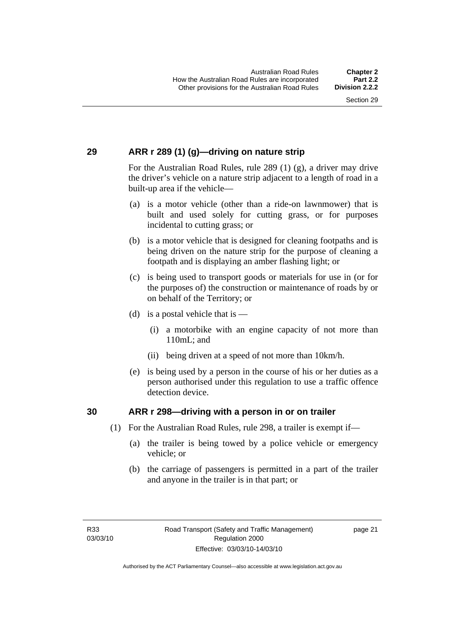# <span id="page-30-0"></span>**29 ARR r 289 (1) (g)—driving on nature strip**

For the Australian Road Rules, rule 289 (1) (g), a driver may drive the driver's vehicle on a nature strip adjacent to a length of road in a built-up area if the vehicle—

- (a) is a motor vehicle (other than a ride-on lawnmower) that is built and used solely for cutting grass, or for purposes incidental to cutting grass; or
- (b) is a motor vehicle that is designed for cleaning footpaths and is being driven on the nature strip for the purpose of cleaning a footpath and is displaying an amber flashing light; or
- (c) is being used to transport goods or materials for use in (or for the purposes of) the construction or maintenance of roads by or on behalf of the Territory; or
- (d) is a postal vehicle that is  $-$ 
	- (i) a motorbike with an engine capacity of not more than 110mL; and
	- (ii) being driven at a speed of not more than 10km/h.
- (e) is being used by a person in the course of his or her duties as a person authorised under this regulation to use a traffic offence detection device.

### **30 ARR r 298—driving with a person in or on trailer**

- (1) For the Australian Road Rules, rule 298, a trailer is exempt if—
	- (a) the trailer is being towed by a police vehicle or emergency vehicle; or
	- (b) the carriage of passengers is permitted in a part of the trailer and anyone in the trailer is in that part; or

page 21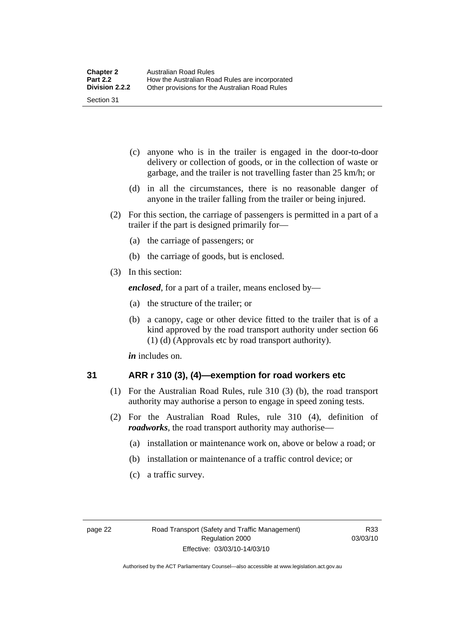- <span id="page-31-0"></span> (c) anyone who is in the trailer is engaged in the door-to-door delivery or collection of goods, or in the collection of waste or garbage, and the trailer is not travelling faster than 25 km/h; or
- (d) in all the circumstances, there is no reasonable danger of anyone in the trailer falling from the trailer or being injured.
- (2) For this section, the carriage of passengers is permitted in a part of a trailer if the part is designed primarily for—
	- (a) the carriage of passengers; or
	- (b) the carriage of goods, but is enclosed.
- (3) In this section:

*enclosed*, for a part of a trailer, means enclosed by—

- (a) the structure of the trailer; or
- (b) a canopy, cage or other device fitted to the trailer that is of a kind approved by the road transport authority under section 66 (1) (d) (Approvals etc by road transport authority).

*in* includes on.

### **31 ARR r 310 (3), (4)—exemption for road workers etc**

- (1) For the Australian Road Rules, rule 310 (3) (b), the road transport authority may authorise a person to engage in speed zoning tests.
- (2) For the Australian Road Rules, rule 310 (4), definition of *roadworks*, the road transport authority may authorise—
	- (a) installation or maintenance work on, above or below a road; or
	- (b) installation or maintenance of a traffic control device; or
	- (c) a traffic survey.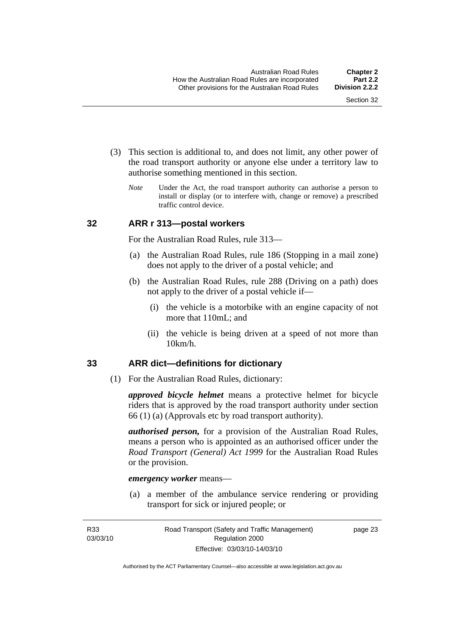- <span id="page-32-0"></span> (3) This section is additional to, and does not limit, any other power of the road transport authority or anyone else under a territory law to authorise something mentioned in this section.
	- *Note* Under the Act, the road transport authority can authorise a person to install or display (or to interfere with, change or remove) a prescribed traffic control device.

#### **32 ARR r 313—postal workers**

For the Australian Road Rules, rule 313—

- (a) the Australian Road Rules, rule 186 (Stopping in a mail zone) does not apply to the driver of a postal vehicle; and
- (b) the Australian Road Rules, rule 288 (Driving on a path) does not apply to the driver of a postal vehicle if—
	- (i) the vehicle is a motorbike with an engine capacity of not more that 110mL; and
	- (ii) the vehicle is being driven at a speed of not more than 10km/h.

#### **33 ARR dict—definitions for dictionary**

(1) For the Australian Road Rules, dictionary:

*approved bicycle helmet* means a protective helmet for bicycle riders that is approved by the road transport authority under section 66 (1) (a) (Approvals etc by road transport authority).

*authorised person,* for a provision of the Australian Road Rules, means a person who is appointed as an authorised officer under the *Road Transport (General) Act 1999* for the Australian Road Rules or the provision.

#### *emergency worker* means—

 (a) a member of the ambulance service rendering or providing transport for sick or injured people; or

page 23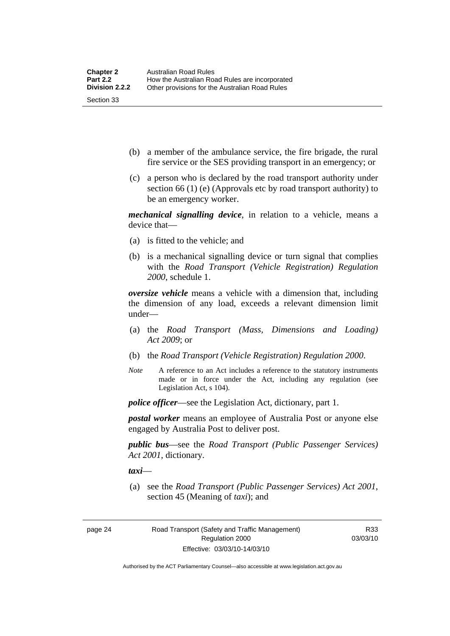- (b) a member of the ambulance service, the fire brigade, the rural fire service or the SES providing transport in an emergency; or
- (c) a person who is declared by the road transport authority under section 66 (1) (e) (Approvals etc by road transport authority) to be an emergency worker.

*mechanical signalling device*, in relation to a vehicle, means a device that—

- (a) is fitted to the vehicle; and
- (b) is a mechanical signalling device or turn signal that complies with the *Road Transport (Vehicle Registration) Regulation 2000*, schedule 1.

*oversize vehicle* means a vehicle with a dimension that, including the dimension of any load, exceeds a relevant dimension limit under—

- (a) the *Road Transport (Mass, Dimensions and Loading) Act 2009*; or
- (b) the *Road Transport (Vehicle Registration) Regulation 2000*.
- *Note* A reference to an Act includes a reference to the statutory instruments made or in force under the Act, including any regulation (see Legislation Act, s 104).

*police officer*—see the Legislation Act, dictionary, part 1.

*postal worker* means an employee of Australia Post or anyone else engaged by Australia Post to deliver post.

*public bus*—see the *Road Transport (Public Passenger Services) Act 2001*, dictionary.

*taxi*—

 (a) see the *Road Transport (Public Passenger Services) Act 2001*, section 45 (Meaning of *taxi*); and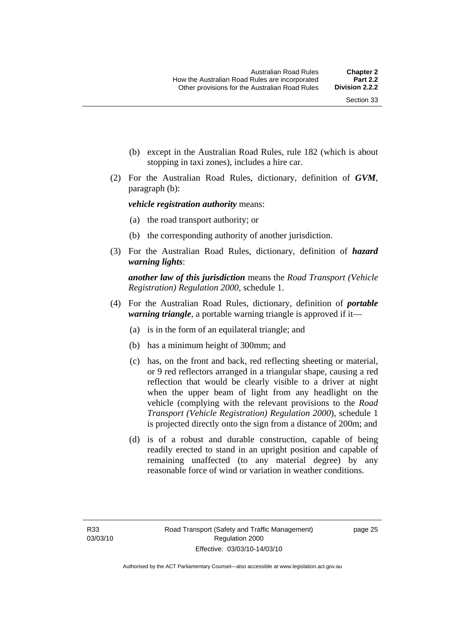- (b) except in the Australian Road Rules, rule 182 (which is about stopping in taxi zones), includes a hire car.
- (2) For the Australian Road Rules, dictionary, definition of *GVM*, paragraph (b):

#### *vehicle registration authority* means:

- (a) the road transport authority; or
- (b) the corresponding authority of another jurisdiction.
- (3) For the Australian Road Rules, dictionary, definition of *hazard warning lights*:

*another law of this jurisdiction* means the *Road Transport (Vehicle Registration) Regulation 2000*, schedule 1.

- (4) For the Australian Road Rules, dictionary, definition of *portable warning triangle*, a portable warning triangle is approved if it—
	- (a) is in the form of an equilateral triangle; and
	- (b) has a minimum height of 300mm; and
	- (c) has, on the front and back, red reflecting sheeting or material, or 9 red reflectors arranged in a triangular shape, causing a red reflection that would be clearly visible to a driver at night when the upper beam of light from any headlight on the vehicle (complying with the relevant provisions to the *Road Transport (Vehicle Registration) Regulation 2000*), schedule 1 is projected directly onto the sign from a distance of 200m; and
	- (d) is of a robust and durable construction, capable of being readily erected to stand in an upright position and capable of remaining unaffected (to any material degree) by any reasonable force of wind or variation in weather conditions.

page 25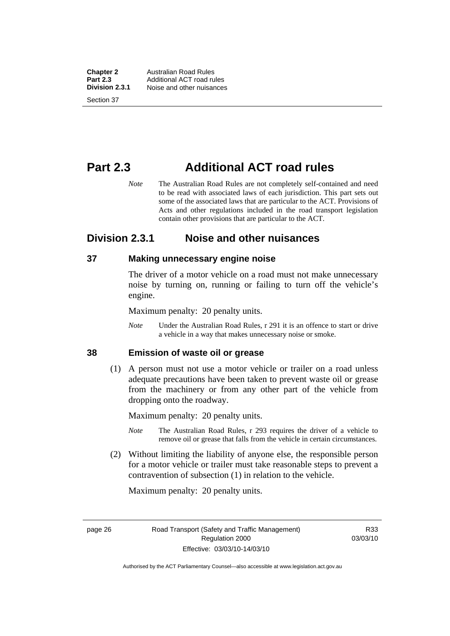<span id="page-35-0"></span>**Chapter 2** Australian Road Rules<br>**Part 2.3** Additional ACT road ru **Part 2.3** Additional ACT road rules<br>**Division 2.3.1** Noise and other nuisances **Division 2.3.1** Noise and other nuisances Section 37

**Part 2.3 Additional ACT road rules** 

*Note* The Australian Road Rules are not completely self-contained and need to be read with associated laws of each jurisdiction. This part sets out some of the associated laws that are particular to the ACT. Provisions of Acts and other regulations included in the road transport legislation contain other provisions that are particular to the ACT.

# **Division 2.3.1 Noise and other nuisances**

### **37 Making unnecessary engine noise**

The driver of a motor vehicle on a road must not make unnecessary noise by turning on, running or failing to turn off the vehicle's engine.

Maximum penalty: 20 penalty units.

*Note* Under the Australian Road Rules, r 291 it is an offence to start or drive a vehicle in a way that makes unnecessary noise or smoke.

#### **38 Emission of waste oil or grease**

 (1) A person must not use a motor vehicle or trailer on a road unless adequate precautions have been taken to prevent waste oil or grease from the machinery or from any other part of the vehicle from dropping onto the roadway.

Maximum penalty: 20 penalty units.

- *Note* The Australian Road Rules, r 293 requires the driver of a vehicle to remove oil or grease that falls from the vehicle in certain circumstances.
- (2) Without limiting the liability of anyone else, the responsible person for a motor vehicle or trailer must take reasonable steps to prevent a contravention of subsection (1) in relation to the vehicle.

Maximum penalty: 20 penalty units.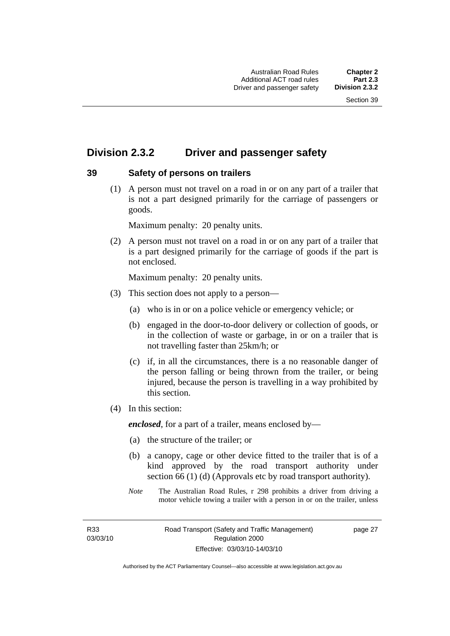# **Division 2.3.2 Driver and passenger safety**

### **39 Safety of persons on trailers**

 (1) A person must not travel on a road in or on any part of a trailer that is not a part designed primarily for the carriage of passengers or goods.

Maximum penalty: 20 penalty units.

 (2) A person must not travel on a road in or on any part of a trailer that is a part designed primarily for the carriage of goods if the part is not enclosed.

Maximum penalty: 20 penalty units.

- (3) This section does not apply to a person—
	- (a) who is in or on a police vehicle or emergency vehicle; or
	- (b) engaged in the door-to-door delivery or collection of goods, or in the collection of waste or garbage, in or on a trailer that is not travelling faster than 25km/h; or
	- (c) if, in all the circumstances, there is a no reasonable danger of the person falling or being thrown from the trailer, or being injured, because the person is travelling in a way prohibited by this section.
- (4) In this section:

*enclosed*, for a part of a trailer, means enclosed by—

- (a) the structure of the trailer; or
- (b) a canopy, cage or other device fitted to the trailer that is of a kind approved by the road transport authority under section 66 (1) (d) (Approvals etc by road transport authority).
- *Note* The Australian Road Rules, r 298 prohibits a driver from driving a motor vehicle towing a trailer with a person in or on the trailer, unless

R33 03/03/10 page 27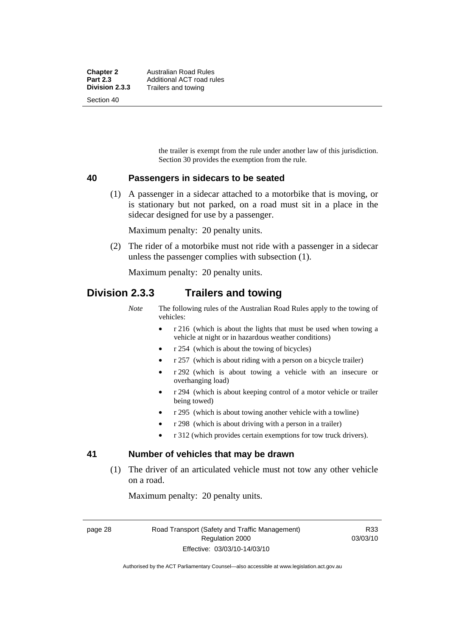the trailer is exempt from the rule under another law of this jurisdiction. Section 30 provides the exemption from the rule.

### **40 Passengers in sidecars to be seated**

 (1) A passenger in a sidecar attached to a motorbike that is moving, or is stationary but not parked, on a road must sit in a place in the sidecar designed for use by a passenger.

Maximum penalty: 20 penalty units.

 (2) The rider of a motorbike must not ride with a passenger in a sidecar unless the passenger complies with subsection (1).

Maximum penalty: 20 penalty units.

# **Division 2.3.3 Trailers and towing**

*Note* The following rules of the Australian Road Rules apply to the towing of vehicles:

- r 216 (which is about the lights that must be used when towing a vehicle at night or in hazardous weather conditions)
- r 254 (which is about the towing of bicycles)
- r 257 (which is about riding with a person on a bicycle trailer)
- r 292 (which is about towing a vehicle with an insecure or overhanging load)
- r 294 (which is about keeping control of a motor vehicle or trailer being towed)
- r 295 (which is about towing another vehicle with a towline)
- r 298 (which is about driving with a person in a trailer)
- r 312 (which provides certain exemptions for tow truck drivers).

### **41 Number of vehicles that may be drawn**

 (1) The driver of an articulated vehicle must not tow any other vehicle on a road.

Maximum penalty: 20 penalty units.

page 28 Road Transport (Safety and Traffic Management) Regulation 2000 Effective: 03/03/10-14/03/10

R33 03/03/10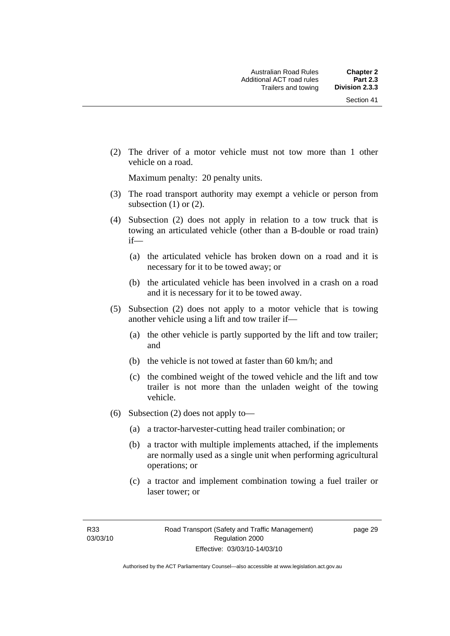(2) The driver of a motor vehicle must not tow more than 1 other vehicle on a road.

Maximum penalty: 20 penalty units.

- (3) The road transport authority may exempt a vehicle or person from subsection  $(1)$  or  $(2)$ .
- (4) Subsection (2) does not apply in relation to a tow truck that is towing an articulated vehicle (other than a B-double or road train) if—
	- (a) the articulated vehicle has broken down on a road and it is necessary for it to be towed away; or
	- (b) the articulated vehicle has been involved in a crash on a road and it is necessary for it to be towed away.
- (5) Subsection (2) does not apply to a motor vehicle that is towing another vehicle using a lift and tow trailer if—
	- (a) the other vehicle is partly supported by the lift and tow trailer; and
	- (b) the vehicle is not towed at faster than 60 km/h; and
	- (c) the combined weight of the towed vehicle and the lift and tow trailer is not more than the unladen weight of the towing vehicle.
- (6) Subsection (2) does not apply to—
	- (a) a tractor-harvester-cutting head trailer combination; or
	- (b) a tractor with multiple implements attached, if the implements are normally used as a single unit when performing agricultural operations; or
	- (c) a tractor and implement combination towing a fuel trailer or laser tower; or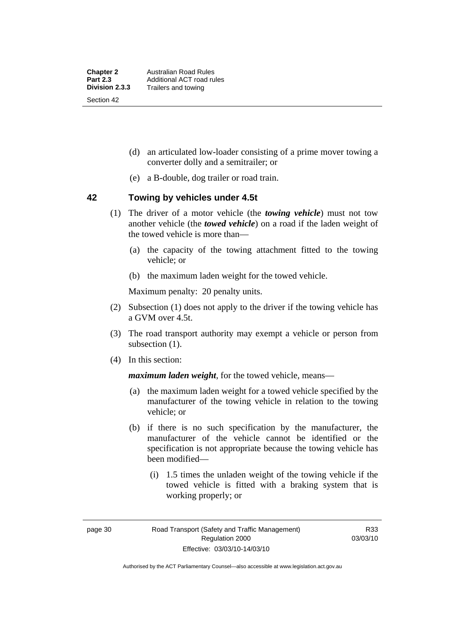- (d) an articulated low-loader consisting of a prime mover towing a converter dolly and a semitrailer; or
- (e) a B-double, dog trailer or road train.

### **42 Towing by vehicles under 4.5t**

- (1) The driver of a motor vehicle (the *towing vehicle*) must not tow another vehicle (the *towed vehicle*) on a road if the laden weight of the towed vehicle is more than—
	- (a) the capacity of the towing attachment fitted to the towing vehicle; or
	- (b) the maximum laden weight for the towed vehicle.

Maximum penalty: 20 penalty units.

- (2) Subsection (1) does not apply to the driver if the towing vehicle has a GVM over 4.5t.
- (3) The road transport authority may exempt a vehicle or person from subsection  $(1)$ .
- (4) In this section:

*maximum laden weight*, for the towed vehicle, means—

- (a) the maximum laden weight for a towed vehicle specified by the manufacturer of the towing vehicle in relation to the towing vehicle; or
- (b) if there is no such specification by the manufacturer, the manufacturer of the vehicle cannot be identified or the specification is not appropriate because the towing vehicle has been modified—
	- (i) 1.5 times the unladen weight of the towing vehicle if the towed vehicle is fitted with a braking system that is working properly; or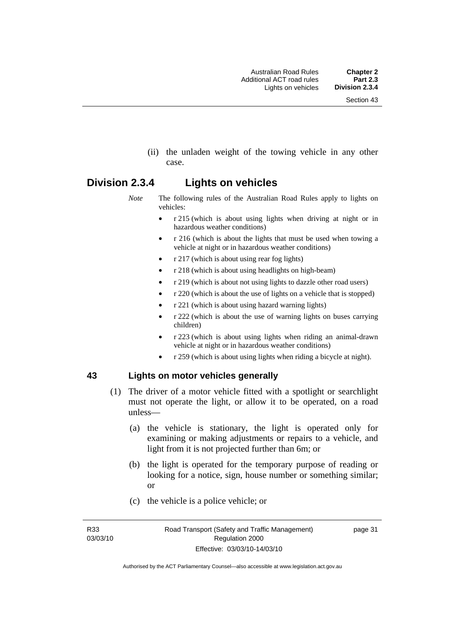(ii) the unladen weight of the towing vehicle in any other case.

# **Division 2.3.4 Lights on vehicles**

- *Note* The following rules of the Australian Road Rules apply to lights on vehicles:
	- r 215 (which is about using lights when driving at night or in hazardous weather conditions)
	- r 216 (which is about the lights that must be used when towing a vehicle at night or in hazardous weather conditions)
	- r 217 (which is about using rear fog lights)
	- r 218 (which is about using headlights on high-beam)
	- r 219 (which is about not using lights to dazzle other road users)
	- r 220 (which is about the use of lights on a vehicle that is stopped)
	- r 221 (which is about using hazard warning lights)
	- r 222 (which is about the use of warning lights on buses carrying children)
	- r 223 (which is about using lights when riding an animal-drawn vehicle at night or in hazardous weather conditions)
	- r 259 (which is about using lights when riding a bicycle at night).

### **43 Lights on motor vehicles generally**

- (1) The driver of a motor vehicle fitted with a spotlight or searchlight must not operate the light, or allow it to be operated, on a road unless—
	- (a) the vehicle is stationary, the light is operated only for examining or making adjustments or repairs to a vehicle, and light from it is not projected further than 6m; or
	- (b) the light is operated for the temporary purpose of reading or looking for a notice, sign, house number or something similar; or
	- (c) the vehicle is a police vehicle; or

R33 03/03/10 page 31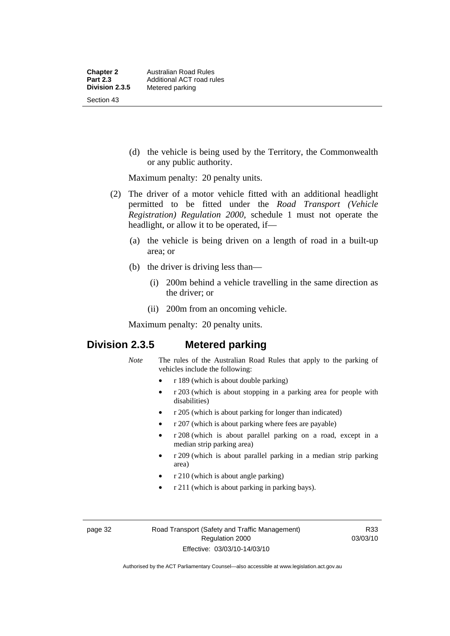(d) the vehicle is being used by the Territory, the Commonwealth or any public authority.

Maximum penalty: 20 penalty units.

- (2) The driver of a motor vehicle fitted with an additional headlight permitted to be fitted under the *Road Transport (Vehicle Registration) Regulation 2000*, schedule 1 must not operate the headlight, or allow it to be operated, if—
	- (a) the vehicle is being driven on a length of road in a built-up area; or
	- (b) the driver is driving less than—
		- (i) 200m behind a vehicle travelling in the same direction as the driver; or
		- (ii) 200m from an oncoming vehicle.

Maximum penalty: 20 penalty units.

# **Division 2.3.5 Metered parking**

- *Note* The rules of the Australian Road Rules that apply to the parking of vehicles include the following:
	- r 189 (which is about double parking)
	- r 203 (which is about stopping in a parking area for people with disabilities)
	- r 205 (which is about parking for longer than indicated)
	- r 207 (which is about parking where fees are payable)
	- r 208 (which is about parallel parking on a road, except in a median strip parking area)
	- r 209 (which is about parallel parking in a median strip parking area)
	- r 210 (which is about angle parking)
	- r 211 (which is about parking in parking bays).

page 32 Road Transport (Safety and Traffic Management) Regulation 2000 Effective: 03/03/10-14/03/10

R33 03/03/10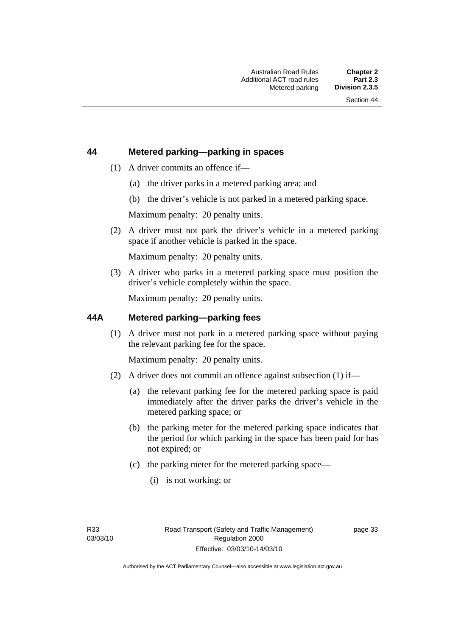### **44 Metered parking—parking in spaces**

- (1) A driver commits an offence if—
	- (a) the driver parks in a metered parking area; and
	- (b) the driver's vehicle is not parked in a metered parking space.

Maximum penalty: 20 penalty units.

 (2) A driver must not park the driver's vehicle in a metered parking space if another vehicle is parked in the space.

Maximum penalty: 20 penalty units.

 (3) A driver who parks in a metered parking space must position the driver's vehicle completely within the space.

Maximum penalty: 20 penalty units.

### **44A Metered parking—parking fees**

 (1) A driver must not park in a metered parking space without paying the relevant parking fee for the space.

Maximum penalty: 20 penalty units.

- (2) A driver does not commit an offence against subsection (1) if—
	- (a) the relevant parking fee for the metered parking space is paid immediately after the driver parks the driver's vehicle in the metered parking space; or
	- (b) the parking meter for the metered parking space indicates that the period for which parking in the space has been paid for has not expired; or
	- (c) the parking meter for the metered parking space—
		- (i) is not working; or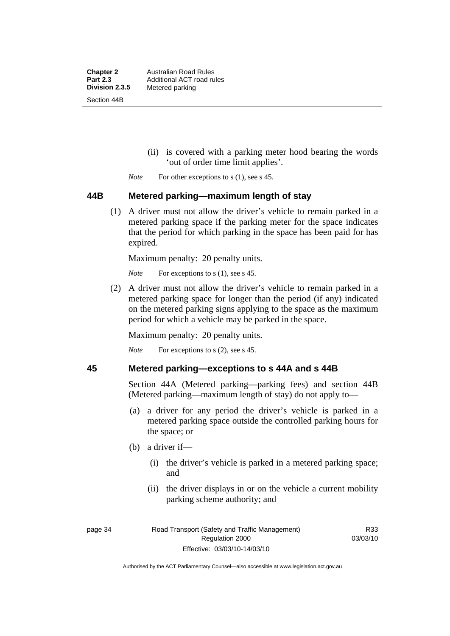**Chapter 2** Australian Road Rules<br>**Part 2.3** Additional ACT road ru **Part 2.3 Additional ACT road rules**<br>**Division 2.3.5** Metered parking **Metered parking** Section 44B

- (ii) is covered with a parking meter hood bearing the words 'out of order time limit applies'.
- *Note* For other exceptions to s (1), see s 45.

### **44B Metered parking—maximum length of stay**

 (1) A driver must not allow the driver's vehicle to remain parked in a metered parking space if the parking meter for the space indicates that the period for which parking in the space has been paid for has expired.

Maximum penalty: 20 penalty units.

*Note* For exceptions to s (1), see s 45.

 (2) A driver must not allow the driver's vehicle to remain parked in a metered parking space for longer than the period (if any) indicated on the metered parking signs applying to the space as the maximum period for which a vehicle may be parked in the space.

Maximum penalty: 20 penalty units.

*Note* For exceptions to s (2), see s 45.

### **45 Metered parking—exceptions to s 44A and s 44B**

Section 44A (Metered parking—parking fees) and section 44B (Metered parking—maximum length of stay) do not apply to—

- (a) a driver for any period the driver's vehicle is parked in a metered parking space outside the controlled parking hours for the space; or
- (b) a driver if—
	- (i) the driver's vehicle is parked in a metered parking space; and
	- (ii) the driver displays in or on the vehicle a current mobility parking scheme authority; and

R33 03/03/10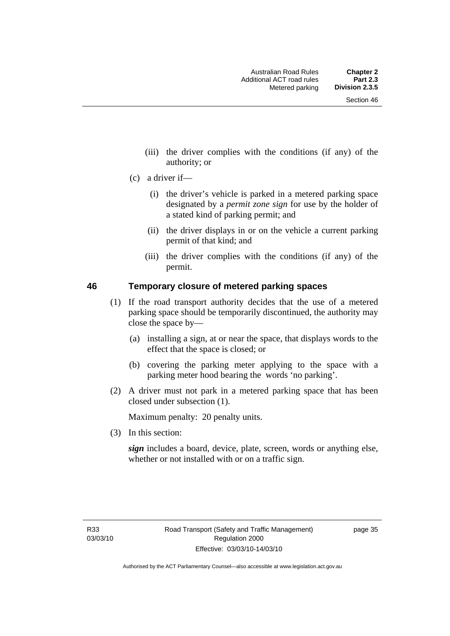- (iii) the driver complies with the conditions (if any) of the authority; or
- (c) a driver if—
	- (i) the driver's vehicle is parked in a metered parking space designated by a *permit zone sign* for use by the holder of a stated kind of parking permit; and
	- (ii) the driver displays in or on the vehicle a current parking permit of that kind; and
	- (iii) the driver complies with the conditions (if any) of the permit.

### **46 Temporary closure of metered parking spaces**

- (1) If the road transport authority decides that the use of a metered parking space should be temporarily discontinued, the authority may close the space by—
	- (a) installing a sign, at or near the space, that displays words to the effect that the space is closed; or
	- (b) covering the parking meter applying to the space with a parking meter hood bearing the words 'no parking'.
- (2) A driver must not park in a metered parking space that has been closed under subsection (1).

Maximum penalty: 20 penalty units.

(3) In this section:

*sign* includes a board, device, plate, screen, words or anything else, whether or not installed with or on a traffic sign.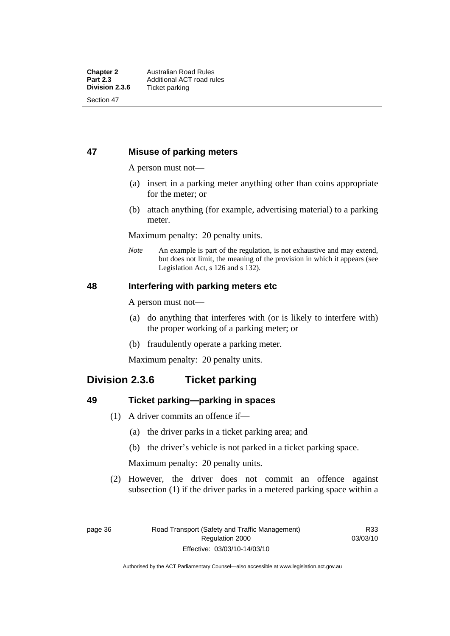### **47 Misuse of parking meters**

A person must not—

- (a) insert in a parking meter anything other than coins appropriate for the meter; or
- (b) attach anything (for example, advertising material) to a parking meter.

Maximum penalty: 20 penalty units.

*Note* An example is part of the regulation, is not exhaustive and may extend, but does not limit, the meaning of the provision in which it appears (see Legislation Act, s 126 and s 132).

### **48 Interfering with parking meters etc**

A person must not—

- (a) do anything that interferes with (or is likely to interfere with) the proper working of a parking meter; or
- (b) fraudulently operate a parking meter.

Maximum penalty: 20 penalty units.

# **Division 2.3.6 Ticket parking**

### **49 Ticket parking—parking in spaces**

- (1) A driver commits an offence if—
	- (a) the driver parks in a ticket parking area; and
	- (b) the driver's vehicle is not parked in a ticket parking space.

Maximum penalty: 20 penalty units.

 (2) However, the driver does not commit an offence against subsection (1) if the driver parks in a metered parking space within a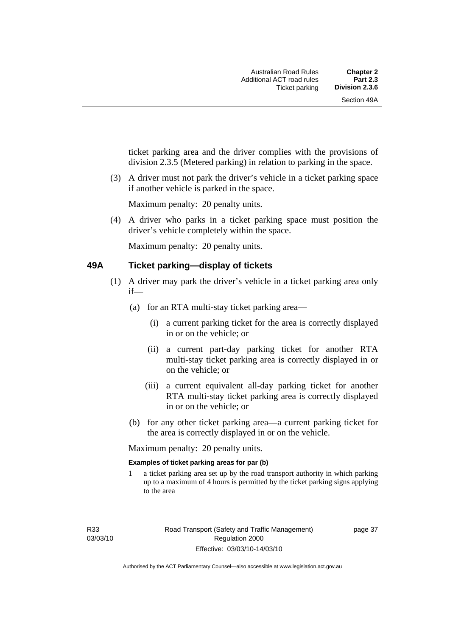ticket parking area and the driver complies with the provisions of division 2.3.5 (Metered parking) in relation to parking in the space.

 (3) A driver must not park the driver's vehicle in a ticket parking space if another vehicle is parked in the space.

Maximum penalty: 20 penalty units.

 (4) A driver who parks in a ticket parking space must position the driver's vehicle completely within the space.

Maximum penalty: 20 penalty units.

### **49A Ticket parking—display of tickets**

- (1) A driver may park the driver's vehicle in a ticket parking area only if—
	- (a) for an RTA multi-stay ticket parking area—
		- (i) a current parking ticket for the area is correctly displayed in or on the vehicle; or
		- (ii) a current part-day parking ticket for another RTA multi-stay ticket parking area is correctly displayed in or on the vehicle; or
		- (iii) a current equivalent all-day parking ticket for another RTA multi-stay ticket parking area is correctly displayed in or on the vehicle; or
	- (b) for any other ticket parking area—a current parking ticket for the area is correctly displayed in or on the vehicle.

Maximum penalty: 20 penalty units.

### **Examples of ticket parking areas for par (b)**

1 a ticket parking area set up by the road transport authority in which parking up to a maximum of 4 hours is permitted by the ticket parking signs applying to the area

R33 03/03/10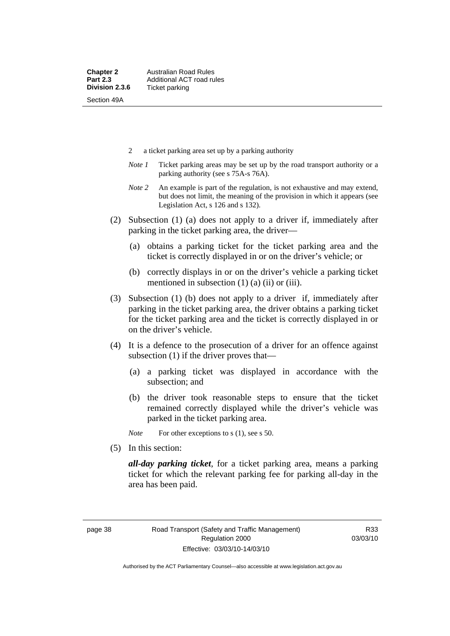- 2 a ticket parking area set up by a parking authority
- *Note 1* Ticket parking areas may be set up by the road transport authority or a parking authority (see s 75A-s 76A).
- *Note 2* An example is part of the regulation, is not exhaustive and may extend, but does not limit, the meaning of the provision in which it appears (see Legislation Act, s 126 and s 132).
- (2) Subsection (1) (a) does not apply to a driver if, immediately after parking in the ticket parking area, the driver—
	- (a) obtains a parking ticket for the ticket parking area and the ticket is correctly displayed in or on the driver's vehicle; or
	- (b) correctly displays in or on the driver's vehicle a parking ticket mentioned in subsection  $(1)$   $(a)$   $(ii)$  or  $(iii)$ .
- (3) Subsection (1) (b) does not apply to a driver if, immediately after parking in the ticket parking area, the driver obtains a parking ticket for the ticket parking area and the ticket is correctly displayed in or on the driver's vehicle.
- (4) It is a defence to the prosecution of a driver for an offence against subsection (1) if the driver proves that—
	- (a) a parking ticket was displayed in accordance with the subsection; and
	- (b) the driver took reasonable steps to ensure that the ticket remained correctly displayed while the driver's vehicle was parked in the ticket parking area.

*Note* For other exceptions to s (1), see s 50.

(5) In this section:

*all-day parking ticket*, for a ticket parking area, means a parking ticket for which the relevant parking fee for parking all-day in the area has been paid.

R33 03/03/10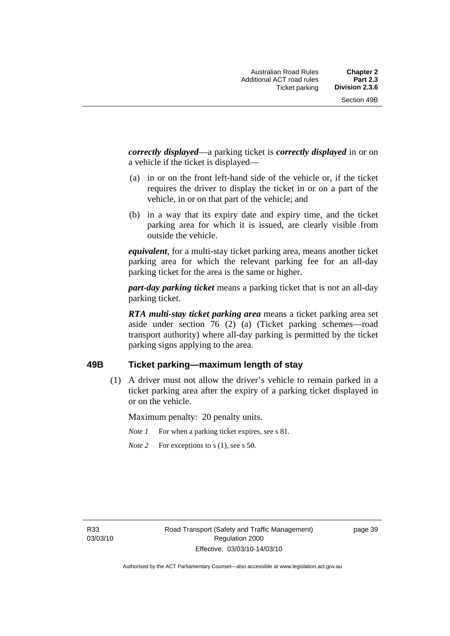*correctly displayed*—a parking ticket is *correctly displayed* in or on a vehicle if the ticket is displayed—

- (a) in or on the front left-hand side of the vehicle or, if the ticket requires the driver to display the ticket in or on a part of the vehicle, in or on that part of the vehicle; and
- (b) in a way that its expiry date and expiry time, and the ticket parking area for which it is issued, are clearly visible from outside the vehicle.

*equivalent*, for a multi-stay ticket parking area, means another ticket parking area for which the relevant parking fee for an all-day parking ticket for the area is the same or higher.

*part-day parking ticket* means a parking ticket that is not an all-day parking ticket.

*RTA multi-stay ticket parking area* means a ticket parking area set aside under section 76 (2) (a) (Ticket parking schemes—road transport authority) where all-day parking is permitted by the ticket parking signs applying to the area.

### **49B Ticket parking—maximum length of stay**

 (1) A driver must not allow the driver's vehicle to remain parked in a ticket parking area after the expiry of a parking ticket displayed in or on the vehicle.

Maximum penalty: 20 penalty units.

*Note 1* For when a parking ticket expires, see s 81.

*Note* 2 For exceptions to s (1), see s 50.

R33 03/03/10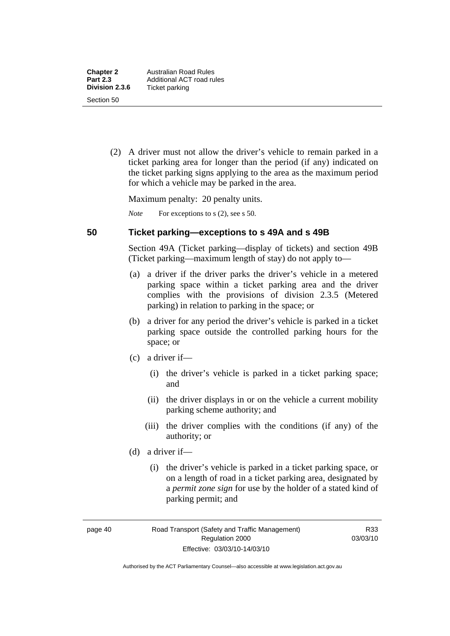(2) A driver must not allow the driver's vehicle to remain parked in a ticket parking area for longer than the period (if any) indicated on the ticket parking signs applying to the area as the maximum period for which a vehicle may be parked in the area.

Maximum penalty: 20 penalty units.

*Note* For exceptions to s (2), see s 50.

### **50 Ticket parking—exceptions to s 49A and s 49B**

Section 49A (Ticket parking—display of tickets) and section 49B (Ticket parking—maximum length of stay) do not apply to—

- (a) a driver if the driver parks the driver's vehicle in a metered parking space within a ticket parking area and the driver complies with the provisions of division 2.3.5 (Metered parking) in relation to parking in the space; or
- (b) a driver for any period the driver's vehicle is parked in a ticket parking space outside the controlled parking hours for the space; or
- (c) a driver if—
	- (i) the driver's vehicle is parked in a ticket parking space; and
	- (ii) the driver displays in or on the vehicle a current mobility parking scheme authority; and
	- (iii) the driver complies with the conditions (if any) of the authority; or
- (d) a driver if—
	- (i) the driver's vehicle is parked in a ticket parking space, or on a length of road in a ticket parking area, designated by a *permit zone sign* for use by the holder of a stated kind of parking permit; and

page 40 Road Transport (Safety and Traffic Management) Regulation 2000 Effective: 03/03/10-14/03/10

R33 03/03/10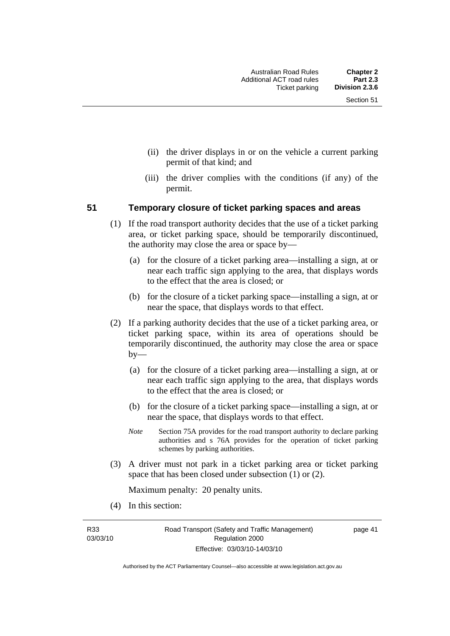- (ii) the driver displays in or on the vehicle a current parking permit of that kind; and
- (iii) the driver complies with the conditions (if any) of the permit.

### **51 Temporary closure of ticket parking spaces and areas**

- (1) If the road transport authority decides that the use of a ticket parking area, or ticket parking space, should be temporarily discontinued, the authority may close the area or space by—
	- (a) for the closure of a ticket parking area—installing a sign, at or near each traffic sign applying to the area, that displays words to the effect that the area is closed; or
	- (b) for the closure of a ticket parking space—installing a sign, at or near the space, that displays words to that effect.
- (2) If a parking authority decides that the use of a ticket parking area, or ticket parking space, within its area of operations should be temporarily discontinued, the authority may close the area or space by—
	- (a) for the closure of a ticket parking area—installing a sign, at or near each traffic sign applying to the area, that displays words to the effect that the area is closed; or
	- (b) for the closure of a ticket parking space—installing a sign, at or near the space, that displays words to that effect.
	- *Note* Section 75A provides for the road transport authority to declare parking authorities and s 76A provides for the operation of ticket parking schemes by parking authorities.
- (3) A driver must not park in a ticket parking area or ticket parking space that has been closed under subsection (1) or (2).

Maximum penalty: 20 penalty units.

(4) In this section:

R33 03/03/10

Authorised by the ACT Parliamentary Counsel—also accessible at www.legislation.act.gov.au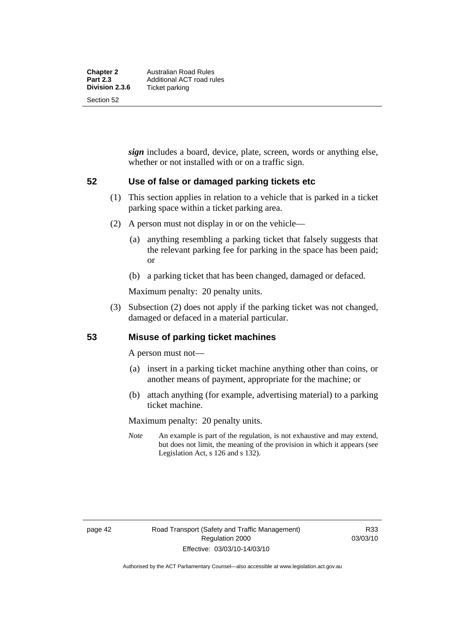*sign* includes a board, device, plate, screen, words or anything else, whether or not installed with or on a traffic sign.

### **52 Use of false or damaged parking tickets etc**

- (1) This section applies in relation to a vehicle that is parked in a ticket parking space within a ticket parking area.
- (2) A person must not display in or on the vehicle—
	- (a) anything resembling a parking ticket that falsely suggests that the relevant parking fee for parking in the space has been paid; or
	- (b) a parking ticket that has been changed, damaged or defaced.

Maximum penalty: 20 penalty units.

 (3) Subsection (2) does not apply if the parking ticket was not changed, damaged or defaced in a material particular.

### **53 Misuse of parking ticket machines**

A person must not—

- (a) insert in a parking ticket machine anything other than coins, or another means of payment, appropriate for the machine; or
- (b) attach anything (for example, advertising material) to a parking ticket machine.

Maximum penalty: 20 penalty units.

*Note* An example is part of the regulation, is not exhaustive and may extend, but does not limit, the meaning of the provision in which it appears (see Legislation Act, s 126 and s 132).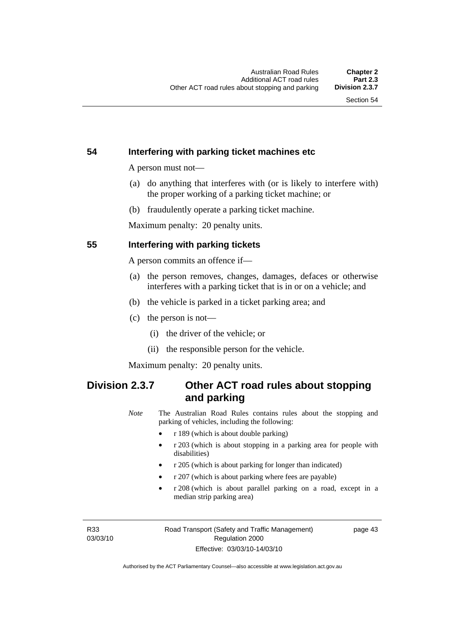### **54 Interfering with parking ticket machines etc**

A person must not—

- (a) do anything that interferes with (or is likely to interfere with) the proper working of a parking ticket machine; or
- (b) fraudulently operate a parking ticket machine.

Maximum penalty: 20 penalty units.

### **55 Interfering with parking tickets**

A person commits an offence if—

- (a) the person removes, changes, damages, defaces or otherwise interferes with a parking ticket that is in or on a vehicle; and
- (b) the vehicle is parked in a ticket parking area; and
- (c) the person is not—
	- (i) the driver of the vehicle; or
	- (ii) the responsible person for the vehicle.

Maximum penalty: 20 penalty units.

# **Division 2.3.7 Other ACT road rules about stopping and parking**

*Note* The Australian Road Rules contains rules about the stopping and parking of vehicles, including the following:

- r 189 (which is about double parking)
- r 203 (which is about stopping in a parking area for people with disabilities)
- r 205 (which is about parking for longer than indicated)
- r 207 (which is about parking where fees are payable)
- r 208 (which is about parallel parking on a road, except in a median strip parking area)

R33 03/03/10 page 43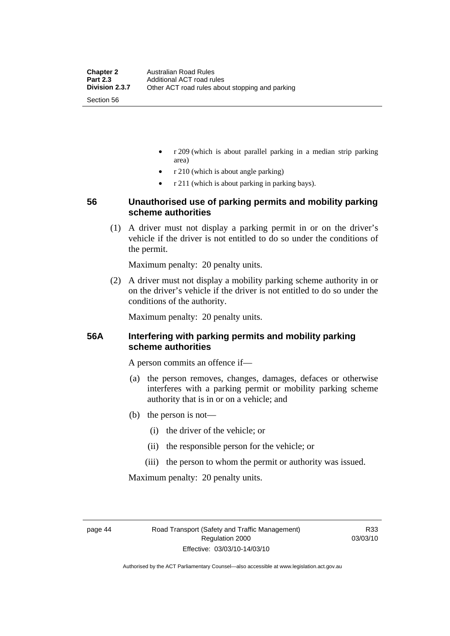- r 209 (which is about parallel parking in a median strip parking area)
- r 210 (which is about angle parking)
- r 211 (which is about parking in parking bays).

### **56 Unauthorised use of parking permits and mobility parking scheme authorities**

 (1) A driver must not display a parking permit in or on the driver's vehicle if the driver is not entitled to do so under the conditions of the permit.

Maximum penalty: 20 penalty units.

 (2) A driver must not display a mobility parking scheme authority in or on the driver's vehicle if the driver is not entitled to do so under the conditions of the authority.

Maximum penalty: 20 penalty units.

### **56A Interfering with parking permits and mobility parking scheme authorities**

A person commits an offence if—

- (a) the person removes, changes, damages, defaces or otherwise interferes with a parking permit or mobility parking scheme authority that is in or on a vehicle; and
- (b) the person is not—
	- (i) the driver of the vehicle; or
	- (ii) the responsible person for the vehicle; or
	- (iii) the person to whom the permit or authority was issued.

Maximum penalty: 20 penalty units.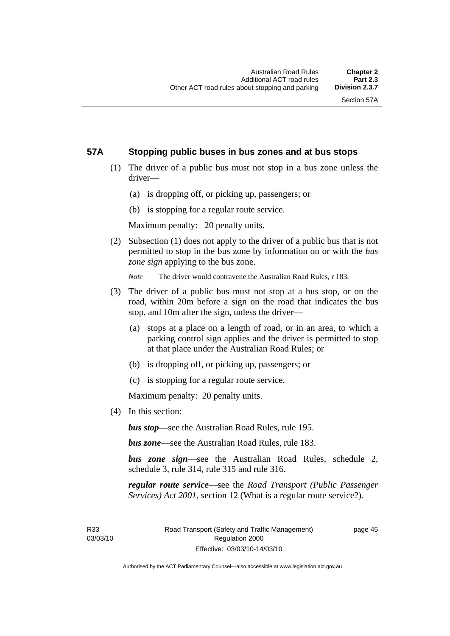### **57A Stopping public buses in bus zones and at bus stops**

- (1) The driver of a public bus must not stop in a bus zone unless the driver—
	- (a) is dropping off, or picking up, passengers; or
	- (b) is stopping for a regular route service.

Maximum penalty: 20 penalty units.

 (2) Subsection (1) does not apply to the driver of a public bus that is not permitted to stop in the bus zone by information on or with the *bus zone sign* applying to the bus zone.

*Note* The driver would contravene the Australian Road Rules, r 183.

- (3) The driver of a public bus must not stop at a bus stop, or on the road, within 20m before a sign on the road that indicates the bus stop, and 10m after the sign, unless the driver—
	- (a) stops at a place on a length of road, or in an area, to which a parking control sign applies and the driver is permitted to stop at that place under the Australian Road Rules; or
	- (b) is dropping off, or picking up, passengers; or
	- (c) is stopping for a regular route service.

Maximum penalty: 20 penalty units.

(4) In this section:

*bus stop*—see the Australian Road Rules, rule 195.

*bus zone*—see the Australian Road Rules, rule 183.

*bus zone sign*—see the Australian Road Rules, schedule 2, schedule 3, rule 314, rule 315 and rule 316.

*regular route service*—see the *Road Transport (Public Passenger Services) Act 2001*, section 12 (What is a regular route service?).

R33 03/03/10 page 45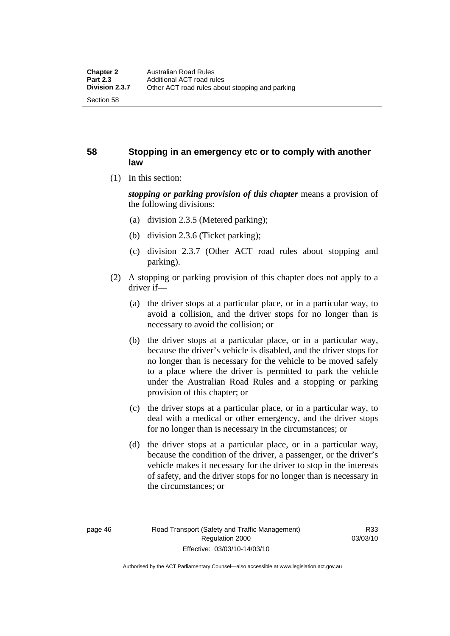### **58 Stopping in an emergency etc or to comply with another law**

(1) In this section:

*stopping or parking provision of this chapter* means a provision of the following divisions:

- (a) division 2.3.5 (Metered parking);
- (b) division 2.3.6 (Ticket parking);
- (c) division 2.3.7 (Other ACT road rules about stopping and parking).
- (2) A stopping or parking provision of this chapter does not apply to a driver if—
	- (a) the driver stops at a particular place, or in a particular way, to avoid a collision, and the driver stops for no longer than is necessary to avoid the collision; or
	- (b) the driver stops at a particular place, or in a particular way, because the driver's vehicle is disabled, and the driver stops for no longer than is necessary for the vehicle to be moved safely to a place where the driver is permitted to park the vehicle under the Australian Road Rules and a stopping or parking provision of this chapter; or
	- (c) the driver stops at a particular place, or in a particular way, to deal with a medical or other emergency, and the driver stops for no longer than is necessary in the circumstances; or
	- (d) the driver stops at a particular place, or in a particular way, because the condition of the driver, a passenger, or the driver's vehicle makes it necessary for the driver to stop in the interests of safety, and the driver stops for no longer than is necessary in the circumstances; or

Authorised by the ACT Parliamentary Counsel—also accessible at www.legislation.act.gov.au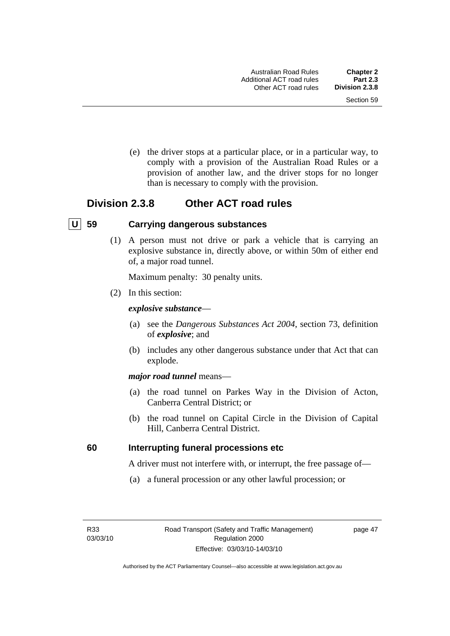(e) the driver stops at a particular place, or in a particular way, to comply with a provision of the Australian Road Rules or a provision of another law, and the driver stops for no longer than is necessary to comply with the provision.

# **Division 2.3.8 Other ACT road rules**

### **U 59 Carrying dangerous substances**

 (1) A person must not drive or park a vehicle that is carrying an explosive substance in, directly above, or within 50m of either end of, a major road tunnel.

Maximum penalty: 30 penalty units.

(2) In this section:

### *explosive substance*—

- (a) see the *Dangerous Substances Act 2004*, section 73, definition of *explosive*; and
- (b) includes any other dangerous substance under that Act that can explode.

### *major road tunnel* means—

- (a) the road tunnel on Parkes Way in the Division of Acton, Canberra Central District; or
- (b) the road tunnel on Capital Circle in the Division of Capital Hill, Canberra Central District.

### **60 Interrupting funeral processions etc**

A driver must not interfere with, or interrupt, the free passage of—

(a) a funeral procession or any other lawful procession; or

R33 03/03/10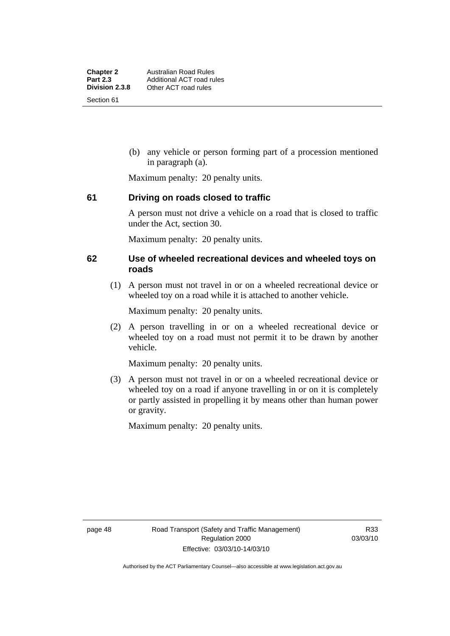(b) any vehicle or person forming part of a procession mentioned in paragraph (a).

Maximum penalty: 20 penalty units.

### **61 Driving on roads closed to traffic**

A person must not drive a vehicle on a road that is closed to traffic under the Act, section 30.

Maximum penalty: 20 penalty units.

### **62 Use of wheeled recreational devices and wheeled toys on roads**

 (1) A person must not travel in or on a wheeled recreational device or wheeled toy on a road while it is attached to another vehicle.

Maximum penalty: 20 penalty units.

 (2) A person travelling in or on a wheeled recreational device or wheeled toy on a road must not permit it to be drawn by another vehicle.

Maximum penalty: 20 penalty units.

 (3) A person must not travel in or on a wheeled recreational device or wheeled toy on a road if anyone travelling in or on it is completely or partly assisted in propelling it by means other than human power or gravity.

Maximum penalty: 20 penalty units.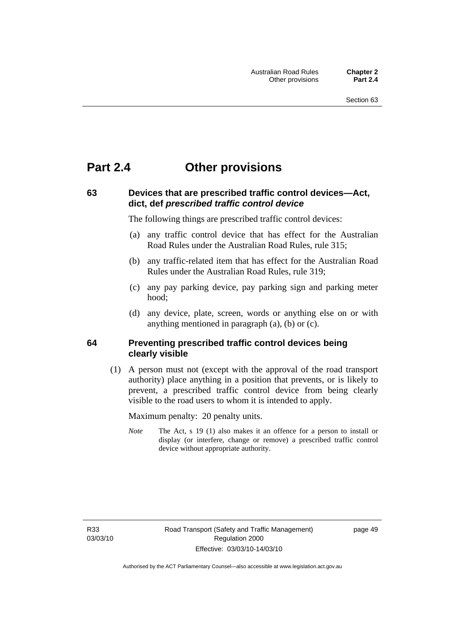# **Part 2.4 Other provisions**

# **63 Devices that are prescribed traffic control devices—Act, dict, def** *prescribed traffic control device*

The following things are prescribed traffic control devices:

- (a) any traffic control device that has effect for the Australian Road Rules under the Australian Road Rules, rule 315;
- (b) any traffic-related item that has effect for the Australian Road Rules under the Australian Road Rules, rule 319;
- (c) any pay parking device, pay parking sign and parking meter hood;
- (d) any device, plate, screen, words or anything else on or with anything mentioned in paragraph (a), (b) or (c).

### **64 Preventing prescribed traffic control devices being clearly visible**

 (1) A person must not (except with the approval of the road transport authority) place anything in a position that prevents, or is likely to prevent, a prescribed traffic control device from being clearly visible to the road users to whom it is intended to apply.

Maximum penalty: 20 penalty units.

*Note* The Act, s 19 (1) also makes it an offence for a person to install or display (or interfere, change or remove) a prescribed traffic control device without appropriate authority.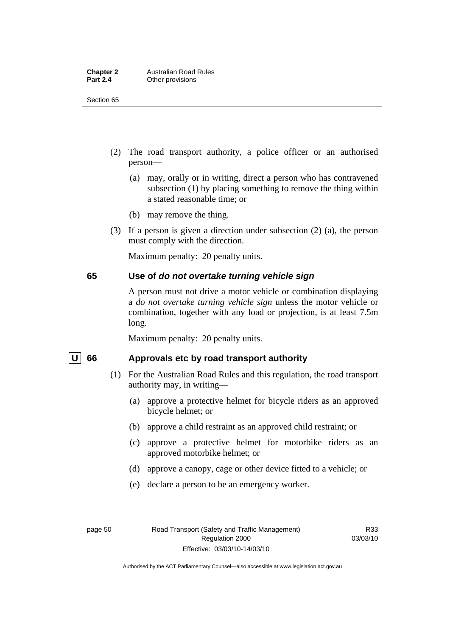| <b>Chapter 2</b> | <b>Australian Road Rules</b> |
|------------------|------------------------------|
| <b>Part 2.4</b>  | Other provisions             |

Section 65

- (2) The road transport authority, a police officer or an authorised person—
	- (a) may, orally or in writing, direct a person who has contravened subsection (1) by placing something to remove the thing within a stated reasonable time; or
	- (b) may remove the thing.
- (3) If a person is given a direction under subsection (2) (a), the person must comply with the direction.

Maximum penalty: 20 penalty units.

### **65 Use of** *do not overtake turning vehicle sign*

A person must not drive a motor vehicle or combination displaying a *do not overtake turning vehicle sign* unless the motor vehicle or combination, together with any load or projection, is at least 7.5m long.

Maximum penalty: 20 penalty units.

### U 66 Approvals etc by road transport authority

- (1) For the Australian Road Rules and this regulation, the road transport authority may, in writing—
	- (a) approve a protective helmet for bicycle riders as an approved bicycle helmet; or
	- (b) approve a child restraint as an approved child restraint; or
	- (c) approve a protective helmet for motorbike riders as an approved motorbike helmet; or
	- (d) approve a canopy, cage or other device fitted to a vehicle; or
	- (e) declare a person to be an emergency worker.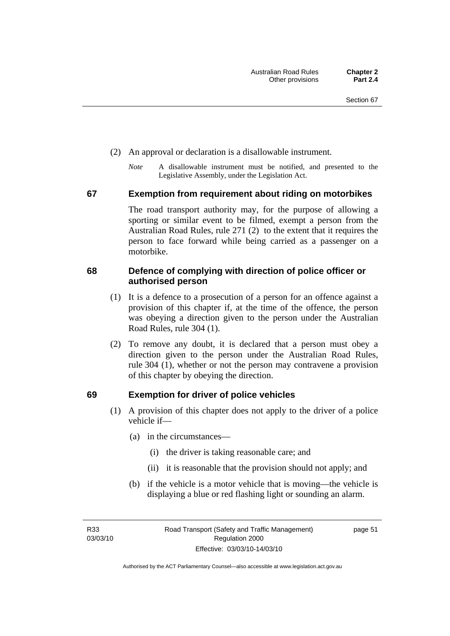- (2) An approval or declaration is a disallowable instrument.
	- *Note* A disallowable instrument must be notified, and presented to the Legislative Assembly, under the Legislation Act.

### **67 Exemption from requirement about riding on motorbikes**

The road transport authority may, for the purpose of allowing a sporting or similar event to be filmed, exempt a person from the Australian Road Rules, rule 271 (2) to the extent that it requires the person to face forward while being carried as a passenger on a motorbike.

### **68 Defence of complying with direction of police officer or authorised person**

- (1) It is a defence to a prosecution of a person for an offence against a provision of this chapter if, at the time of the offence, the person was obeying a direction given to the person under the Australian Road Rules, rule 304 (1).
- (2) To remove any doubt, it is declared that a person must obey a direction given to the person under the Australian Road Rules, rule 304 (1), whether or not the person may contravene a provision of this chapter by obeying the direction.

### **69 Exemption for driver of police vehicles**

- (1) A provision of this chapter does not apply to the driver of a police vehicle if—
	- (a) in the circumstances—
		- (i) the driver is taking reasonable care; and
		- (ii) it is reasonable that the provision should not apply; and
	- (b) if the vehicle is a motor vehicle that is moving—the vehicle is displaying a blue or red flashing light or sounding an alarm.

R33 03/03/10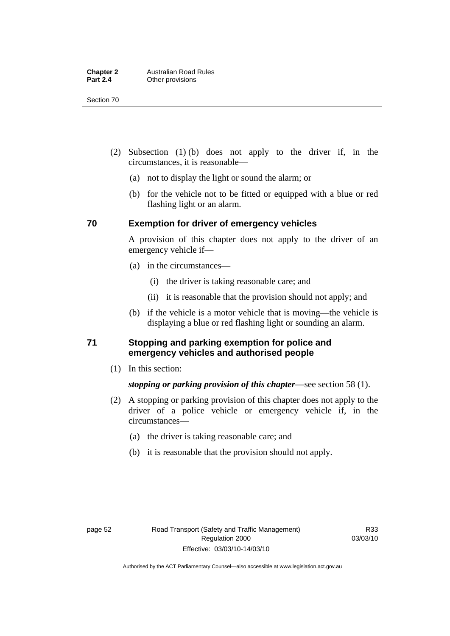Section 70

- (2) Subsection (1) (b) does not apply to the driver if, in the circumstances, it is reasonable—
	- (a) not to display the light or sound the alarm; or
	- (b) for the vehicle not to be fitted or equipped with a blue or red flashing light or an alarm.

### **70 Exemption for driver of emergency vehicles**

A provision of this chapter does not apply to the driver of an emergency vehicle if—

- (a) in the circumstances—
	- (i) the driver is taking reasonable care; and
	- (ii) it is reasonable that the provision should not apply; and
- (b) if the vehicle is a motor vehicle that is moving—the vehicle is displaying a blue or red flashing light or sounding an alarm.

### **71 Stopping and parking exemption for police and emergency vehicles and authorised people**

(1) In this section:

### *stopping or parking provision of this chapter*—see section 58 (1).

- (2) A stopping or parking provision of this chapter does not apply to the driver of a police vehicle or emergency vehicle if, in the circumstances—
	- (a) the driver is taking reasonable care; and
	- (b) it is reasonable that the provision should not apply.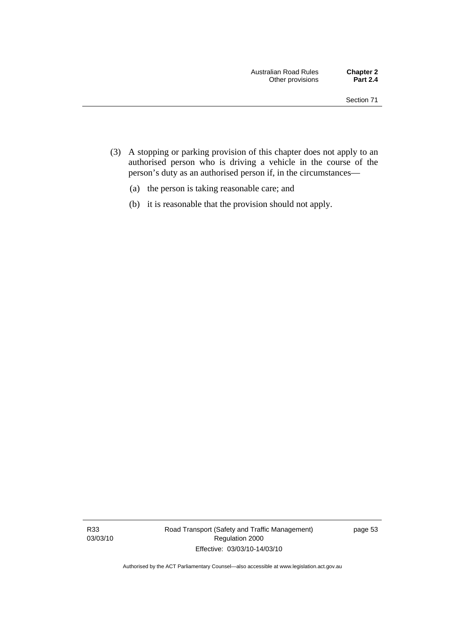- (3) A stopping or parking provision of this chapter does not apply to an authorised person who is driving a vehicle in the course of the person's duty as an authorised person if, in the circumstances—
	- (a) the person is taking reasonable care; and
	- (b) it is reasonable that the provision should not apply.

R33 03/03/10 Road Transport (Safety and Traffic Management) Regulation 2000 Effective: 03/03/10-14/03/10

page 53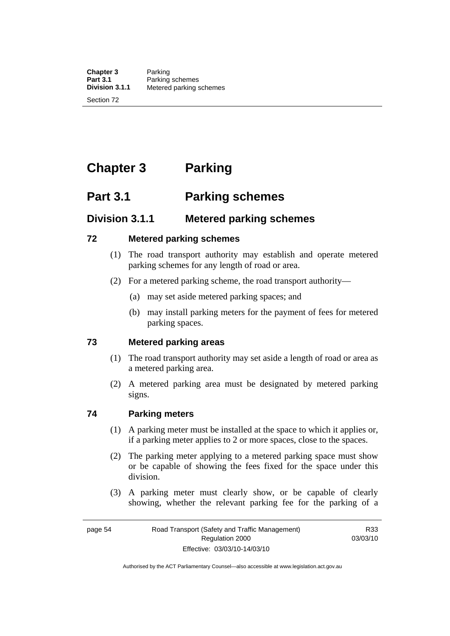**Chapter 3** Parking<br>**Part 3.1** Parking **Part 3.1 Parking schemes**<br>**Division 3.1.1** Metered parking s **Division 3.1.1** Metered parking schemes

Section 72

# **Chapter 3 Parking**

# **Part 3.1 Parking schemes**

# **Division 3.1.1 Metered parking schemes**

### **72 Metered parking schemes**

- (1) The road transport authority may establish and operate metered parking schemes for any length of road or area.
- (2) For a metered parking scheme, the road transport authority—
	- (a) may set aside metered parking spaces; and
	- (b) may install parking meters for the payment of fees for metered parking spaces.

### **73 Metered parking areas**

- (1) The road transport authority may set aside a length of road or area as a metered parking area.
- (2) A metered parking area must be designated by metered parking signs.

### **74 Parking meters**

- (1) A parking meter must be installed at the space to which it applies or, if a parking meter applies to 2 or more spaces, close to the spaces.
- (2) The parking meter applying to a metered parking space must show or be capable of showing the fees fixed for the space under this division.
- (3) A parking meter must clearly show, or be capable of clearly showing, whether the relevant parking fee for the parking of a

R33 03/03/10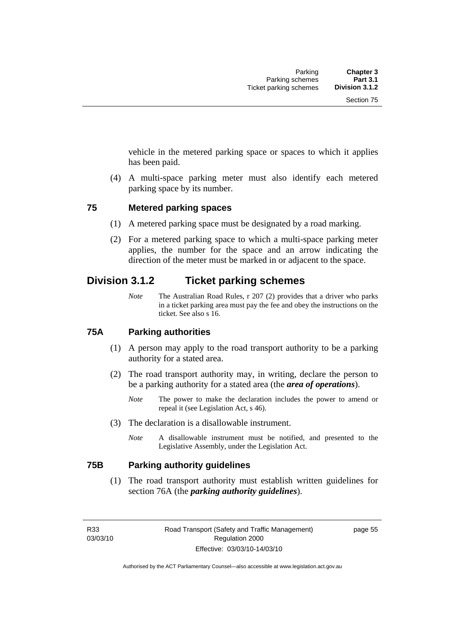vehicle in the metered parking space or spaces to which it applies has been paid.

 (4) A multi-space parking meter must also identify each metered parking space by its number.

### **75 Metered parking spaces**

- (1) A metered parking space must be designated by a road marking.
- (2) For a metered parking space to which a multi-space parking meter applies, the number for the space and an arrow indicating the direction of the meter must be marked in or adjacent to the space.

# **Division 3.1.2 Ticket parking schemes**

*Note* The Australian Road Rules, r 207 (2) provides that a driver who parks in a ticket parking area must pay the fee and obey the instructions on the ticket. See also s 16.

### **75A Parking authorities**

- (1) A person may apply to the road transport authority to be a parking authority for a stated area.
- (2) The road transport authority may, in writing, declare the person to be a parking authority for a stated area (the *area of operations*).
	- *Note* The power to make the declaration includes the power to amend or repeal it (see Legislation Act, s 46).
- (3) The declaration is a disallowable instrument.
	- *Note* A disallowable instrument must be notified, and presented to the Legislative Assembly, under the Legislation Act.

### **75B Parking authority guidelines**

 (1) The road transport authority must establish written guidelines for section 76A (the *parking authority guidelines*).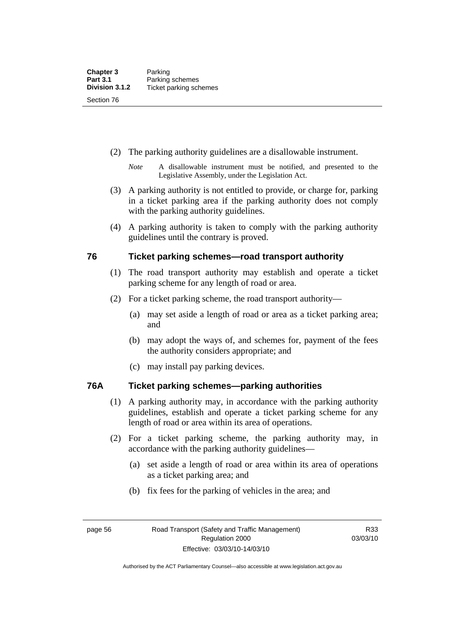- (2) The parking authority guidelines are a disallowable instrument.
	- *Note* A disallowable instrument must be notified, and presented to the Legislative Assembly, under the Legislation Act.
- (3) A parking authority is not entitled to provide, or charge for, parking in a ticket parking area if the parking authority does not comply with the parking authority guidelines.
- (4) A parking authority is taken to comply with the parking authority guidelines until the contrary is proved.

### **76 Ticket parking schemes—road transport authority**

- (1) The road transport authority may establish and operate a ticket parking scheme for any length of road or area.
- (2) For a ticket parking scheme, the road transport authority—
	- (a) may set aside a length of road or area as a ticket parking area; and
	- (b) may adopt the ways of, and schemes for, payment of the fees the authority considers appropriate; and
	- (c) may install pay parking devices.

### **76A Ticket parking schemes—parking authorities**

- (1) A parking authority may, in accordance with the parking authority guidelines, establish and operate a ticket parking scheme for any length of road or area within its area of operations.
- (2) For a ticket parking scheme, the parking authority may, in accordance with the parking authority guidelines—
	- (a) set aside a length of road or area within its area of operations as a ticket parking area; and
	- (b) fix fees for the parking of vehicles in the area; and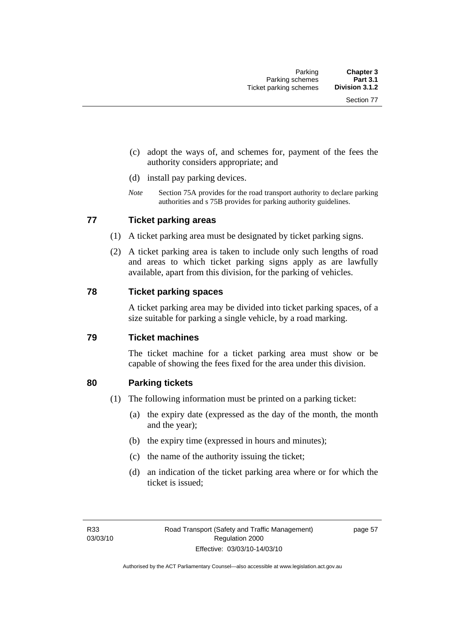- (c) adopt the ways of, and schemes for, payment of the fees the authority considers appropriate; and
- (d) install pay parking devices.
- *Note* Section 75A provides for the road transport authority to declare parking authorities and s 75B provides for parking authority guidelines.

### **77 Ticket parking areas**

- (1) A ticket parking area must be designated by ticket parking signs.
- (2) A ticket parking area is taken to include only such lengths of road and areas to which ticket parking signs apply as are lawfully available, apart from this division, for the parking of vehicles.

### **78 Ticket parking spaces**

A ticket parking area may be divided into ticket parking spaces, of a size suitable for parking a single vehicle, by a road marking.

### **79 Ticket machines**

The ticket machine for a ticket parking area must show or be capable of showing the fees fixed for the area under this division.

### **80 Parking tickets**

- (1) The following information must be printed on a parking ticket:
	- (a) the expiry date (expressed as the day of the month, the month and the year);
	- (b) the expiry time (expressed in hours and minutes);
	- (c) the name of the authority issuing the ticket;
	- (d) an indication of the ticket parking area where or for which the ticket is issued;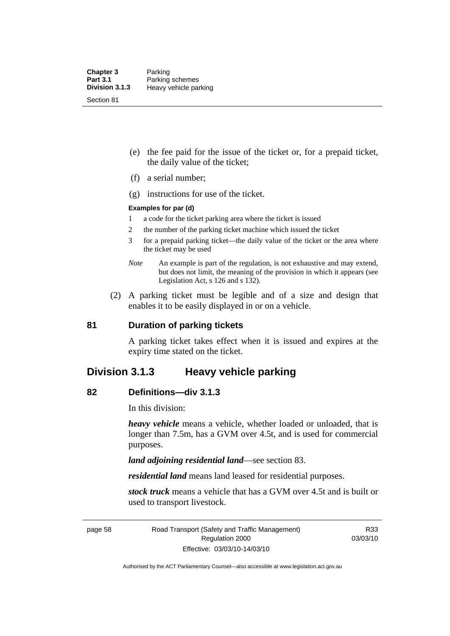- (e) the fee paid for the issue of the ticket or, for a prepaid ticket, the daily value of the ticket;
- (f) a serial number;
- (g) instructions for use of the ticket.

### **Examples for par (d)**

- 1 a code for the ticket parking area where the ticket is issued
- 2 the number of the parking ticket machine which issued the ticket
- 3 for a prepaid parking ticket—the daily value of the ticket or the area where the ticket may be used
- *Note* An example is part of the regulation, is not exhaustive and may extend, but does not limit, the meaning of the provision in which it appears (see Legislation Act, s 126 and s 132).
- (2) A parking ticket must be legible and of a size and design that enables it to be easily displayed in or on a vehicle.

### **81 Duration of parking tickets**

A parking ticket takes effect when it is issued and expires at the expiry time stated on the ticket.

### **Division 3.1.3 Heavy vehicle parking**

### **82 Definitions—div 3.1.3**

In this division:

*heavy vehicle* means a vehicle, whether loaded or unloaded, that is longer than 7.5m, has a GVM over 4.5t, and is used for commercial purposes.

*land adjoining residential land*—see section 83.

*residential land* means land leased for residential purposes.

*stock truck* means a vehicle that has a GVM over 4.5t and is built or used to transport livestock.

page 58 Road Transport (Safety and Traffic Management) Regulation 2000 Effective: 03/03/10-14/03/10

R33 03/03/10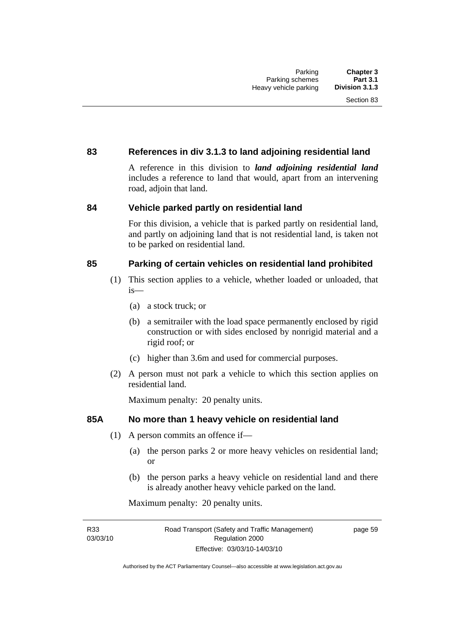### **83 References in div 3.1.3 to land adjoining residential land**

A reference in this division to *land adjoining residential land* includes a reference to land that would, apart from an intervening road, adjoin that land.

### **84 Vehicle parked partly on residential land**

For this division, a vehicle that is parked partly on residential land, and partly on adjoining land that is not residential land, is taken not to be parked on residential land.

### **85 Parking of certain vehicles on residential land prohibited**

- (1) This section applies to a vehicle, whether loaded or unloaded, that is—
	- (a) a stock truck; or
	- (b) a semitrailer with the load space permanently enclosed by rigid construction or with sides enclosed by nonrigid material and a rigid roof; or
	- (c) higher than 3.6m and used for commercial purposes.
- (2) A person must not park a vehicle to which this section applies on residential land.

Maximum penalty: 20 penalty units.

### **85A No more than 1 heavy vehicle on residential land**

- (1) A person commits an offence if—
	- (a) the person parks 2 or more heavy vehicles on residential land; or
	- (b) the person parks a heavy vehicle on residential land and there is already another heavy vehicle parked on the land.

Maximum penalty: 20 penalty units.

R33 03/03/10 page 59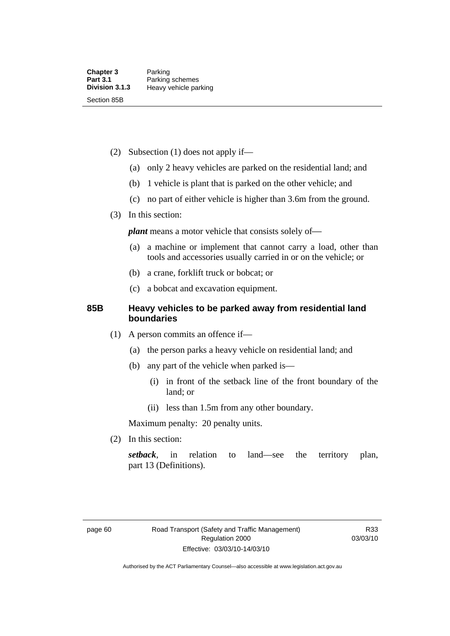- (2) Subsection (1) does not apply if—
	- (a) only 2 heavy vehicles are parked on the residential land; and
	- (b) 1 vehicle is plant that is parked on the other vehicle; and
	- (c) no part of either vehicle is higher than 3.6m from the ground.
- (3) In this section:

*plant* means a motor vehicle that consists solely of-

- (a) a machine or implement that cannot carry a load, other than tools and accessories usually carried in or on the vehicle; or
- (b) a crane, forklift truck or bobcat; or
- (c) a bobcat and excavation equipment.

### **85B Heavy vehicles to be parked away from residential land boundaries**

- (1) A person commits an offence if—
	- (a) the person parks a heavy vehicle on residential land; and
	- (b) any part of the vehicle when parked is—
		- (i) in front of the setback line of the front boundary of the land; or
		- (ii) less than 1.5m from any other boundary.

Maximum penalty: 20 penalty units.

(2) In this section:

*setback*, in relation to land—see the territory plan, part 13 (Definitions).

Authorised by the ACT Parliamentary Counsel—also accessible at www.legislation.act.gov.au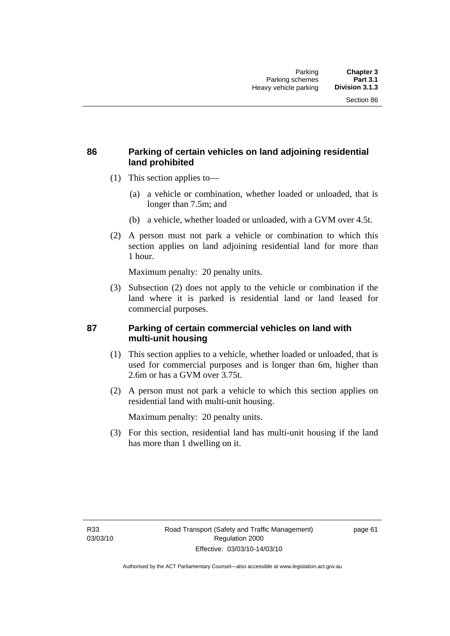### **86 Parking of certain vehicles on land adjoining residential land prohibited**

- (1) This section applies to—
	- (a) a vehicle or combination, whether loaded or unloaded, that is longer than 7.5m; and
	- (b) a vehicle, whether loaded or unloaded, with a GVM over 4.5t.
- (2) A person must not park a vehicle or combination to which this section applies on land adjoining residential land for more than 1 hour.

Maximum penalty: 20 penalty units.

 (3) Subsection (2) does not apply to the vehicle or combination if the land where it is parked is residential land or land leased for commercial purposes.

### **87 Parking of certain commercial vehicles on land with multi-unit housing**

- (1) This section applies to a vehicle, whether loaded or unloaded, that is used for commercial purposes and is longer than 6m, higher than 2.6m or has a GVM over 3.75t.
- (2) A person must not park a vehicle to which this section applies on residential land with multi-unit housing.

Maximum penalty: 20 penalty units.

 (3) For this section, residential land has multi-unit housing if the land has more than 1 dwelling on it.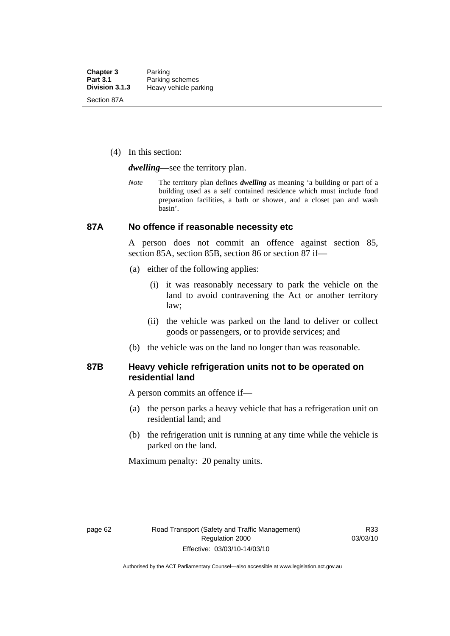(4) In this section:

*dwelling—*see the territory plan.

*Note* The territory plan defines *dwelling* as meaning 'a building or part of a building used as a self contained residence which must include food preparation facilities, a bath or shower, and a closet pan and wash basin'.

### **87A No offence if reasonable necessity etc**

A person does not commit an offence against section 85, section 85A, section 85B, section 86 or section 87 if—

- (a) either of the following applies:
	- (i) it was reasonably necessary to park the vehicle on the land to avoid contravening the Act or another territory law;
	- (ii) the vehicle was parked on the land to deliver or collect goods or passengers, or to provide services; and
- (b) the vehicle was on the land no longer than was reasonable.

### **87B Heavy vehicle refrigeration units not to be operated on residential land**

A person commits an offence if—

- (a) the person parks a heavy vehicle that has a refrigeration unit on residential land; and
- (b) the refrigeration unit is running at any time while the vehicle is parked on the land.

Maximum penalty: 20 penalty units.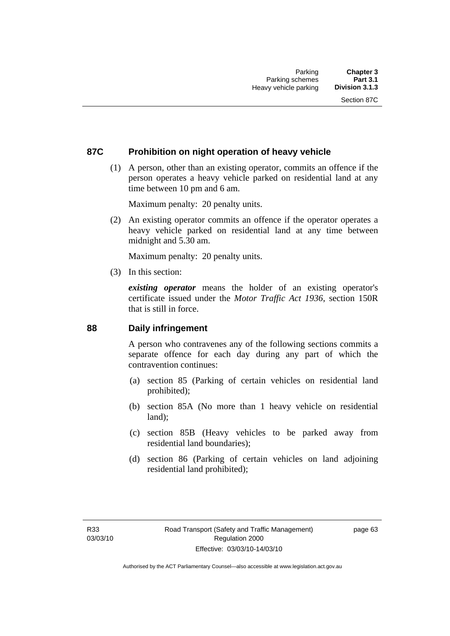### **87C Prohibition on night operation of heavy vehicle**

 (1) A person, other than an existing operator, commits an offence if the person operates a heavy vehicle parked on residential land at any time between 10 pm and 6 am.

Maximum penalty: 20 penalty units.

 (2) An existing operator commits an offence if the operator operates a heavy vehicle parked on residential land at any time between midnight and 5.30 am.

Maximum penalty: 20 penalty units.

(3) In this section:

*existing operator* means the holder of an existing operator's certificate issued under the *Motor Traffic Act 1936*, section 150R that is still in force.

### **88 Daily infringement**

A person who contravenes any of the following sections commits a separate offence for each day during any part of which the contravention continues:

- (a) section 85 (Parking of certain vehicles on residential land prohibited);
- (b) section 85A (No more than 1 heavy vehicle on residential land);
- (c) section 85B (Heavy vehicles to be parked away from residential land boundaries);
- (d) section 86 (Parking of certain vehicles on land adjoining residential land prohibited);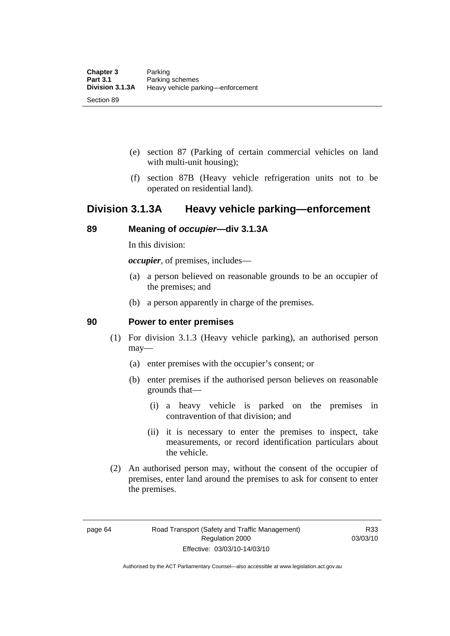- (e) section 87 (Parking of certain commercial vehicles on land with multi-unit housing);
- (f) section 87B (Heavy vehicle refrigeration units not to be operated on residential land).

## **Division 3.1.3A Heavy vehicle parking—enforcement**

### **89 Meaning of** *occupier***—div 3.1.3A**

In this division:

*occupier*, of premises, includes—

- (a) a person believed on reasonable grounds to be an occupier of the premises; and
- (b) a person apparently in charge of the premises.

### **90 Power to enter premises**

- (1) For division 3.1.3 (Heavy vehicle parking), an authorised person may—
	- (a) enter premises with the occupier's consent; or
	- (b) enter premises if the authorised person believes on reasonable grounds that—
		- (i) a heavy vehicle is parked on the premises in contravention of that division; and
		- (ii) it is necessary to enter the premises to inspect, take measurements, or record identification particulars about the vehicle.
- (2) An authorised person may, without the consent of the occupier of premises, enter land around the premises to ask for consent to enter the premises.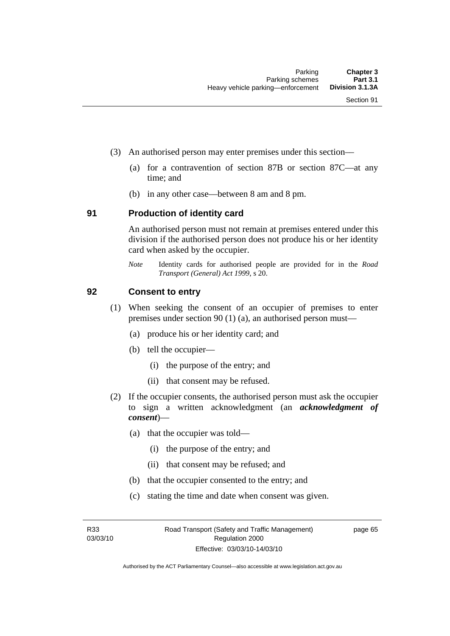- (3) An authorised person may enter premises under this section––
	- (a) for a contravention of section 87B or section 87C––at any time; and
	- (b) in any other case––between 8 am and 8 pm.

#### **91 Production of identity card**

An authorised person must not remain at premises entered under this division if the authorised person does not produce his or her identity card when asked by the occupier.

*Note* Identity cards for authorised people are provided for in the *Road Transport (General) Act 1999*, s 20.

#### **92 Consent to entry**

- (1) When seeking the consent of an occupier of premises to enter premises under section 90 (1) (a), an authorised person must—
	- (a) produce his or her identity card; and
	- (b) tell the occupier—
		- (i) the purpose of the entry; and
		- (ii) that consent may be refused.
- (2) If the occupier consents, the authorised person must ask the occupier to sign a written acknowledgment (an *acknowledgment of consent*)—
	- (a) that the occupier was told—
		- (i) the purpose of the entry; and
		- (ii) that consent may be refused; and
	- (b) that the occupier consented to the entry; and
	- (c) stating the time and date when consent was given.

R33 03/03/10 page 65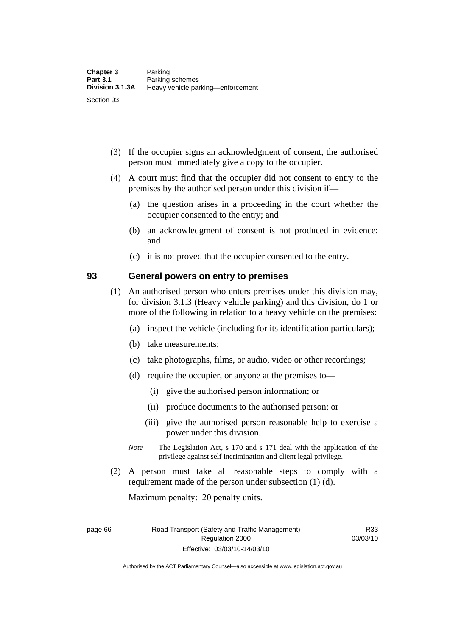- (3) If the occupier signs an acknowledgment of consent, the authorised person must immediately give a copy to the occupier.
- (4) A court must find that the occupier did not consent to entry to the premises by the authorised person under this division if—
	- (a) the question arises in a proceeding in the court whether the occupier consented to the entry; and
	- (b) an acknowledgment of consent is not produced in evidence; and
	- (c) it is not proved that the occupier consented to the entry.

### **93 General powers on entry to premises**

- (1) An authorised person who enters premises under this division may, for division 3.1.3 (Heavy vehicle parking) and this division, do 1 or more of the following in relation to a heavy vehicle on the premises:
	- (a) inspect the vehicle (including for its identification particulars);
	- (b) take measurements;
	- (c) take photographs, films, or audio, video or other recordings;
	- (d) require the occupier, or anyone at the premises to—
		- (i) give the authorised person information; or
		- (ii) produce documents to the authorised person; or
		- (iii) give the authorised person reasonable help to exercise a power under this division.
	- *Note* The Legislation Act, s 170 and s 171 deal with the application of the privilege against self incrimination and client legal privilege.
- (2) A person must take all reasonable steps to comply with a requirement made of the person under subsection (1) (d).

Maximum penalty: 20 penalty units.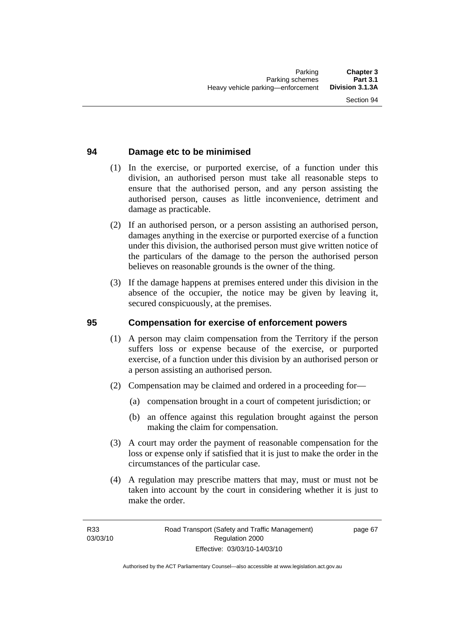## **94 Damage etc to be minimised**

- (1) In the exercise, or purported exercise, of a function under this division, an authorised person must take all reasonable steps to ensure that the authorised person, and any person assisting the authorised person, causes as little inconvenience, detriment and damage as practicable.
- (2) If an authorised person, or a person assisting an authorised person, damages anything in the exercise or purported exercise of a function under this division, the authorised person must give written notice of the particulars of the damage to the person the authorised person believes on reasonable grounds is the owner of the thing.
- (3) If the damage happens at premises entered under this division in the absence of the occupier, the notice may be given by leaving it, secured conspicuously, at the premises.

#### **95 Compensation for exercise of enforcement powers**

- (1) A person may claim compensation from the Territory if the person suffers loss or expense because of the exercise, or purported exercise, of a function under this division by an authorised person or a person assisting an authorised person.
- (2) Compensation may be claimed and ordered in a proceeding for—
	- (a) compensation brought in a court of competent jurisdiction; or
	- (b) an offence against this regulation brought against the person making the claim for compensation.
- (3) A court may order the payment of reasonable compensation for the loss or expense only if satisfied that it is just to make the order in the circumstances of the particular case.
- (4) A regulation may prescribe matters that may, must or must not be taken into account by the court in considering whether it is just to make the order.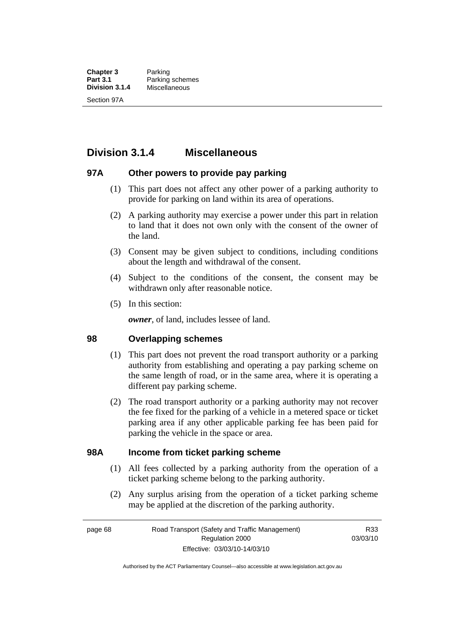**Chapter 3** Parking<br>**Part 3.1** Parking **Part 3.1** Parking schemes<br>**Division 3.1.4** Miscellaneous **Division 3.1.4** Miscellaneous Section 97A

## **Division 3.1.4 Miscellaneous**

### **97A Other powers to provide pay parking**

- (1) This part does not affect any other power of a parking authority to provide for parking on land within its area of operations.
- (2) A parking authority may exercise a power under this part in relation to land that it does not own only with the consent of the owner of the land.
- (3) Consent may be given subject to conditions, including conditions about the length and withdrawal of the consent.
- (4) Subject to the conditions of the consent, the consent may be withdrawn only after reasonable notice.
- (5) In this section:

*owner*, of land, includes lessee of land.

### **98 Overlapping schemes**

- (1) This part does not prevent the road transport authority or a parking authority from establishing and operating a pay parking scheme on the same length of road, or in the same area, where it is operating a different pay parking scheme.
- (2) The road transport authority or a parking authority may not recover the fee fixed for the parking of a vehicle in a metered space or ticket parking area if any other applicable parking fee has been paid for parking the vehicle in the space or area.

### **98A Income from ticket parking scheme**

- (1) All fees collected by a parking authority from the operation of a ticket parking scheme belong to the parking authority.
- (2) Any surplus arising from the operation of a ticket parking scheme may be applied at the discretion of the parking authority.

page 68 Road Transport (Safety and Traffic Management) Regulation 2000 Effective: 03/03/10-14/03/10

R33 03/03/10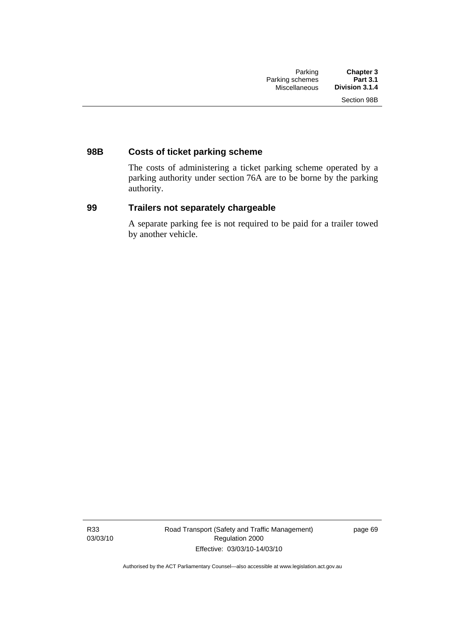## **98B Costs of ticket parking scheme**

The costs of administering a ticket parking scheme operated by a parking authority under section 76A are to be borne by the parking authority.

### **99 Trailers not separately chargeable**

A separate parking fee is not required to be paid for a trailer towed by another vehicle.

R33 03/03/10 Road Transport (Safety and Traffic Management) Regulation 2000 Effective: 03/03/10-14/03/10

page 69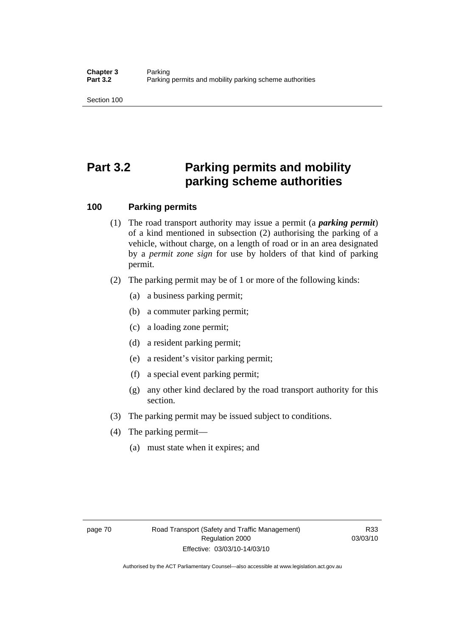Section 100

# **Part 3.2 Parking permits and mobility parking scheme authorities**

### **100 Parking permits**

- (1) The road transport authority may issue a permit (a *parking permit*) of a kind mentioned in subsection (2) authorising the parking of a vehicle, without charge, on a length of road or in an area designated by a *permit zone sign* for use by holders of that kind of parking permit.
- (2) The parking permit may be of 1 or more of the following kinds:
	- (a) a business parking permit;
	- (b) a commuter parking permit;
	- (c) a loading zone permit;
	- (d) a resident parking permit;
	- (e) a resident's visitor parking permit;
	- (f) a special event parking permit;
	- (g) any other kind declared by the road transport authority for this section.
- (3) The parking permit may be issued subject to conditions.
- (4) The parking permit—
	- (a) must state when it expires; and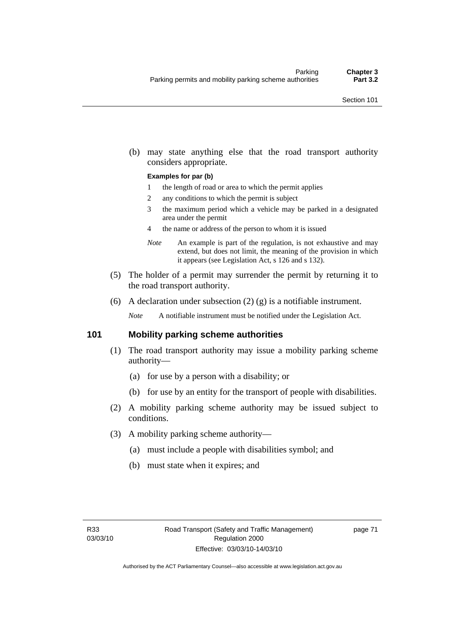(b) may state anything else that the road transport authority considers appropriate.

#### **Examples for par (b)**

- 1 the length of road or area to which the permit applies
- 2 any conditions to which the permit is subject
- 3 the maximum period which a vehicle may be parked in a designated area under the permit
- 4 the name or address of the person to whom it is issued
- *Note* An example is part of the regulation, is not exhaustive and may extend, but does not limit, the meaning of the provision in which it appears (see Legislation Act, s 126 and s 132).
- (5) The holder of a permit may surrender the permit by returning it to the road transport authority.
- (6) A declaration under subsection  $(2)$   $(g)$  is a notifiable instrument.

*Note* A notifiable instrument must be notified under the Legislation Act.

#### **101 Mobility parking scheme authorities**

- (1) The road transport authority may issue a mobility parking scheme authority—
	- (a) for use by a person with a disability; or
	- (b) for use by an entity for the transport of people with disabilities.
- (2) A mobility parking scheme authority may be issued subject to conditions.
- (3) A mobility parking scheme authority—
	- (a) must include a people with disabilities symbol; and
	- (b) must state when it expires; and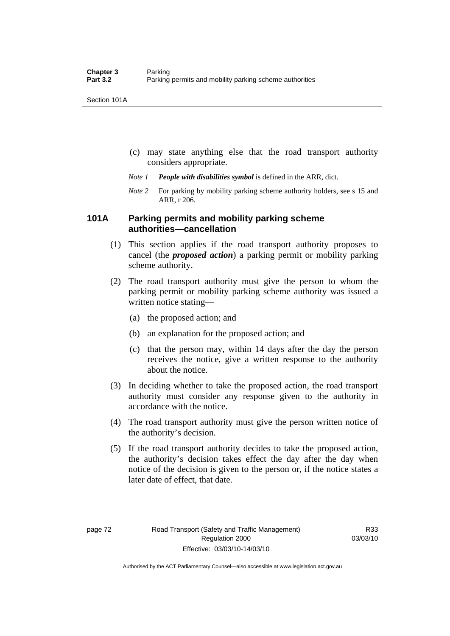Section 101A

- (c) may state anything else that the road transport authority considers appropriate.
- *Note 1 People with disabilities symbol* is defined in the ARR, dict.
- *Note 2* For parking by mobility parking scheme authority holders, see s 15 and ARR, r 206.

### **101A Parking permits and mobility parking scheme authorities—cancellation**

- (1) This section applies if the road transport authority proposes to cancel (the *proposed action*) a parking permit or mobility parking scheme authority.
- (2) The road transport authority must give the person to whom the parking permit or mobility parking scheme authority was issued a written notice stating—
	- (a) the proposed action; and
	- (b) an explanation for the proposed action; and
	- (c) that the person may, within 14 days after the day the person receives the notice, give a written response to the authority about the notice.
- (3) In deciding whether to take the proposed action, the road transport authority must consider any response given to the authority in accordance with the notice.
- (4) The road transport authority must give the person written notice of the authority's decision.
- (5) If the road transport authority decides to take the proposed action, the authority's decision takes effect the day after the day when notice of the decision is given to the person or, if the notice states a later date of effect, that date.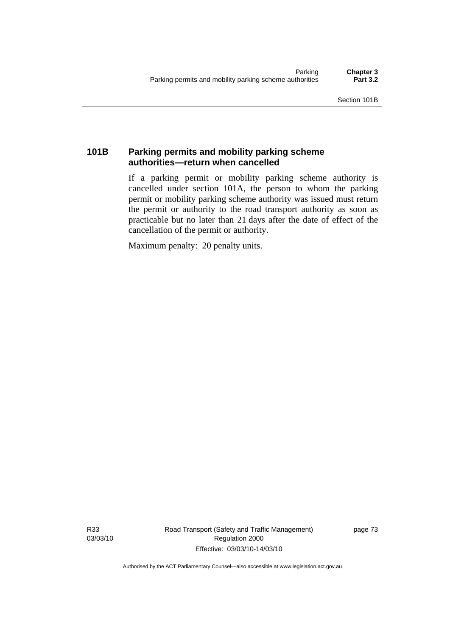## **101B Parking permits and mobility parking scheme authorities—return when cancelled**

If a parking permit or mobility parking scheme authority is cancelled under section 101A, the person to whom the parking permit or mobility parking scheme authority was issued must return the permit or authority to the road transport authority as soon as practicable but no later than 21 days after the date of effect of the cancellation of the permit or authority.

Maximum penalty: 20 penalty units.

R33 03/03/10 Road Transport (Safety and Traffic Management) Regulation 2000 Effective: 03/03/10-14/03/10

page 73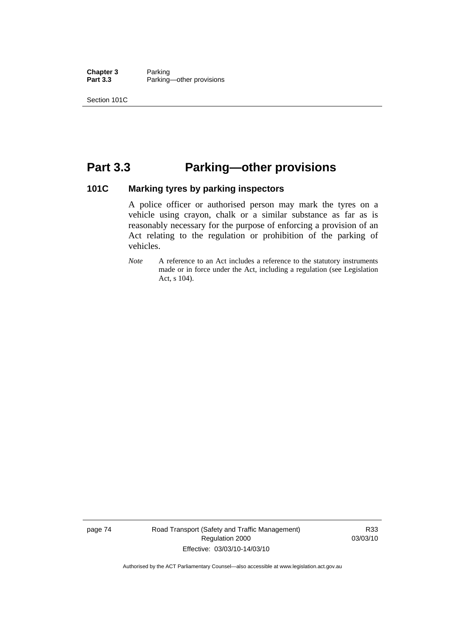**Chapter 3** Parking<br>**Part 3.3** Parking Parking—other provisions

Section 101C

## **Part 3.3 Parking—other provisions**

## **101C Marking tyres by parking inspectors**

A police officer or authorised person may mark the tyres on a vehicle using crayon, chalk or a similar substance as far as is reasonably necessary for the purpose of enforcing a provision of an Act relating to the regulation or prohibition of the parking of vehicles.

*Note* A reference to an Act includes a reference to the statutory instruments made or in force under the Act, including a regulation (see Legislation Act, s 104).

page 74 Road Transport (Safety and Traffic Management) Regulation 2000 Effective: 03/03/10-14/03/10

R33 03/03/10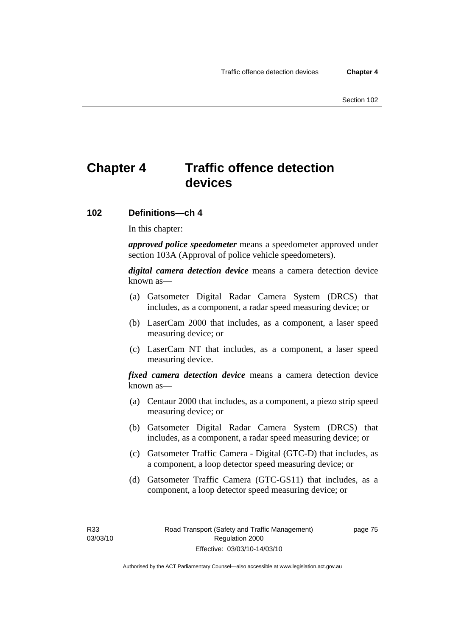## **Chapter 4 Traffic offence detection devices**

#### **102 Definitions—ch 4**

In this chapter:

*approved police speedometer* means a speedometer approved under section 103A (Approval of police vehicle speedometers).

*digital camera detection device* means a camera detection device known as—

- (a) Gatsometer Digital Radar Camera System (DRCS) that includes, as a component, a radar speed measuring device; or
- (b) LaserCam 2000 that includes, as a component, a laser speed measuring device; or
- (c) LaserCam NT that includes, as a component, a laser speed measuring device.

*fixed camera detection device* means a camera detection device known as—

- (a) Centaur 2000 that includes, as a component, a piezo strip speed measuring device; or
- (b) Gatsometer Digital Radar Camera System (DRCS) that includes, as a component, a radar speed measuring device; or
- (c) Gatsometer Traffic Camera Digital (GTC-D) that includes, as a component, a loop detector speed measuring device; or
- (d) Gatsometer Traffic Camera (GTC-GS11) that includes, as a component, a loop detector speed measuring device; or

page 75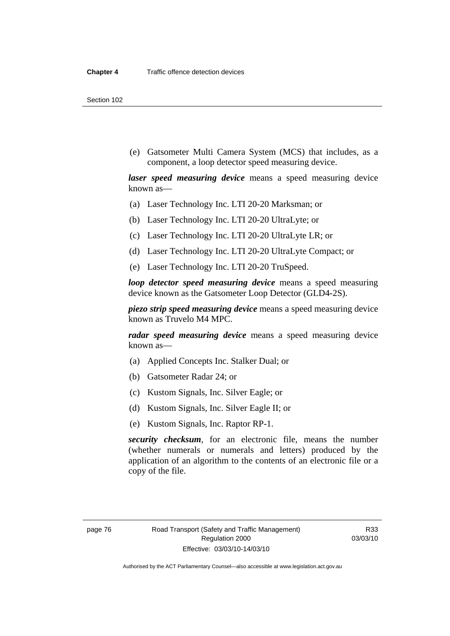Section 102

 (e) Gatsometer Multi Camera System (MCS) that includes, as a component, a loop detector speed measuring device.

*laser speed measuring device* means a speed measuring device known as—

- (a) Laser Technology Inc. LTI 20-20 Marksman; or
- (b) Laser Technology Inc. LTI 20-20 UltraLyte; or
- (c) Laser Technology Inc. LTI 20-20 UltraLyte LR; or
- (d) Laser Technology Inc. LTI 20-20 UltraLyte Compact; or
- (e) Laser Technology Inc. LTI 20-20 TruSpeed.

*loop detector speed measuring device* means a speed measuring device known as the Gatsometer Loop Detector (GLD4-2S).

*piezo strip speed measuring device* means a speed measuring device known as Truvelo M4 MPC.

*radar speed measuring device* means a speed measuring device known as—

- (a) Applied Concepts Inc. Stalker Dual; or
- (b) Gatsometer Radar 24; or
- (c) Kustom Signals, Inc. Silver Eagle; or
- (d) Kustom Signals, Inc. Silver Eagle II; or
- (e) Kustom Signals, Inc. Raptor RP-1.

*security checksum*, for an electronic file, means the number (whether numerals or numerals and letters) produced by the application of an algorithm to the contents of an electronic file or a copy of the file.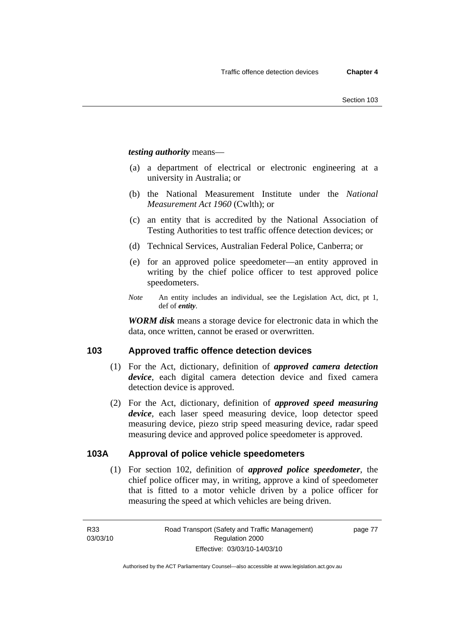*testing authority* means—

- (a) a department of electrical or electronic engineering at a university in Australia; or
- (b) the National Measurement Institute under the *National Measurement Act 1960* (Cwlth); or
- (c) an entity that is accredited by the National Association of Testing Authorities to test traffic offence detection devices; or
- (d) Technical Services, Australian Federal Police, Canberra; or
- (e) for an approved police speedometer—an entity approved in writing by the chief police officer to test approved police speedometers.
- *Note* An entity includes an individual, see the Legislation Act, dict, pt 1, def of *entity*.

*WORM disk* means a storage device for electronic data in which the data, once written, cannot be erased or overwritten.

## **103 Approved traffic offence detection devices**

- (1) For the Act, dictionary, definition of *approved camera detection device*, each digital camera detection device and fixed camera detection device is approved.
- (2) For the Act, dictionary, definition of *approved speed measuring device*, each laser speed measuring device, loop detector speed measuring device, piezo strip speed measuring device, radar speed measuring device and approved police speedometer is approved.

## **103A Approval of police vehicle speedometers**

 (1) For section 102, definition of *approved police speedometer*, the chief police officer may, in writing, approve a kind of speedometer that is fitted to a motor vehicle driven by a police officer for measuring the speed at which vehicles are being driven.

page 77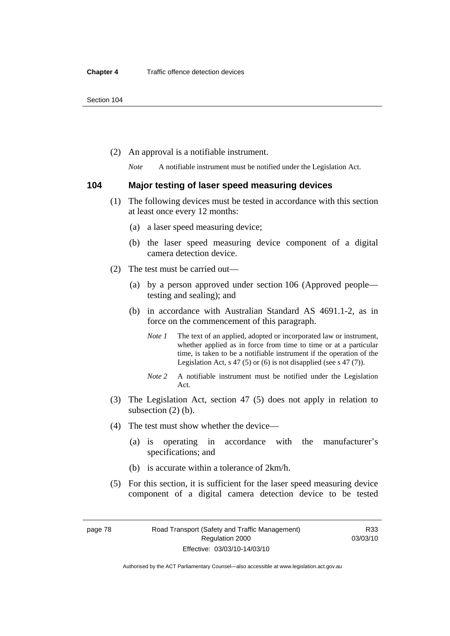(2) An approval is a notifiable instrument.

*Note* A notifiable instrument must be notified under the Legislation Act.

#### **104 Major testing of laser speed measuring devices**

- (1) The following devices must be tested in accordance with this section at least once every 12 months:
	- (a) a laser speed measuring device;
	- (b) the laser speed measuring device component of a digital camera detection device.
- (2) The test must be carried out—
	- (a) by a person approved under section 106 (Approved people testing and sealing); and
	- (b) in accordance with Australian Standard AS 4691.1-2, as in force on the commencement of this paragraph.
		- *Note 1* The text of an applied, adopted or incorporated law or instrument, whether applied as in force from time to time or at a particular time, is taken to be a notifiable instrument if the operation of the Legislation Act,  $s$  47 (5) or (6) is not disapplied (see s 47 (7)).
		- *Note 2* A notifiable instrument must be notified under the Legislation Act.
- (3) The Legislation Act, section 47 (5) does not apply in relation to subsection (2) (b).
- (4) The test must show whether the device—
	- (a) is operating in accordance with the manufacturer's specifications; and
	- (b) is accurate within a tolerance of 2km/h.
- (5) For this section, it is sufficient for the laser speed measuring device component of a digital camera detection device to be tested

page 78 Road Transport (Safety and Traffic Management) Regulation 2000 Effective: 03/03/10-14/03/10

R33 03/03/10

Authorised by the ACT Parliamentary Counsel—also accessible at www.legislation.act.gov.au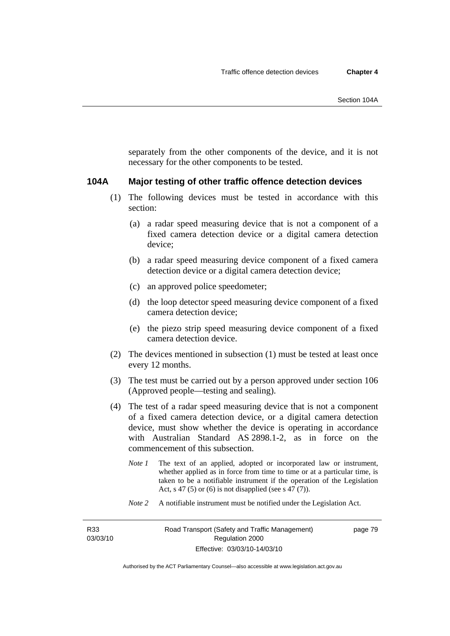separately from the other components of the device, and it is not necessary for the other components to be tested.

#### **104A Major testing of other traffic offence detection devices**

- (1) The following devices must be tested in accordance with this section:
	- (a) a radar speed measuring device that is not a component of a fixed camera detection device or a digital camera detection device;
	- (b) a radar speed measuring device component of a fixed camera detection device or a digital camera detection device;
	- (c) an approved police speedometer;
	- (d) the loop detector speed measuring device component of a fixed camera detection device;
	- (e) the piezo strip speed measuring device component of a fixed camera detection device.
- (2) The devices mentioned in subsection (1) must be tested at least once every 12 months.
- (3) The test must be carried out by a person approved under section 106 (Approved people—testing and sealing).
- (4) The test of a radar speed measuring device that is not a component of a fixed camera detection device, or a digital camera detection device, must show whether the device is operating in accordance with Australian Standard AS 2898.1-2, as in force on the commencement of this subsection.
	- *Note 1* The text of an applied, adopted or incorporated law or instrument, whether applied as in force from time to time or at a particular time, is taken to be a notifiable instrument if the operation of the Legislation Act, s 47 (5) or (6) is not disapplied (see s 47 (7)).
	- *Note 2* A notifiable instrument must be notified under the Legislation Act.

R33 03/03/10 page 79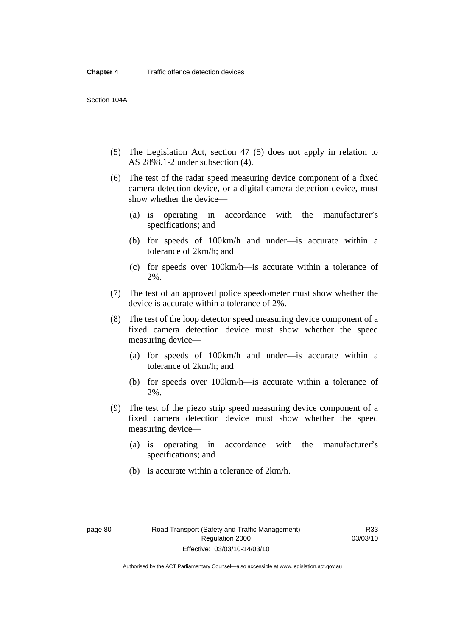- (5) The Legislation Act, section 47 (5) does not apply in relation to AS 2898.1-2 under subsection (4).
- (6) The test of the radar speed measuring device component of a fixed camera detection device, or a digital camera detection device, must show whether the device—
	- (a) is operating in accordance with the manufacturer's specifications; and
	- (b) for speeds of 100km/h and under—is accurate within a tolerance of 2km/h; and
	- (c) for speeds over 100km/h—is accurate within a tolerance of 2%.
- (7) The test of an approved police speedometer must show whether the device is accurate within a tolerance of 2%.
- (8) The test of the loop detector speed measuring device component of a fixed camera detection device must show whether the speed measuring device—
	- (a) for speeds of 100km/h and under—is accurate within a tolerance of 2km/h; and
	- (b) for speeds over 100km/h—is accurate within a tolerance of 2%.
- (9) The test of the piezo strip speed measuring device component of a fixed camera detection device must show whether the speed measuring device—
	- (a) is operating in accordance with the manufacturer's specifications; and
	- (b) is accurate within a tolerance of 2km/h.

Authorised by the ACT Parliamentary Counsel—also accessible at www.legislation.act.gov.au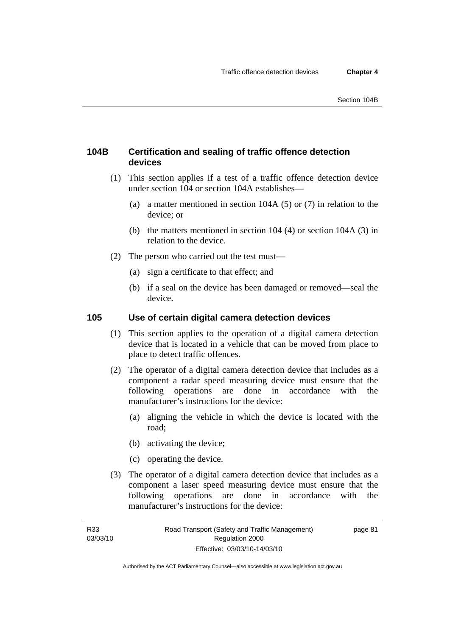## **104B Certification and sealing of traffic offence detection devices**

- (1) This section applies if a test of a traffic offence detection device under section 104 or section 104A establishes—
	- (a) a matter mentioned in section 104A (5) or (7) in relation to the device; or
	- (b) the matters mentioned in section 104 (4) or section 104A (3) in relation to the device.
- (2) The person who carried out the test must—
	- (a) sign a certificate to that effect; and
	- (b) if a seal on the device has been damaged or removed—seal the device.

### **105 Use of certain digital camera detection devices**

- (1) This section applies to the operation of a digital camera detection device that is located in a vehicle that can be moved from place to place to detect traffic offences.
- (2) The operator of a digital camera detection device that includes as a component a radar speed measuring device must ensure that the following operations are done in accordance with the manufacturer's instructions for the device:
	- (a) aligning the vehicle in which the device is located with the road;
	- (b) activating the device;
	- (c) operating the device.
- (3) The operator of a digital camera detection device that includes as a component a laser speed measuring device must ensure that the following operations are done in accordance with the manufacturer's instructions for the device: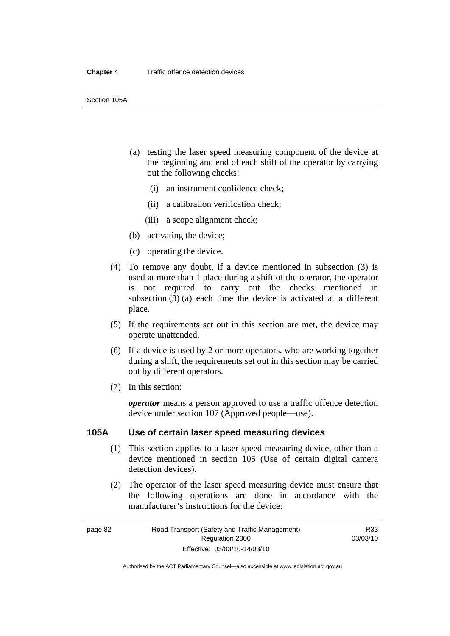- (a) testing the laser speed measuring component of the device at the beginning and end of each shift of the operator by carrying out the following checks:
	- (i) an instrument confidence check;
	- (ii) a calibration verification check;
	- (iii) a scope alignment check;
- (b) activating the device;
- (c) operating the device.
- (4) To remove any doubt, if a device mentioned in subsection (3) is used at more than 1 place during a shift of the operator, the operator is not required to carry out the checks mentioned in subsection (3) (a) each time the device is activated at a different place.
- (5) If the requirements set out in this section are met, the device may operate unattended.
- (6) If a device is used by 2 or more operators, who are working together during a shift, the requirements set out in this section may be carried out by different operators.
- (7) In this section:

*operator* means a person approved to use a traffic offence detection device under section 107 (Approved people—use).

### **105A Use of certain laser speed measuring devices**

- (1) This section applies to a laser speed measuring device, other than a device mentioned in section 105 (Use of certain digital camera detection devices).
- (2) The operator of the laser speed measuring device must ensure that the following operations are done in accordance with the manufacturer's instructions for the device: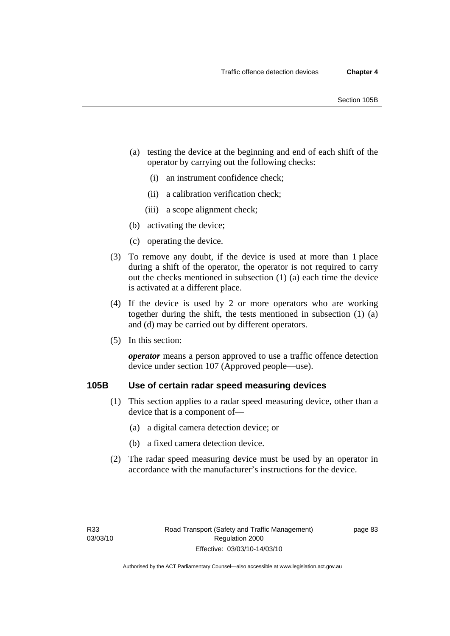- (a) testing the device at the beginning and end of each shift of the operator by carrying out the following checks:
	- (i) an instrument confidence check;
	- (ii) a calibration verification check;
	- (iii) a scope alignment check;
- (b) activating the device;
- (c) operating the device.
- (3) To remove any doubt, if the device is used at more than 1 place during a shift of the operator, the operator is not required to carry out the checks mentioned in subsection (1) (a) each time the device is activated at a different place.
- (4) If the device is used by 2 or more operators who are working together during the shift, the tests mentioned in subsection (1) (a) and (d) may be carried out by different operators.
- (5) In this section:

*operator* means a person approved to use a traffic offence detection device under section 107 (Approved people—use).

## **105B Use of certain radar speed measuring devices**

- (1) This section applies to a radar speed measuring device, other than a device that is a component of—
	- (a) a digital camera detection device; or
	- (b) a fixed camera detection device.
- (2) The radar speed measuring device must be used by an operator in accordance with the manufacturer's instructions for the device.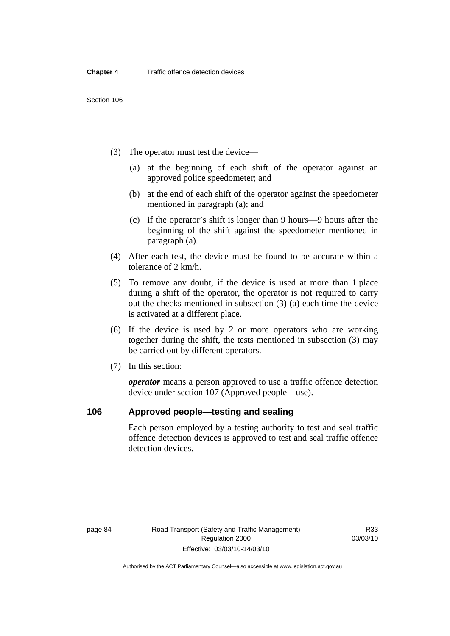- (3) The operator must test the device—
	- (a) at the beginning of each shift of the operator against an approved police speedometer; and
	- (b) at the end of each shift of the operator against the speedometer mentioned in paragraph (a); and
	- (c) if the operator's shift is longer than 9 hours—9 hours after the beginning of the shift against the speedometer mentioned in paragraph (a).
- (4) After each test, the device must be found to be accurate within a tolerance of 2 km/h.
- (5) To remove any doubt, if the device is used at more than 1 place during a shift of the operator, the operator is not required to carry out the checks mentioned in subsection (3) (a) each time the device is activated at a different place.
- (6) If the device is used by 2 or more operators who are working together during the shift, the tests mentioned in subsection (3) may be carried out by different operators.
- (7) In this section:

*operator* means a person approved to use a traffic offence detection device under section 107 (Approved people—use).

#### **106 Approved people—testing and sealing**

Each person employed by a testing authority to test and seal traffic offence detection devices is approved to test and seal traffic offence detection devices.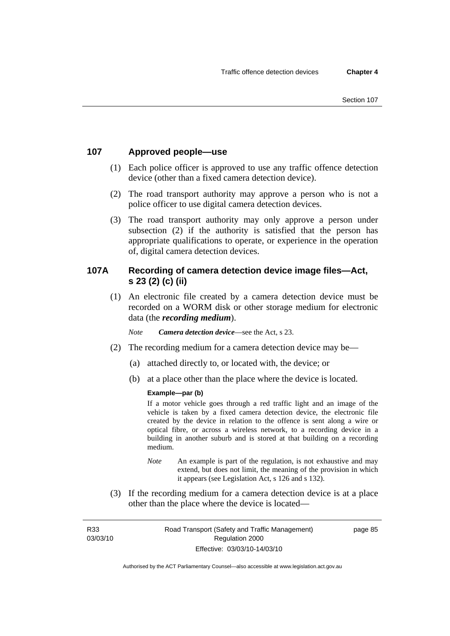## **107 Approved people—use**

- (1) Each police officer is approved to use any traffic offence detection device (other than a fixed camera detection device).
- (2) The road transport authority may approve a person who is not a police officer to use digital camera detection devices.
- (3) The road transport authority may only approve a person under subsection (2) if the authority is satisfied that the person has appropriate qualifications to operate, or experience in the operation of, digital camera detection devices.

## **107A Recording of camera detection device image files—Act, s 23 (2) (c) (ii)**

 (1) An electronic file created by a camera detection device must be recorded on a WORM disk or other storage medium for electronic data (the *recording medium*).

*Note Camera detection device*—see the Act, s 23.

- (2) The recording medium for a camera detection device may be—
	- (a) attached directly to, or located with, the device; or
	- (b) at a place other than the place where the device is located.

#### **Example—par (b)**

If a motor vehicle goes through a red traffic light and an image of the vehicle is taken by a fixed camera detection device, the electronic file created by the device in relation to the offence is sent along a wire or optical fibre, or across a wireless network, to a recording device in a building in another suburb and is stored at that building on a recording medium.

- *Note* An example is part of the regulation, is not exhaustive and may extend, but does not limit, the meaning of the provision in which it appears (see Legislation Act, s 126 and s 132).
- (3) If the recording medium for a camera detection device is at a place other than the place where the device is located—

R33 03/03/10 page 85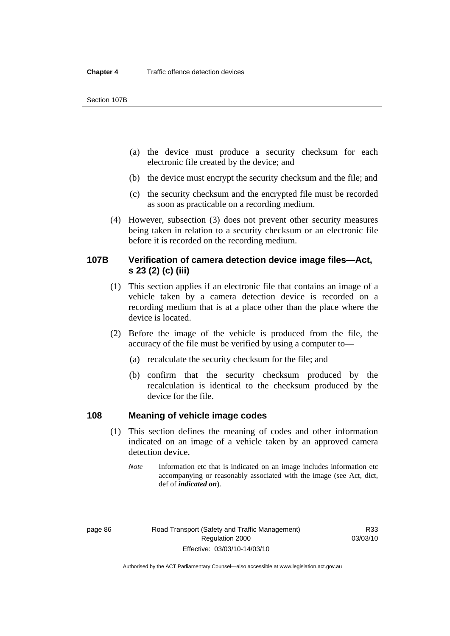Section 107B

- (a) the device must produce a security checksum for each electronic file created by the device; and
- (b) the device must encrypt the security checksum and the file; and
- (c) the security checksum and the encrypted file must be recorded as soon as practicable on a recording medium.
- (4) However, subsection (3) does not prevent other security measures being taken in relation to a security checksum or an electronic file before it is recorded on the recording medium.

## **107B Verification of camera detection device image files—Act, s 23 (2) (c) (iii)**

- (1) This section applies if an electronic file that contains an image of a vehicle taken by a camera detection device is recorded on a recording medium that is at a place other than the place where the device is located.
- (2) Before the image of the vehicle is produced from the file, the accuracy of the file must be verified by using a computer to—
	- (a) recalculate the security checksum for the file; and
	- (b) confirm that the security checksum produced by the recalculation is identical to the checksum produced by the device for the file.

### **108 Meaning of vehicle image codes**

- (1) This section defines the meaning of codes and other information indicated on an image of a vehicle taken by an approved camera detection device.
	- *Note* Information etc that is indicated on an image includes information etc accompanying or reasonably associated with the image (see Act, dict, def of *indicated on*).

Authorised by the ACT Parliamentary Counsel—also accessible at www.legislation.act.gov.au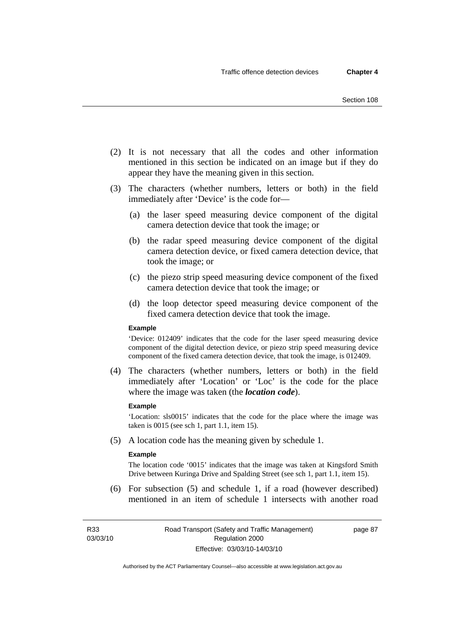- (2) It is not necessary that all the codes and other information mentioned in this section be indicated on an image but if they do appear they have the meaning given in this section.
- (3) The characters (whether numbers, letters or both) in the field immediately after 'Device' is the code for—
	- (a) the laser speed measuring device component of the digital camera detection device that took the image; or
	- (b) the radar speed measuring device component of the digital camera detection device, or fixed camera detection device, that took the image; or
	- (c) the piezo strip speed measuring device component of the fixed camera detection device that took the image; or
	- (d) the loop detector speed measuring device component of the fixed camera detection device that took the image.

#### **Example**

'Device: 012409' indicates that the code for the laser speed measuring device component of the digital detection device, or piezo strip speed measuring device component of the fixed camera detection device, that took the image, is 012409.

 (4) The characters (whether numbers, letters or both) in the field immediately after 'Location' or 'Loc' is the code for the place where the image was taken (the *location code*).

#### **Example**

'Location: sls0015' indicates that the code for the place where the image was taken is 0015 (see sch 1, part 1.1, item 15).

(5) A location code has the meaning given by schedule 1.

#### **Example**

The location code '0015' indicates that the image was taken at Kingsford Smith Drive between Kuringa Drive and Spalding Street (see sch 1, part 1.1, item 15).

 (6) For subsection (5) and schedule 1, if a road (however described) mentioned in an item of schedule 1 intersects with another road

R33 03/03/10 page 87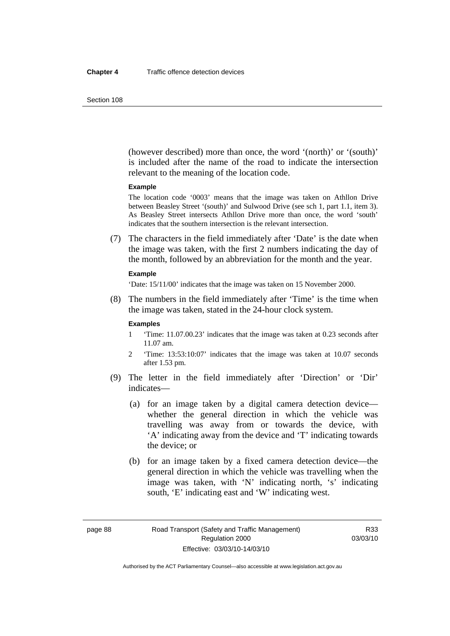(however described) more than once, the word '(north)' or '(south)' is included after the name of the road to indicate the intersection relevant to the meaning of the location code.

#### **Example**

The location code '0003' means that the image was taken on Athllon Drive between Beasley Street '(south)' and Sulwood Drive (see sch 1, part 1.1, item 3). As Beasley Street intersects Athllon Drive more than once, the word 'south' indicates that the southern intersection is the relevant intersection.

 (7) The characters in the field immediately after 'Date' is the date when the image was taken, with the first 2 numbers indicating the day of the month, followed by an abbreviation for the month and the year.

#### **Example**

'Date: 15/11/00' indicates that the image was taken on 15 November 2000.

 (8) The numbers in the field immediately after 'Time' is the time when the image was taken, stated in the 24-hour clock system.

#### **Examples**

- 1 'Time: 11.07.00.23' indicates that the image was taken at 0.23 seconds after 11.07 am.
- 2 'Time: 13:53:10:07' indicates that the image was taken at 10.07 seconds after 1.53 pm.
- (9) The letter in the field immediately after 'Direction' or 'Dir' indicates—
	- (a) for an image taken by a digital camera detection device whether the general direction in which the vehicle was travelling was away from or towards the device, with 'A' indicating away from the device and 'T' indicating towards the device; or
	- (b) for an image taken by a fixed camera detection device—the general direction in which the vehicle was travelling when the image was taken, with 'N' indicating north, 's' indicating south, 'E' indicating east and 'W' indicating west.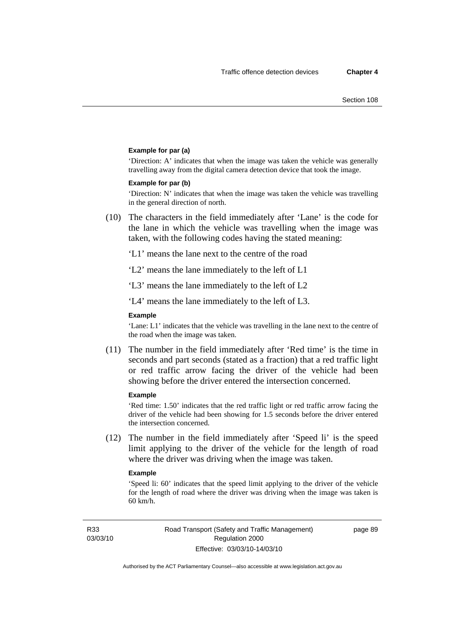#### **Example for par (a)**

'Direction: A' indicates that when the image was taken the vehicle was generally travelling away from the digital camera detection device that took the image.

#### **Example for par (b)**

'Direction: N' indicates that when the image was taken the vehicle was travelling in the general direction of north.

 (10) The characters in the field immediately after 'Lane' is the code for the lane in which the vehicle was travelling when the image was taken, with the following codes having the stated meaning:

'L1' means the lane next to the centre of the road

'L2' means the lane immediately to the left of L1

'L3' means the lane immediately to the left of L2

'L4' means the lane immediately to the left of L3.

#### **Example**

'Lane: L1' indicates that the vehicle was travelling in the lane next to the centre of the road when the image was taken.

 (11) The number in the field immediately after 'Red time' is the time in seconds and part seconds (stated as a fraction) that a red traffic light or red traffic arrow facing the driver of the vehicle had been showing before the driver entered the intersection concerned.

#### **Example**

'Red time: 1.50' indicates that the red traffic light or red traffic arrow facing the driver of the vehicle had been showing for 1.5 seconds before the driver entered the intersection concerned.

 (12) The number in the field immediately after 'Speed li' is the speed limit applying to the driver of the vehicle for the length of road where the driver was driving when the image was taken.

#### **Example**

'Speed li: 60' indicates that the speed limit applying to the driver of the vehicle for the length of road where the driver was driving when the image was taken is 60 km/h.

R33 03/03/10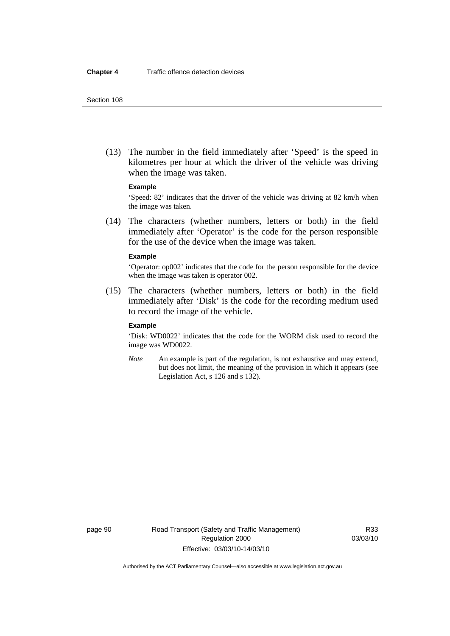(13) The number in the field immediately after 'Speed' is the speed in kilometres per hour at which the driver of the vehicle was driving when the image was taken.

#### **Example**

'Speed: 82' indicates that the driver of the vehicle was driving at 82 km/h when the image was taken.

 (14) The characters (whether numbers, letters or both) in the field immediately after 'Operator' is the code for the person responsible for the use of the device when the image was taken.

#### **Example**

'Operator: op002' indicates that the code for the person responsible for the device when the image was taken is operator 002.

 (15) The characters (whether numbers, letters or both) in the field immediately after 'Disk' is the code for the recording medium used to record the image of the vehicle.

#### **Example**

'Disk: WD0022' indicates that the code for the WORM disk used to record the image was WD0022.

*Note* An example is part of the regulation, is not exhaustive and may extend, but does not limit, the meaning of the provision in which it appears (see Legislation Act, s 126 and s 132).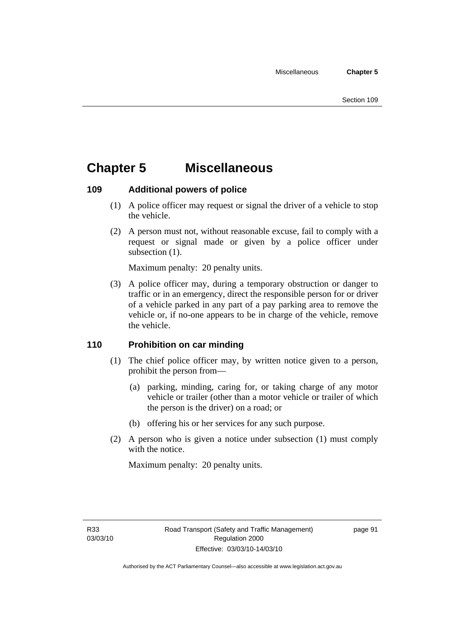## **Chapter 5 Miscellaneous**

## **109 Additional powers of police**

- (1) A police officer may request or signal the driver of a vehicle to stop the vehicle.
- (2) A person must not, without reasonable excuse, fail to comply with a request or signal made or given by a police officer under subsection  $(1)$ .

Maximum penalty: 20 penalty units.

 (3) A police officer may, during a temporary obstruction or danger to traffic or in an emergency, direct the responsible person for or driver of a vehicle parked in any part of a pay parking area to remove the vehicle or, if no-one appears to be in charge of the vehicle, remove the vehicle.

## **110 Prohibition on car minding**

- (1) The chief police officer may, by written notice given to a person, prohibit the person from—
	- (a) parking, minding, caring for, or taking charge of any motor vehicle or trailer (other than a motor vehicle or trailer of which the person is the driver) on a road; or
	- (b) offering his or her services for any such purpose.
- (2) A person who is given a notice under subsection (1) must comply with the notice.

Maximum penalty: 20 penalty units.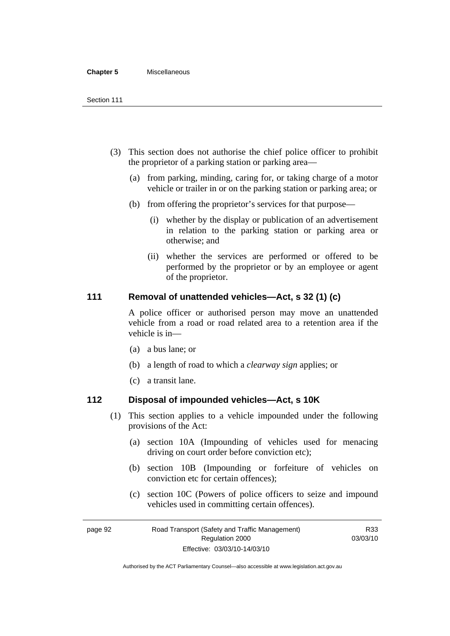#### **Chapter 5** Miscellaneous

- (3) This section does not authorise the chief police officer to prohibit the proprietor of a parking station or parking area—
	- (a) from parking, minding, caring for, or taking charge of a motor vehicle or trailer in or on the parking station or parking area; or
	- (b) from offering the proprietor's services for that purpose—
		- (i) whether by the display or publication of an advertisement in relation to the parking station or parking area or otherwise; and
		- (ii) whether the services are performed or offered to be performed by the proprietor or by an employee or agent of the proprietor.

### **111 Removal of unattended vehicles—Act, s 32 (1) (c)**

A police officer or authorised person may move an unattended vehicle from a road or road related area to a retention area if the vehicle is in—

- (a) a bus lane; or
- (b) a length of road to which a *clearway sign* applies; or
- (c) a transit lane.

### **112 Disposal of impounded vehicles—Act, s 10K**

- (1) This section applies to a vehicle impounded under the following provisions of the Act:
	- (a) section 10A (Impounding of vehicles used for menacing driving on court order before conviction etc);
	- (b) section 10B (Impounding or forfeiture of vehicles on conviction etc for certain offences);
	- (c) section 10C (Powers of police officers to seize and impound vehicles used in committing certain offences).

R33

page 92 Road Transport (Safety and Traffic Management) Regulation 2000 Effective: 03/03/10-14/03/10 03/03/10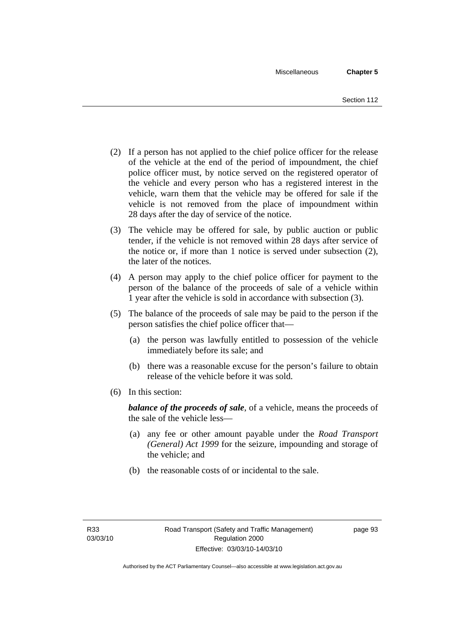- (2) If a person has not applied to the chief police officer for the release of the vehicle at the end of the period of impoundment, the chief police officer must, by notice served on the registered operator of the vehicle and every person who has a registered interest in the vehicle, warn them that the vehicle may be offered for sale if the vehicle is not removed from the place of impoundment within 28 days after the day of service of the notice.
- (3) The vehicle may be offered for sale, by public auction or public tender, if the vehicle is not removed within 28 days after service of the notice or, if more than 1 notice is served under subsection (2), the later of the notices.
- (4) A person may apply to the chief police officer for payment to the person of the balance of the proceeds of sale of a vehicle within 1 year after the vehicle is sold in accordance with subsection (3).
- (5) The balance of the proceeds of sale may be paid to the person if the person satisfies the chief police officer that—
	- (a) the person was lawfully entitled to possession of the vehicle immediately before its sale; and
	- (b) there was a reasonable excuse for the person's failure to obtain release of the vehicle before it was sold.
- (6) In this section:

*balance of the proceeds of sale*, of a vehicle, means the proceeds of the sale of the vehicle less—

- (a) any fee or other amount payable under the *Road Transport (General) Act 1999* for the seizure, impounding and storage of the vehicle; and
- (b) the reasonable costs of or incidental to the sale.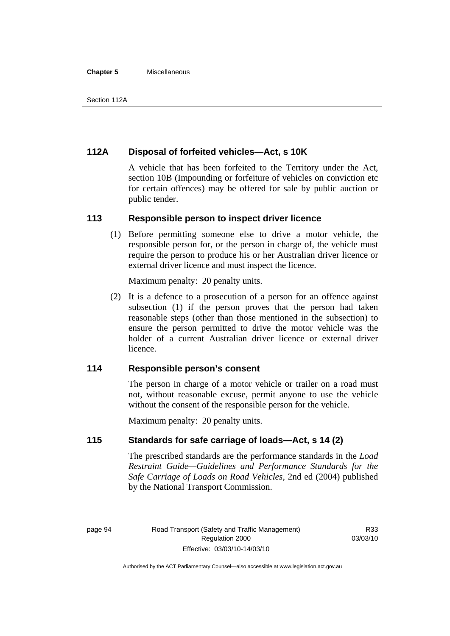#### **Chapter 5** Miscellaneous

## **112A Disposal of forfeited vehicles—Act, s 10K**

A vehicle that has been forfeited to the Territory under the Act, section 10B (Impounding or forfeiture of vehicles on conviction etc for certain offences) may be offered for sale by public auction or public tender.

#### **113 Responsible person to inspect driver licence**

 (1) Before permitting someone else to drive a motor vehicle, the responsible person for, or the person in charge of, the vehicle must require the person to produce his or her Australian driver licence or external driver licence and must inspect the licence.

Maximum penalty: 20 penalty units.

 (2) It is a defence to a prosecution of a person for an offence against subsection (1) if the person proves that the person had taken reasonable steps (other than those mentioned in the subsection) to ensure the person permitted to drive the motor vehicle was the holder of a current Australian driver licence or external driver licence.

## **114 Responsible person's consent**

The person in charge of a motor vehicle or trailer on a road must not, without reasonable excuse, permit anyone to use the vehicle without the consent of the responsible person for the vehicle.

Maximum penalty: 20 penalty units.

### **115 Standards for safe carriage of loads—Act, s 14 (2)**

The prescribed standards are the performance standards in the *Load Restraint Guide—Guidelines and Performance Standards for the Safe Carriage of Loads on Road Vehicles*, 2nd ed (2004) published by the National Transport Commission.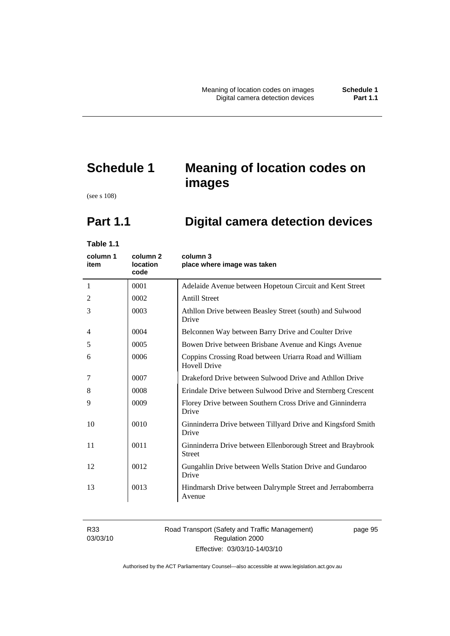# **Schedule 1 Meaning of location codes on images**

(see s 108)

# **Part 1.1 Digital camera detection devices**

**Table 1.1** 

| column 1<br>item | column <sub>2</sub><br><b>location</b><br>code | column 3<br>place where image was taken                                       |
|------------------|------------------------------------------------|-------------------------------------------------------------------------------|
| 1                | 0001                                           | Adelaide Avenue between Hopetoun Circuit and Kent Street                      |
| 2                | 0002                                           | <b>Antill Street</b>                                                          |
| 3                | 0003                                           | Athllon Drive between Beasley Street (south) and Sulwood<br>Drive             |
| $\overline{4}$   | 0004                                           | Belconnen Way between Barry Drive and Coulter Drive                           |
| 5                | 0005                                           | Bowen Drive between Brisbane Avenue and Kings Avenue                          |
| 6                | 0006                                           | Coppins Crossing Road between Uriarra Road and William<br><b>Hovell Drive</b> |
| 7                | 0007                                           | Drakeford Drive between Sulwood Drive and Athllon Drive                       |
| 8                | 0008                                           | Erindale Drive between Sulwood Drive and Sternberg Crescent                   |
| 9                | 0009                                           | Florey Drive between Southern Cross Drive and Ginninderra<br>Drive            |
| 10               | 0010                                           | Ginninderra Drive between Tillyard Drive and Kingsford Smith<br>Drive         |
| 11               | 0011                                           | Ginninderra Drive between Ellenborough Street and Braybrook<br><b>Street</b>  |
| 12               | 0012                                           | Gungahlin Drive between Wells Station Drive and Gundaroo<br>Drive             |
| 13               | 0013                                           | Hindmarsh Drive between Dalrymple Street and Jerrabomberra<br>Avenue          |

R33 03/03/10

#### Road Transport (Safety and Traffic Management) Regulation 2000 Effective: 03/03/10-14/03/10

page 95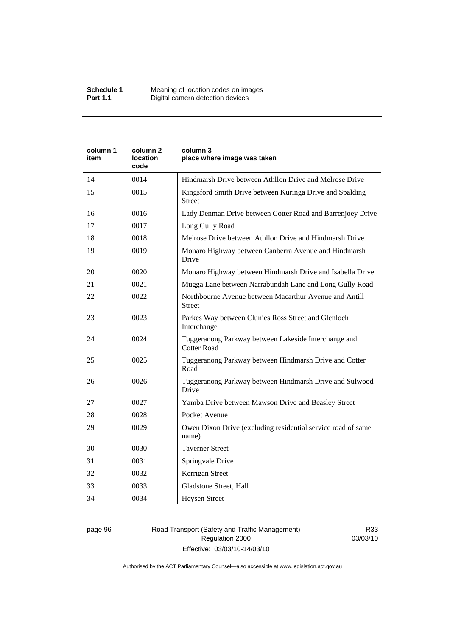| Kingsford Smith Drive between Kuringa Drive and Spalding<br>Lady Denman Drive between Cotter Road and Barrenjoey Drive |
|------------------------------------------------------------------------------------------------------------------------|
|                                                                                                                        |
|                                                                                                                        |
|                                                                                                                        |
|                                                                                                                        |
|                                                                                                                        |
| Monaro Highway between Canberra Avenue and Hindmarsh                                                                   |
| Monaro Highway between Hindmarsh Drive and Isabella Drive                                                              |
| Mugga Lane between Narrabundah Lane and Long Gully Road                                                                |
|                                                                                                                        |
|                                                                                                                        |
|                                                                                                                        |
| Tuggeranong Parkway between Hindmarsh Drive and Cotter                                                                 |
| Tuggeranong Parkway between Hindmarsh Drive and Sulwood                                                                |
|                                                                                                                        |
|                                                                                                                        |
| Owen Dixon Drive (excluding residential service road of same                                                           |
|                                                                                                                        |
|                                                                                                                        |
|                                                                                                                        |
|                                                                                                                        |
|                                                                                                                        |
|                                                                                                                        |

#### page 96 Road Transport (Safety and Traffic Management) Regulation 2000 Effective: 03/03/10-14/03/10

R33 03/03/10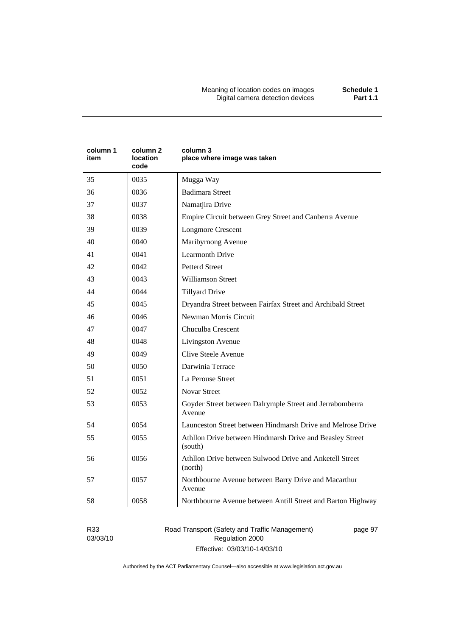Meaning of location codes on images **Schedule 1**  Digital camera detection devices **Part 1.1** 

| column 1<br>item | column <sub>2</sub><br>location<br>code | column 3<br>place where image was taken                             |
|------------------|-----------------------------------------|---------------------------------------------------------------------|
| 35               | 0035                                    | Mugga Way                                                           |
| 36               | 0036                                    | <b>Badimara Street</b>                                              |
| 37               | 0037                                    | Namatjira Drive                                                     |
| 38               | 0038                                    | Empire Circuit between Grey Street and Canberra Avenue              |
| 39               | 0039                                    | <b>Longmore Crescent</b>                                            |
| 40               | 0040                                    | Maribyrnong Avenue                                                  |
| 41               | 0041                                    | <b>Learmonth Drive</b>                                              |
| 42               | 0042                                    | <b>Petterd Street</b>                                               |
| 43               | 0043                                    | <b>Williamson Street</b>                                            |
| 44               | 0044                                    | <b>Tillyard Drive</b>                                               |
| 45               | 0045                                    | Dryandra Street between Fairfax Street and Archibald Street         |
| 46               | 0046                                    | Newman Morris Circuit                                               |
| 47               | 0047                                    | Chuculba Crescent                                                   |
| 48               | 0048                                    | Livingston Avenue                                                   |
| 49               | 0049                                    | <b>Clive Steele Avenue</b>                                          |
| 50               | 0050                                    | Darwinia Terrace                                                    |
| 51               | 0051                                    | La Perouse Street                                                   |
| 52               | 0052                                    | <b>Novar Street</b>                                                 |
| 53               | 0053                                    | Goyder Street between Dalrymple Street and Jerrabomberra<br>Avenue  |
| 54               | 0054                                    | Launceston Street between Hindmarsh Drive and Melrose Drive         |
| 55               | 0055                                    | Athllon Drive between Hindmarsh Drive and Beasley Street<br>(south) |
| 56               | 0056                                    | Athllon Drive between Sulwood Drive and Anketell Street<br>(north)  |
| 57               | 0057                                    | Northbourne Avenue between Barry Drive and Macarthur<br>Avenue      |
| 58               | 0058                                    | Northbourne Avenue between Antill Street and Barton Highway         |

R33 03/03/10 Road Transport (Safety and Traffic Management) Regulation 2000 Effective: 03/03/10-14/03/10

page 97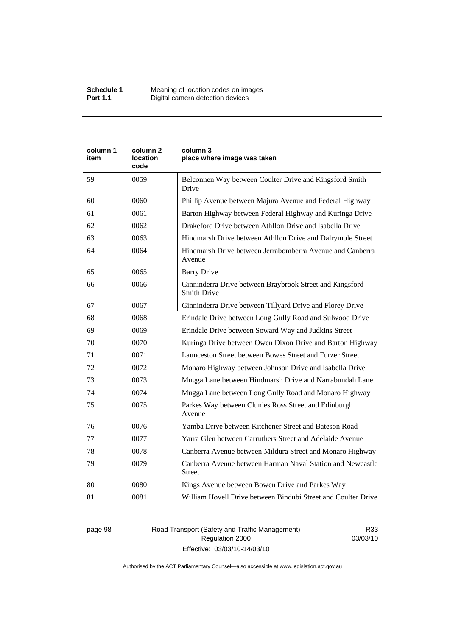| column 1<br>item | column 2<br>location<br>code | column 3<br>place where image was taken                                        |
|------------------|------------------------------|--------------------------------------------------------------------------------|
| 59               | 0059                         | Belconnen Way between Coulter Drive and Kingsford Smith<br>Drive               |
| 60               | 0060                         | Phillip Avenue between Majura Avenue and Federal Highway                       |
| 61               | 0061                         | Barton Highway between Federal Highway and Kuringa Drive                       |
| 62               | 0062                         | Drakeford Drive between Athllon Drive and Isabella Drive                       |
| 63               | 0063                         | Hindmarsh Drive between Athllon Drive and Dalrymple Street                     |
| 64               | 0064                         | Hindmarsh Drive between Jerrabomberra Avenue and Canberra<br>Avenue            |
| 65               | 0065                         | <b>Barry Drive</b>                                                             |
| 66               | 0066                         | Ginninderra Drive between Braybrook Street and Kingsford<br><b>Smith Drive</b> |
| 67               | 0067                         | Ginninderra Drive between Tillyard Drive and Florey Drive                      |
| 68               | 0068                         | Erindale Drive between Long Gully Road and Sulwood Drive                       |
| 69               | 0069                         | Erindale Drive between Soward Way and Judkins Street                           |
| 70               | 0070                         | Kuringa Drive between Owen Dixon Drive and Barton Highway                      |
| 71               | 0071                         | Launceston Street between Bowes Street and Furzer Street                       |
| 72               | 0072                         | Monaro Highway between Johnson Drive and Isabella Drive                        |
| 73               | 0073                         | Mugga Lane between Hindmarsh Drive and Narrabundah Lane                        |
| 74               | 0074                         | Mugga Lane between Long Gully Road and Monaro Highway                          |
| 75               | 0075                         | Parkes Way between Clunies Ross Street and Edinburgh<br>Avenue                 |
| 76               | 0076                         | Yamba Drive between Kitchener Street and Bateson Road                          |
| 77               | 0077                         | Yarra Glen between Carruthers Street and Adelaide Avenue                       |
| 78               | 0078                         | Canberra Avenue between Mildura Street and Monaro Highway                      |
| 79               | 0079                         | Canberra Avenue between Harman Naval Station and Newcastle<br><b>Street</b>    |
| 80               | 0080                         | Kings Avenue between Bowen Drive and Parkes Way                                |
| 81               | 0081                         | William Hovell Drive between Bindubi Street and Coulter Drive                  |

page 98 Road Transport (Safety and Traffic Management) Regulation 2000 Effective: 03/03/10-14/03/10

R33 03/03/10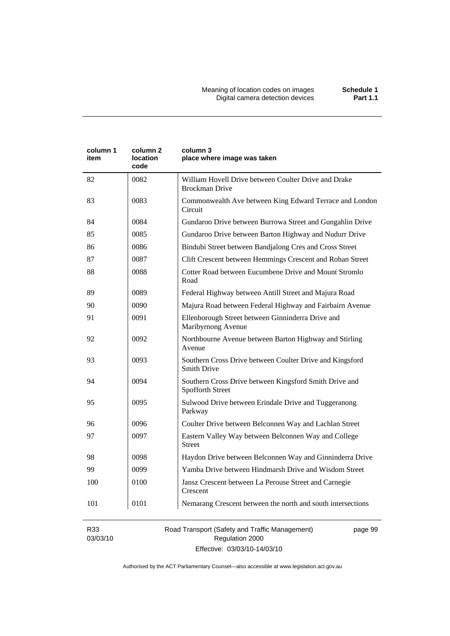| column 1<br>item | column 2<br>location<br>code | column 3<br>place where image was taken                                        |
|------------------|------------------------------|--------------------------------------------------------------------------------|
| 82               | 0082                         | William Hovell Drive between Coulter Drive and Drake<br><b>Brockman Drive</b>  |
| 83               | 0083                         | Commonwealth Ave between King Edward Terrace and London<br>Circuit             |
| 84               | 0084                         | Gundaroo Drive between Burrowa Street and Gungahlin Drive                      |
| 85               | 0085                         | Gundaroo Drive between Barton Highway and Nudurr Drive                         |
| 86               | 0086                         | Bindubi Street between Bandjalong Cres and Cross Street                        |
| 87               | 0087                         | Clift Crescent between Hemmings Crescent and Rohan Street                      |
| 88               | 0088                         | Cotter Road between Eucumbene Drive and Mount Stromlo<br>Road                  |
| 89               | 0089                         | Federal Highway between Antill Street and Majura Road                          |
| 90               | 0090                         | Majura Road between Federal Highway and Fairbairn Avenue                       |
| 91               | 0091                         | Ellenborough Street between Ginninderra Drive and<br>Maribyrnong Avenue        |
| 92               | 0092                         | Northbourne Avenue between Barton Highway and Stirling<br>Avenue               |
| 93               | 0093                         | Southern Cross Drive between Coulter Drive and Kingsford<br><b>Smith Drive</b> |
| 94               | 0094                         | Southern Cross Drive between Kingsford Smith Drive and<br>Spofforth Street     |
| 95               | 0095                         | Sulwood Drive between Erindale Drive and Tuggeranong<br>Parkway                |
| 96               | 0096                         | Coulter Drive between Belconnen Way and Lachlan Street                         |
| 97               | 0097                         | Eastern Valley Way between Belconnen Way and College<br><b>Street</b>          |
| 98               | 0098                         | Haydon Drive between Belconnen Way and Ginninderra Drive                       |
| 99               | 0099                         | Yamba Drive between Hindmarsh Drive and Wisdom Street                          |
| 100              | 0100                         | Jansz Crescent between La Perouse Street and Carnegie<br>Crescent              |
| 101              | 0101                         | Nemarang Crescent between the north and south intersections                    |

R33 03/03/10 Road Transport (Safety and Traffic Management) Regulation 2000 Effective: 03/03/10-14/03/10

page 99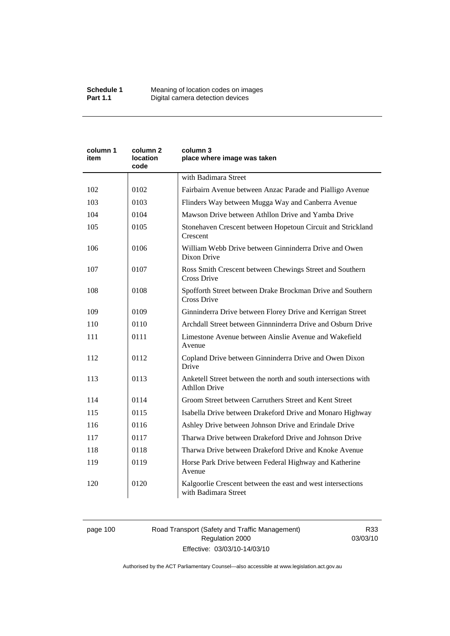| column 1<br>item | column 2<br>location<br>code | column 3<br>place where image was taken                                                |  |
|------------------|------------------------------|----------------------------------------------------------------------------------------|--|
|                  |                              | with Badimara Street                                                                   |  |
| 102              | 0102                         | Fairbairn Avenue between Anzac Parade and Pialligo Avenue                              |  |
| 103              | 0103                         | Flinders Way between Mugga Way and Canberra Avenue                                     |  |
| 104              | 0104                         | Mawson Drive between Athllon Drive and Yamba Drive                                     |  |
| 105              | 0105                         | Stonehaven Crescent between Hopetoun Circuit and Strickland<br>Crescent                |  |
| 106              | 0106                         | William Webb Drive between Ginninderra Drive and Owen<br>Dixon Drive                   |  |
| 107              | 0107                         | Ross Smith Crescent between Chewings Street and Southern<br>Cross Drive                |  |
| 108              | 0108                         | Spofforth Street between Drake Brockman Drive and Southern<br><b>Cross Drive</b>       |  |
| 109              | 0109                         | Ginninderra Drive between Florey Drive and Kerrigan Street                             |  |
| 110              | 0110                         | Archdall Street between Ginnninderra Drive and Osburn Drive                            |  |
| 111              | 0111                         | Limestone Avenue between Ainslie Avenue and Wakefield<br>Avenue                        |  |
| 112              | 0112                         | Copland Drive between Ginninderra Drive and Owen Dixon<br>Drive                        |  |
| 113              | 0113                         | Anketell Street between the north and south intersections with<br><b>Athllon Drive</b> |  |
| 114              | 0114                         | Groom Street between Carruthers Street and Kent Street                                 |  |
| 115              | 0115                         | Isabella Drive between Drakeford Drive and Monaro Highway                              |  |
| 116              | 0116                         | Ashley Drive between Johnson Drive and Erindale Drive                                  |  |
| 117              | 0117                         | Tharwa Drive between Drakeford Drive and Johnson Drive                                 |  |
| 118              | 0118                         | Tharwa Drive between Drakeford Drive and Knoke Avenue                                  |  |
| 119              | 0119                         | Horse Park Drive between Federal Highway and Katherine<br>Avenue                       |  |
| 120              | 0120                         | Kalgoorlie Crescent between the east and west intersections<br>with Badimara Street    |  |

# page 100 Road Transport (Safety and Traffic Management) Regulation 2000 Effective: 03/03/10-14/03/10

R33 03/03/10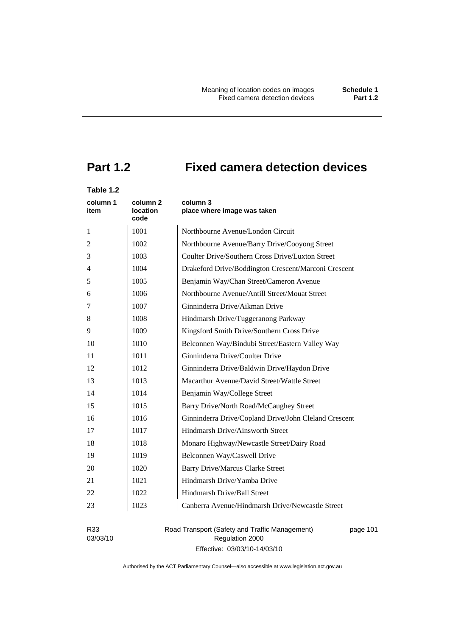# **Part 1.2 Fixed camera detection devices**

# **Table 1.2**

| column 1<br>item | column 2<br>location<br>code | column 3<br>place where image was taken               |
|------------------|------------------------------|-------------------------------------------------------|
| $\mathbf{1}$     | 1001                         | Northbourne Avenue/London Circuit                     |
| 2                | 1002                         | Northbourne Avenue/Barry Drive/Cooyong Street         |
| 3                | 1003                         | Coulter Drive/Southern Cross Drive/Luxton Street      |
| 4                | 1004                         | Drakeford Drive/Boddington Crescent/Marconi Crescent  |
| 5                | 1005                         | Benjamin Way/Chan Street/Cameron Avenue               |
| 6                | 1006                         | Northbourne Avenue/Antill Street/Mouat Street         |
| 7                | 1007                         | Ginninderra Drive/Aikman Drive                        |
| 8                | 1008                         | Hindmarsh Drive/Tuggeranong Parkway                   |
| 9                | 1009                         | Kingsford Smith Drive/Southern Cross Drive            |
| 10               | 1010                         | Belconnen Way/Bindubi Street/Eastern Valley Way       |
| 11               | 1011                         | Ginninderra Drive/Coulter Drive                       |
| 12               | 1012                         | Ginninderra Drive/Baldwin Drive/Haydon Drive          |
| 13               | 1013                         | Macarthur Avenue/David Street/Wattle Street           |
| 14               | 1014                         | Benjamin Way/College Street                           |
| 15               | 1015                         | Barry Drive/North Road/McCaughey Street               |
| 16               | 1016                         | Ginninderra Drive/Copland Drive/John Cleland Crescent |
| 17               | 1017                         | Hindmarsh Drive/Ainsworth Street                      |
| 18               | 1018                         | Monaro Highway/Newcastle Street/Dairy Road            |
| 19               | 1019                         | Belconnen Way/Caswell Drive                           |
| 20               | 1020                         | <b>Barry Drive/Marcus Clarke Street</b>               |
| 21               | 1021                         | Hindmarsh Drive/Yamba Drive                           |
| 22               | 1022                         | Hindmarsh Drive/Ball Street                           |
| 23               | 1023                         | Canberra Avenue/Hindmarsh Drive/Newcastle Street      |

R33 03/03/10 Road Transport (Safety and Traffic Management) Regulation 2000 Effective: 03/03/10-14/03/10

page 101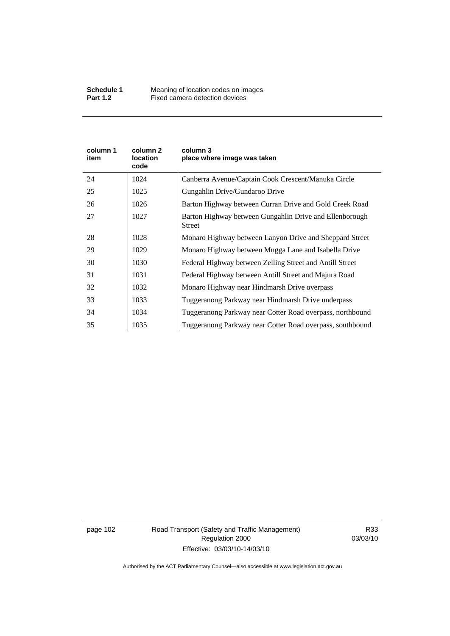| column 1<br>item | column 2<br>location<br>code | column 3<br>place where image was taken                                  |
|------------------|------------------------------|--------------------------------------------------------------------------|
| 24               | 1024                         | Canberra Avenue/Captain Cook Crescent/Manuka Circle                      |
| 25               | 1025                         | Gungahlin Drive/Gundaroo Drive                                           |
| 26               | 1026                         | Barton Highway between Curran Drive and Gold Creek Road                  |
| 27               | 1027                         | Barton Highway between Gungahlin Drive and Ellenborough<br><b>Street</b> |
| 28               | 1028                         | Monaro Highway between Lanyon Drive and Sheppard Street                  |
| 29               | 1029                         | Monaro Highway between Mugga Lane and Isabella Drive                     |
| 30               | 1030                         | Federal Highway between Zelling Street and Antill Street                 |
| 31               | 1031                         | Federal Highway between Antill Street and Majura Road                    |
| 32               | 1032                         | Monaro Highway near Hindmarsh Drive overpass                             |
| 33               | 1033                         | Tuggeranong Parkway near Hindmarsh Drive underpass                       |
| 34               | 1034                         | Tuggeranong Parkway near Cotter Road overpass, northbound                |
| 35               | 1035                         | Tuggeranong Parkway near Cotter Road overpass, southbound                |

page 102 Road Transport (Safety and Traffic Management) Regulation 2000 Effective: 03/03/10-14/03/10

R33 03/03/10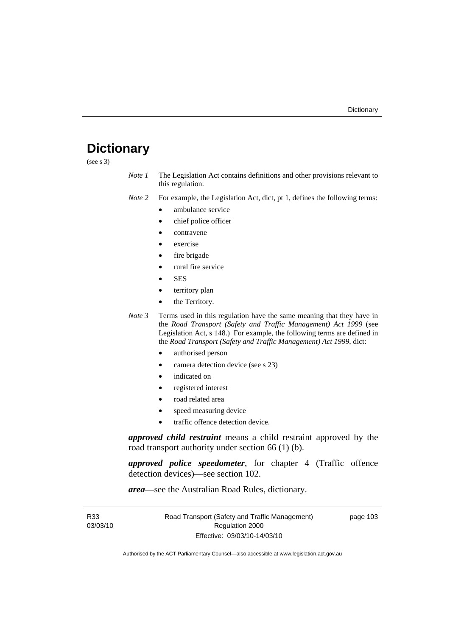# **Dictionary**

(see s 3)

*Note 1* The Legislation Act contains definitions and other provisions relevant to this regulation.

*Note 2* For example, the Legislation Act, dict, pt 1, defines the following terms:

- ambulance service
	- chief police officer
- contravene
- exercise
- fire brigade
- rural fire service
- SES
- territory plan
- the Territory.
- *Note 3* Terms used in this regulation have the same meaning that they have in the *Road Transport (Safety and Traffic Management) Act 1999* (see Legislation Act, s 148.) For example, the following terms are defined in the *Road Transport (Safety and Traffic Management) Act 1999*, dict:
	- authorised person
	- camera detection device (see s 23)
	- indicated on
	- registered interest
	- road related area
	- speed measuring device
	- traffic offence detection device.

*approved child restraint* means a child restraint approved by the road transport authority under section 66 (1) (b).

*approved police speedometer*, for chapter 4 (Traffic offence detection devices)—see section 102.

*area*—see the Australian Road Rules, dictionary.

| R33      | Road Transport (Safety and Traffic Management) | page 103 |
|----------|------------------------------------------------|----------|
| 03/03/10 | Regulation 2000                                |          |
|          | Effective: 03/03/10-14/03/10                   |          |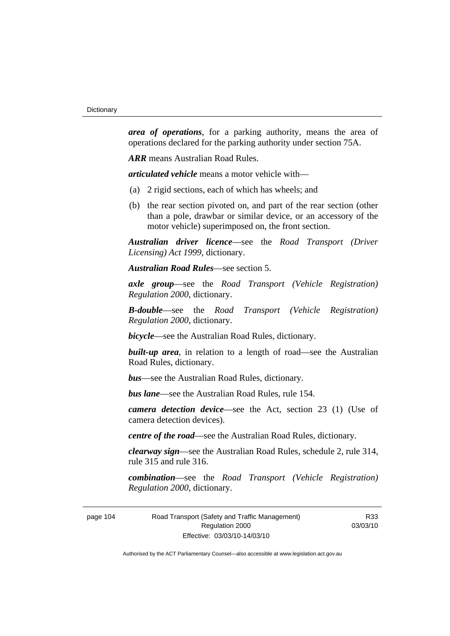*area of operations*, for a parking authority, means the area of operations declared for the parking authority under section 75A.

*ARR* means Australian Road Rules.

*articulated vehicle* means a motor vehicle with—

- (a) 2 rigid sections, each of which has wheels; and
- (b) the rear section pivoted on, and part of the rear section (other than a pole, drawbar or similar device, or an accessory of the motor vehicle) superimposed on, the front section.

*Australian driver licence*—see the *Road Transport (Driver Licensing) Act 1999*, dictionary.

*Australian Road Rules*—see section 5.

*axle group*—see the *Road Transport (Vehicle Registration) Regulation 2000*, dictionary.

*B-double*—see the *Road Transport (Vehicle Registration) Regulation 2000*, dictionary.

*bicycle*—see the Australian Road Rules, dictionary.

**built-up area**, in relation to a length of road—see the Australian Road Rules, dictionary.

*bus*—see the Australian Road Rules, dictionary.

*bus lane*—see the Australian Road Rules, rule 154.

*camera detection device*—see the Act, section 23 (1) (Use of camera detection devices).

*centre of the road*—see the Australian Road Rules, dictionary.

*clearway sign*—see the Australian Road Rules, schedule 2, rule 314, rule 315 and rule 316.

*combination*—see the *Road Transport (Vehicle Registration) Regulation 2000*, dictionary.

page 104 Road Transport (Safety and Traffic Management) Regulation 2000 Effective: 03/03/10-14/03/10

R33 03/03/10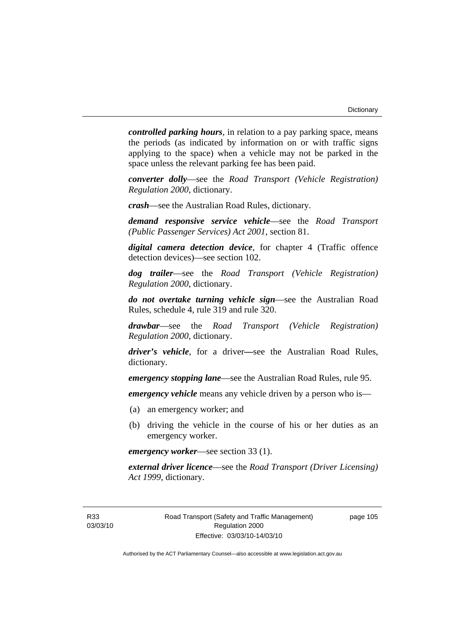*controlled parking hours*, in relation to a pay parking space, means the periods (as indicated by information on or with traffic signs applying to the space) when a vehicle may not be parked in the space unless the relevant parking fee has been paid.

*converter dolly*—see the *Road Transport (Vehicle Registration) Regulation 2000*, dictionary.

*crash*—see the Australian Road Rules, dictionary.

*demand responsive service vehicle*—see the *Road Transport (Public Passenger Services) Act 2001*, section 81.

*digital camera detection device*, for chapter 4 (Traffic offence detection devices)—see section 102.

*dog trailer*—see the *Road Transport (Vehicle Registration) Regulation 2000*, dictionary.

*do not overtake turning vehicle sign*—see the Australian Road Rules, schedule 4, rule 319 and rule 320.

*drawbar*—see the *Road Transport (Vehicle Registration) Regulation 2000*, dictionary.

*driver's vehicle*, for a driver*—*see the Australian Road Rules, dictionary.

*emergency stopping lane*—see the Australian Road Rules, rule 95.

*emergency vehicle* means any vehicle driven by a person who is—

- (a) an emergency worker; and
- (b) driving the vehicle in the course of his or her duties as an emergency worker.

*emergency worker*—see section 33 (1).

*external driver licence*—see the *Road Transport (Driver Licensing) Act 1999*, dictionary.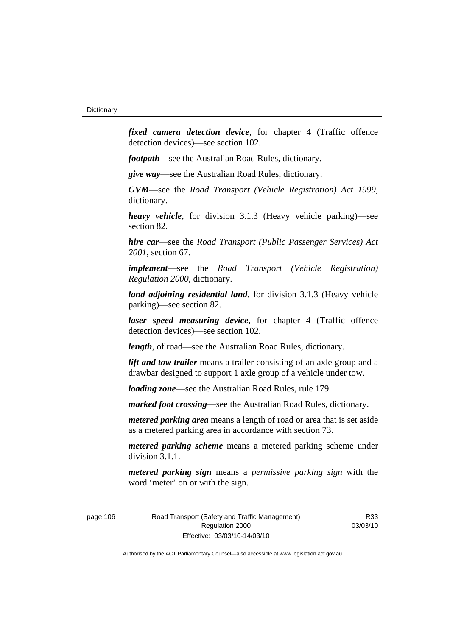*fixed camera detection device*, for chapter 4 (Traffic offence detection devices)—see section 102.

*footpath*—see the Australian Road Rules, dictionary.

*give way*—see the Australian Road Rules, dictionary.

*GVM*—see the *Road Transport (Vehicle Registration) Act 1999*, dictionary.

*heavy vehicle*, for division 3.1.3 (Heavy vehicle parking)—see section 82.

*hire car*—see the *Road Transport (Public Passenger Services) Act 2001*, section 67.

*implement*—see the *Road Transport (Vehicle Registration) Regulation 2000*, dictionary.

*land adjoining residential land*, for division 3.1.3 (Heavy vehicle parking)—see section 82.

*laser speed measuring device*, for chapter 4 (Traffic offence detection devices)—see section 102.

*length*, of road—see the Australian Road Rules, dictionary.

*lift and tow trailer* means a trailer consisting of an axle group and a drawbar designed to support 1 axle group of a vehicle under tow.

*loading zone*—see the Australian Road Rules, rule 179.

*marked foot crossing*—see the Australian Road Rules, dictionary.

*metered parking area* means a length of road or area that is set aside as a metered parking area in accordance with section 73.

*metered parking scheme* means a metered parking scheme under division 3.1.1.

*metered parking sign* means a *permissive parking sign* with the word 'meter' on or with the sign.

page 106 Road Transport (Safety and Traffic Management) Regulation 2000 Effective: 03/03/10-14/03/10

R33 03/03/10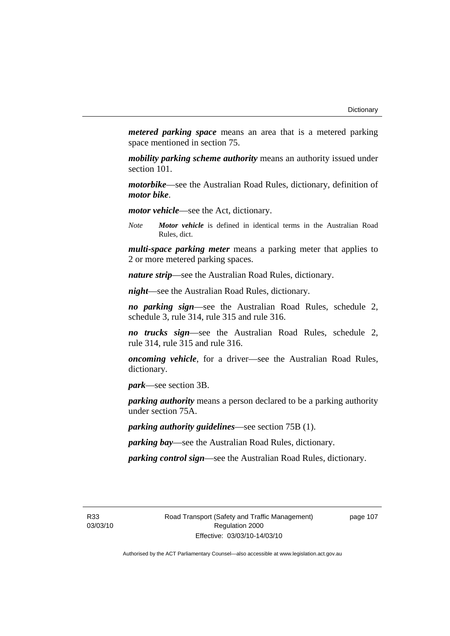*metered parking space* means an area that is a metered parking space mentioned in section 75.

*mobility parking scheme authority* means an authority issued under section 101.

*motorbike*—see the Australian Road Rules, dictionary, definition of *motor bike*.

*motor vehicle*—see the Act, dictionary.

*Note Motor vehicle* is defined in identical terms in the Australian Road Rules, dict.

*multi-space parking meter* means a parking meter that applies to 2 or more metered parking spaces.

*nature strip*—see the Australian Road Rules, dictionary.

*night*—see the Australian Road Rules, dictionary.

*no parking sign*—see the Australian Road Rules, schedule 2, schedule 3, rule 314, rule 315 and rule 316.

*no trucks sign*—see the Australian Road Rules, schedule 2, rule 314, rule 315 and rule 316.

*oncoming vehicle*, for a driver—see the Australian Road Rules, dictionary.

*park*—see section 3B.

*parking authority* means a person declared to be a parking authority under section 75A.

*parking authority guidelines*—see section 75B (1).

*parking bay*—see the Australian Road Rules, dictionary.

*parking control sign*—see the Australian Road Rules, dictionary.

R33 03/03/10 page 107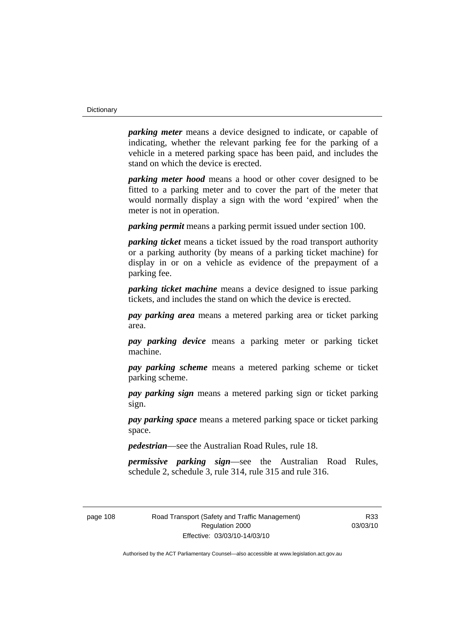*parking meter* means a device designed to indicate, or capable of indicating, whether the relevant parking fee for the parking of a vehicle in a metered parking space has been paid, and includes the stand on which the device is erected.

*parking meter hood* means a hood or other cover designed to be fitted to a parking meter and to cover the part of the meter that would normally display a sign with the word 'expired' when the meter is not in operation.

*parking permit* means a parking permit issued under section 100.

*parking ticket* means a ticket issued by the road transport authority or a parking authority (by means of a parking ticket machine) for display in or on a vehicle as evidence of the prepayment of a parking fee.

*parking ticket machine* means a device designed to issue parking tickets, and includes the stand on which the device is erected.

*pay parking area* means a metered parking area or ticket parking area.

*pay parking device* means a parking meter or parking ticket machine.

*pay parking scheme* means a metered parking scheme or ticket parking scheme.

*pay parking sign* means a metered parking sign or ticket parking sign.

*pay parking space* means a metered parking space or ticket parking space.

*pedestrian*—see the Australian Road Rules, rule 18.

*permissive parking sign*—see the Australian Road Rules, schedule 2, schedule 3, rule 314, rule 315 and rule 316.

page 108 Road Transport (Safety and Traffic Management) Regulation 2000 Effective: 03/03/10-14/03/10

R33 03/03/10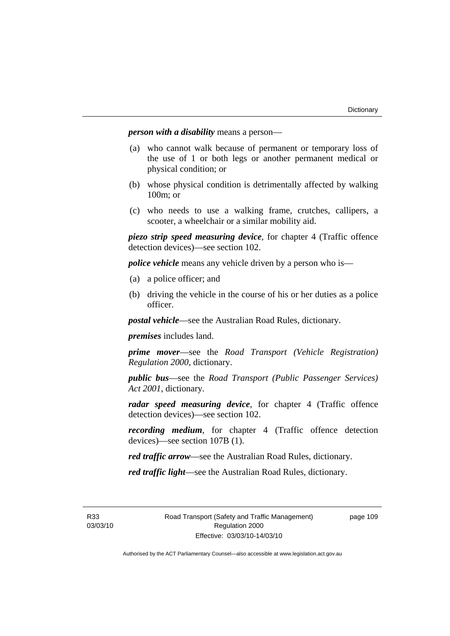*person with a disability* means a person—

- (a) who cannot walk because of permanent or temporary loss of the use of 1 or both legs or another permanent medical or physical condition; or
- (b) whose physical condition is detrimentally affected by walking 100m; or
- (c) who needs to use a walking frame, crutches, callipers, a scooter, a wheelchair or a similar mobility aid.

*piezo strip speed measuring device*, for chapter 4 (Traffic offence detection devices)—see section 102.

*police vehicle* means any vehicle driven by a person who is—

- (a) a police officer; and
- (b) driving the vehicle in the course of his or her duties as a police officer.

*postal vehicle*—see the Australian Road Rules, dictionary.

*premises* includes land.

*prime mover*—see the *Road Transport (Vehicle Registration) Regulation 2000*, dictionary.

*public bus*—see the *Road Transport (Public Passenger Services) Act 2001*, dictionary.

*radar speed measuring device*, for chapter 4 (Traffic offence detection devices)—see section 102.

*recording medium*, for chapter 4 (Traffic offence detection devices)—see section 107B (1).

*red traffic arrow*—see the Australian Road Rules, dictionary.

*red traffic light*—see the Australian Road Rules, dictionary.

R33 03/03/10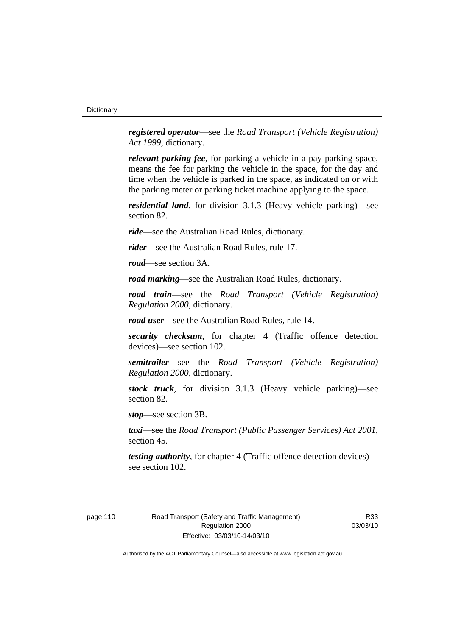*registered operator*—see the *Road Transport (Vehicle Registration) Act 1999*, dictionary.

*relevant parking fee*, for parking a vehicle in a pay parking space, means the fee for parking the vehicle in the space, for the day and time when the vehicle is parked in the space, as indicated on or with the parking meter or parking ticket machine applying to the space.

*residential land*, for division 3.1.3 (Heavy vehicle parking)—see section 82.

*ride*—see the Australian Road Rules, dictionary.

*rider*—see the Australian Road Rules, rule 17.

*road*—see section 3A.

*road marking*—see the Australian Road Rules, dictionary.

*road train*—see the *Road Transport (Vehicle Registration) Regulation 2000*, dictionary.

*road user*—see the Australian Road Rules, rule 14.

*security checksum*, for chapter 4 (Traffic offence detection devices)—see section 102.

*semitrailer*—see the *Road Transport (Vehicle Registration) Regulation 2000*, dictionary.

*stock truck*, for division 3.1.3 (Heavy vehicle parking)—see section 82.

*stop*—see section 3B.

*taxi*—see the *Road Transport (Public Passenger Services) Act 2001*, section 45.

*testing authority*, for chapter 4 (Traffic offence detection devices) see section 102.

R33 03/03/10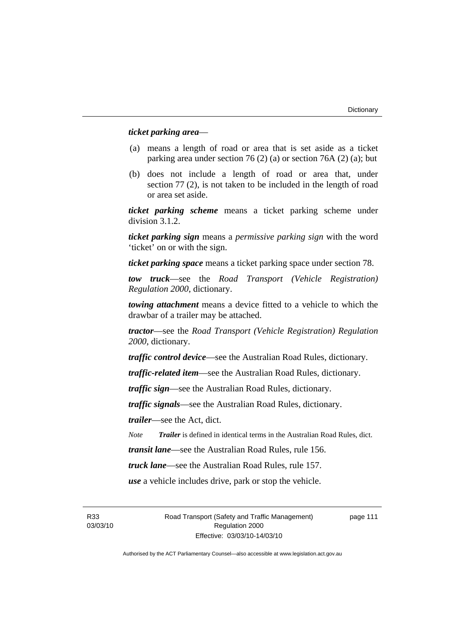# *ticket parking area*—

- (a) means a length of road or area that is set aside as a ticket parking area under section 76 (2) (a) or section 76A (2) (a); but
- (b) does not include a length of road or area that, under section 77 (2), is not taken to be included in the length of road or area set aside.

*ticket parking scheme* means a ticket parking scheme under division 3.1.2.

*ticket parking sign* means a *permissive parking sign* with the word 'ticket' on or with the sign.

*ticket parking space* means a ticket parking space under section 78.

*tow truck*—see the *Road Transport (Vehicle Registration) Regulation 2000*, dictionary.

*towing attachment* means a device fitted to a vehicle to which the drawbar of a trailer may be attached.

*tractor*—see the *Road Transport (Vehicle Registration) Regulation 2000*, dictionary.

*traffic control device*—see the Australian Road Rules, dictionary.

*traffic-related item*—see the Australian Road Rules, dictionary.

*traffic sign*—see the Australian Road Rules, dictionary.

*traffic signals*—see the Australian Road Rules, dictionary.

*trailer*—see the Act, dict.

*Note Trailer* is defined in identical terms in the Australian Road Rules, dict.

*transit lane*—see the Australian Road Rules, rule 156.

*truck lane*—see the Australian Road Rules, rule 157.

*use* a vehicle includes drive, park or stop the vehicle.

R33 03/03/10 Road Transport (Safety and Traffic Management) Regulation 2000 Effective: 03/03/10-14/03/10

page 111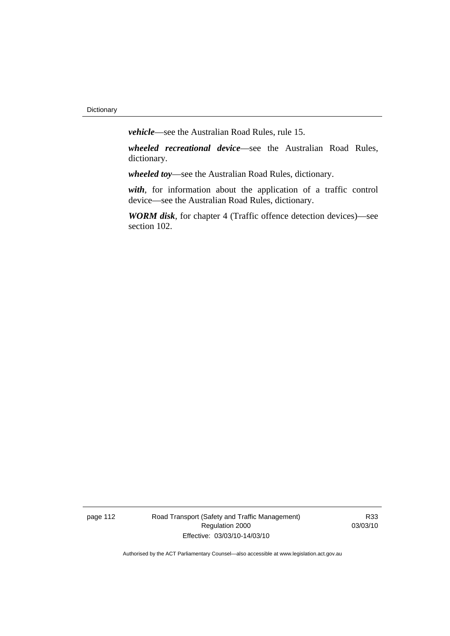*vehicle*—see the Australian Road Rules, rule 15.

*wheeled recreational device*—see the Australian Road Rules, dictionary.

*wheeled toy*—see the Australian Road Rules, dictionary.

*with*, for information about the application of a traffic control device—see the Australian Road Rules, dictionary.

*WORM disk*, for chapter 4 (Traffic offence detection devices)—see section 102.

page 112 Road Transport (Safety and Traffic Management) Regulation 2000 Effective: 03/03/10-14/03/10

R33 03/03/10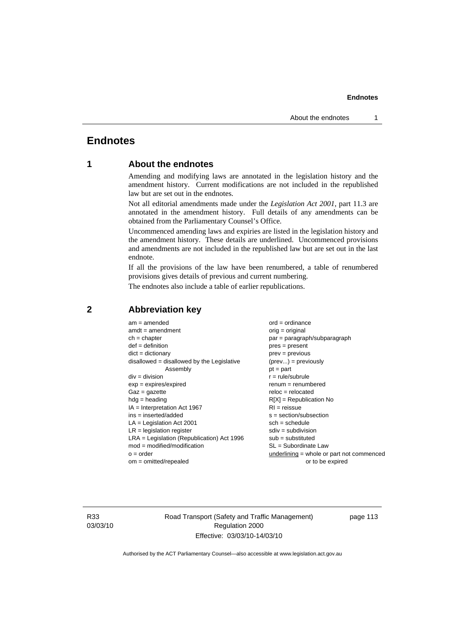# **Endnotes**

# **1 About the endnotes**

Amending and modifying laws are annotated in the legislation history and the amendment history. Current modifications are not included in the republished law but are set out in the endnotes.

Not all editorial amendments made under the *Legislation Act 2001*, part 11.3 are annotated in the amendment history. Full details of any amendments can be obtained from the Parliamentary Counsel's Office.

Uncommenced amending laws and expiries are listed in the legislation history and the amendment history. These details are underlined. Uncommenced provisions and amendments are not included in the republished law but are set out in the last endnote.

If all the provisions of the law have been renumbered, a table of renumbered provisions gives details of previous and current numbering.

The endnotes also include a table of earlier republications.

| $am = amended$                               | $ord = ordinance$                         |
|----------------------------------------------|-------------------------------------------|
| $amdt = amendment$                           | $orig = original$                         |
| $ch = chapter$                               | par = paragraph/subparagraph              |
| $def = definition$                           | $pres = present$                          |
| $dict = dictionary$                          | $prev = previous$                         |
| $disallowed = disallowed by the Legislative$ | $(\text{prev}) = \text{previously}$       |
| Assembly                                     | $pt = part$                               |
| $div = division$                             | $r = rule/subrule$                        |
| $exp = expires/expired$                      | $remum = renumbered$                      |
| $Gaz = gazette$                              | $reloc = relocated$                       |
| $hdg =$ heading                              | $R[X]$ = Republication No                 |
| $IA = Interpretation Act 1967$               | $RI = reissue$                            |
| $ins = inserted/added$                       | $s = section/subsection$                  |
| $LA =$ Legislation Act 2001                  | $sch = schedule$                          |
| $LR =$ legislation register                  | $sdiv = subdivision$                      |
| $LRA =$ Legislation (Republication) Act 1996 | $sub = substituted$                       |
| $mod = modified/modification$                | $SL = Subordinate$ Law                    |
| $o = order$                                  | underlining = whole or part not commenced |
| $om = omitted/repealed$                      | or to be expired                          |
|                                              |                                           |

# **2 Abbreviation key**

R33 03/03/10 Road Transport (Safety and Traffic Management) Regulation 2000 Effective: 03/03/10-14/03/10

page 113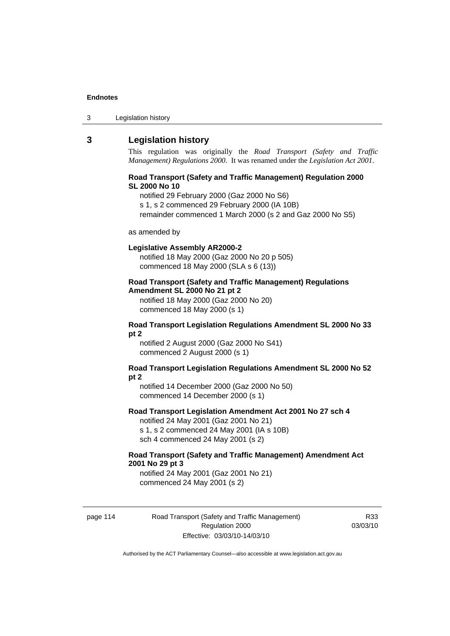| Legislation history<br>3 |
|--------------------------|
|--------------------------|

# **3 Legislation history**

This regulation was originally the *Road Transport (Safety and Traffic Management) Regulations 2000*. It was renamed under the *Legislation Act 2001*.

### **Road Transport (Safety and Traffic Management) Regulation 2000 SL 2000 No 10**

notified 29 February 2000 (Gaz 2000 No S6)

s 1, s 2 commenced 29 February 2000 (IA 10B)

remainder commenced 1 March 2000 (s 2 and Gaz 2000 No S5)

#### as amended by

#### **Legislative Assembly AR2000-2**

notified 18 May 2000 (Gaz 2000 No 20 p 505) commenced 18 May 2000 (SLA s 6 (13))

# **Road Transport (Safety and Traffic Management) Regulations Amendment SL 2000 No 21 pt 2**

notified 18 May 2000 (Gaz 2000 No 20) commenced 18 May 2000 (s 1)

#### **Road Transport Legislation Regulations Amendment SL 2000 No 33 pt 2**

notified 2 August 2000 (Gaz 2000 No S41) commenced 2 August 2000 (s 1)

#### **Road Transport Legislation Regulations Amendment SL 2000 No 52 pt 2**

notified 14 December 2000 (Gaz 2000 No 50) commenced 14 December 2000 (s 1)

### **Road Transport Legislation Amendment Act 2001 No 27 sch 4**

notified 24 May 2001 (Gaz 2001 No 21) s 1, s 2 commenced 24 May 2001 (IA s 10B) sch 4 commenced 24 May 2001 (s 2)

### **Road Transport (Safety and Traffic Management) Amendment Act 2001 No 29 pt 3**

notified 24 May 2001 (Gaz 2001 No 21) commenced 24 May 2001 (s 2)

page 114 Road Transport (Safety and Traffic Management) Regulation 2000 Effective: 03/03/10-14/03/10

R33 03/03/10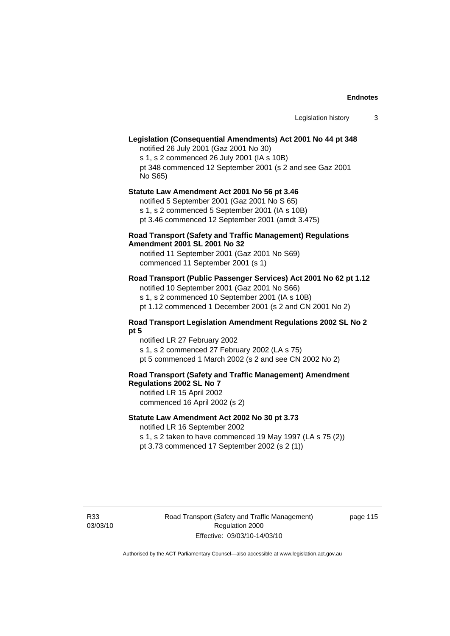# **Legislation (Consequential Amendments) Act 2001 No 44 pt 348**

notified 26 July 2001 (Gaz 2001 No 30) s 1, s 2 commenced 26 July 2001 (IA s 10B) pt 348 commenced 12 September 2001 (s 2 and see Gaz 2001 No S65)

# **Statute Law Amendment Act 2001 No 56 pt 3.46**

notified 5 September 2001 (Gaz 2001 No S 65) s 1, s 2 commenced 5 September 2001 (IA s 10B)

pt 3.46 commenced 12 September 2001 (amdt 3.475)

# **Road Transport (Safety and Traffic Management) Regulations Amendment 2001 SL 2001 No 32**

notified 11 September 2001 (Gaz 2001 No S69) commenced 11 September 2001 (s 1)

# **Road Transport (Public Passenger Services) Act 2001 No 62 pt 1.12**

notified 10 September 2001 (Gaz 2001 No S66) s 1, s 2 commenced 10 September 2001 (IA s 10B)

# pt 1.12 commenced 1 December 2001 (s 2 and CN 2001 No 2)

# **Road Transport Legislation Amendment Regulations 2002 SL No 2 pt 5**

notified LR 27 February 2002 s 1, s 2 commenced 27 February 2002 (LA s 75) pt 5 commenced 1 March 2002 (s 2 and see CN 2002 No 2)

# **Road Transport (Safety and Traffic Management) Amendment Regulations 2002 SL No 7**

notified LR 15 April 2002 commenced 16 April 2002 (s 2)

# **Statute Law Amendment Act 2002 No 30 pt 3.73**

notified LR 16 September 2002

s 1, s 2 taken to have commenced 19 May 1997 (LA s 75 (2)) pt 3.73 commenced 17 September 2002 (s 2 (1))

R33 03/03/10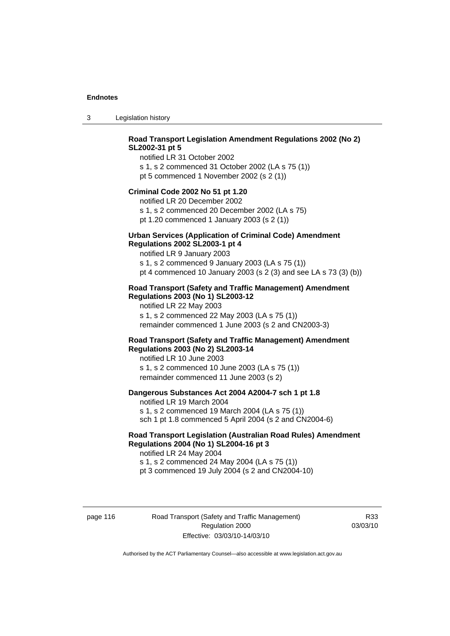3 Legislation history

# **Road Transport Legislation Amendment Regulations 2002 (No 2) SL2002-31 pt 5**

notified LR 31 October 2002 s 1, s 2 commenced 31 October 2002 (LA s 75 (1)) pt 5 commenced 1 November 2002 (s 2 (1))

#### **Criminal Code 2002 No 51 pt 1.20**

notified LR 20 December 2002 s 1, s 2 commenced 20 December 2002 (LA s 75) pt 1.20 commenced 1 January 2003 (s 2 (1))

# **Urban Services (Application of Criminal Code) Amendment**

# **Regulations 2002 SL2003-1 pt 4**

notified LR 9 January 2003 s 1, s 2 commenced 9 January 2003 (LA s 75 (1)) pt 4 commenced 10 January 2003 (s 2 (3) and see LA s 73 (3) (b))

# **Road Transport (Safety and Traffic Management) Amendment Regulations 2003 (No 1) SL2003-12**

notified LR 22 May 2003 s 1, s 2 commenced 22 May 2003 (LA s 75 (1)) remainder commenced 1 June 2003 (s 2 and CN2003-3)

# **Road Transport (Safety and Traffic Management) Amendment Regulations 2003 (No 2) SL2003-14**

notified LR 10 June 2003 s 1, s 2 commenced 10 June 2003 (LA s 75 (1)) remainder commenced 11 June 2003 (s 2)

### **Dangerous Substances Act 2004 A2004-7 sch 1 pt 1.8**

notified LR 19 March 2004 s 1, s 2 commenced 19 March 2004 (LA s 75 (1)) sch 1 pt 1.8 commenced 5 April 2004 (s 2 and CN2004-6)

# **Road Transport Legislation (Australian Road Rules) Amendment Regulations 2004 (No 1) SL2004-16 pt 3**

notified LR 24 May 2004 s 1, s 2 commenced 24 May 2004 (LA s 75 (1)) pt 3 commenced 19 July 2004 (s 2 and CN2004-10)

page 116 Road Transport (Safety and Traffic Management) Regulation 2000 Effective: 03/03/10-14/03/10

R33 03/03/10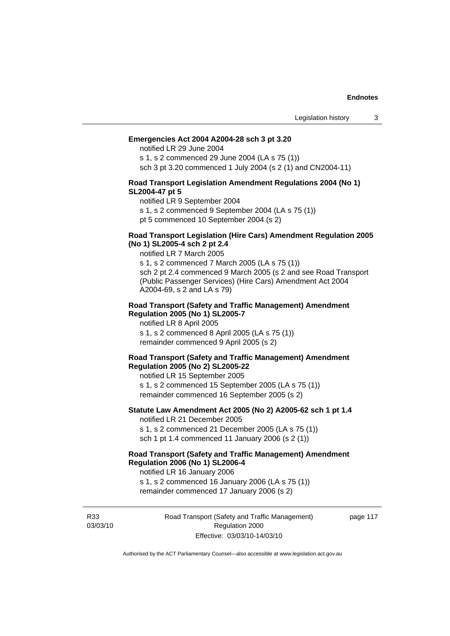#### **Emergencies Act 2004 A2004-28 sch 3 pt 3.20**

notified LR 29 June 2004

s 1, s 2 commenced 29 June 2004 (LA s 75 (1)) sch 3 pt 3.20 commenced 1 July 2004 (s 2 (1) and CN2004-11)

### **Road Transport Legislation Amendment Regulations 2004 (No 1) SL2004-47 pt 5**

notified LR 9 September 2004

s 1, s 2 commenced 9 September 2004 (LA s 75 (1))

pt 5 commenced 10 September 2004 (s 2)

### **Road Transport Legislation (Hire Cars) Amendment Regulation 2005 (No 1) SL2005-4 sch 2 pt 2.4**

notified LR 7 March 2005

s 1, s 2 commenced 7 March 2005 (LA s 75 (1)) sch 2 pt 2.4 commenced 9 March 2005 (s 2 and see Road Transport (Public Passenger Services) (Hire Cars) Amendment Act 2004 A2004-69, s 2 and LA s 79)

#### **Road Transport (Safety and Traffic Management) Amendment Regulation 2005 (No 1) SL2005-7**

notified LR 8 April 2005 s 1, s 2 commenced 8 April 2005 (LA s 75 (1)) remainder commenced 9 April 2005 (s 2)

#### **Road Transport (Safety and Traffic Management) Amendment Regulation 2005 (No 2) SL2005-22**

notified LR 15 September 2005 s 1, s 2 commenced 15 September 2005 (LA s 75 (1)) remainder commenced 16 September 2005 (s 2)

#### **Statute Law Amendment Act 2005 (No 2) A2005-62 sch 1 pt 1.4**  notified LR 21 December 2005

s 1, s 2 commenced 21 December 2005 (LA s 75 (1)) sch 1 pt 1.4 commenced 11 January 2006 (s 2 (1))

# **Road Transport (Safety and Traffic Management) Amendment Regulation 2006 (No 1) SL2006-4**

notified LR 16 January 2006 s 1, s 2 commenced 16 January 2006 (LA s 75 (1))

remainder commenced 17 January 2006 (s 2)

R33 03/03/10 Road Transport (Safety and Traffic Management) Regulation 2000 Effective: 03/03/10-14/03/10

page 117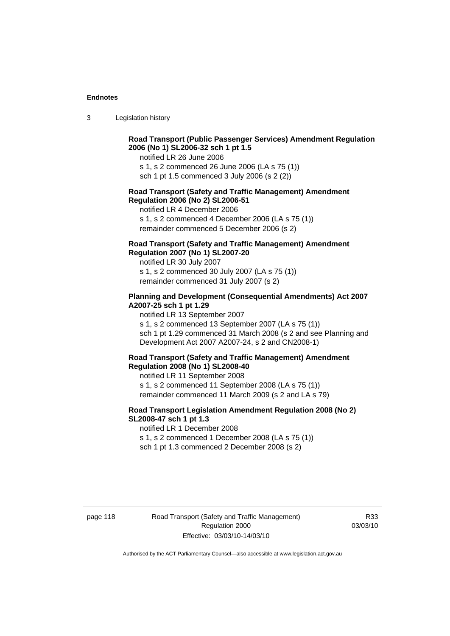3 Legislation history

# **Road Transport (Public Passenger Services) Amendment Regulation 2006 (No 1) SL2006-32 sch 1 pt 1.5**

notified LR 26 June 2006

s 1, s 2 commenced 26 June 2006 (LA s 75 (1)) sch 1 pt 1.5 commenced 3 July 2006 (s 2 (2))

#### **Road Transport (Safety and Traffic Management) Amendment Regulation 2006 (No 2) SL2006-51**

notified LR 4 December 2006

s 1, s 2 commenced 4 December 2006 (LA s 75 (1)) remainder commenced 5 December 2006 (s 2)

# **Road Transport (Safety and Traffic Management) Amendment Regulation 2007 (No 1) SL2007-20**

notified LR 30 July 2007 s 1, s 2 commenced 30 July 2007 (LA s 75 (1)) remainder commenced 31 July 2007 (s 2)

# **Planning and Development (Consequential Amendments) Act 2007 A2007-25 sch 1 pt 1.29**

notified LR 13 September 2007

s 1, s 2 commenced 13 September 2007 (LA s 75 (1)) sch 1 pt 1.29 commenced 31 March 2008 (s 2 and see Planning and Development Act 2007 A2007-24, s 2 and CN2008-1)

#### **Road Transport (Safety and Traffic Management) Amendment Regulation 2008 (No 1) SL2008-40**

notified LR 11 September 2008 s 1, s 2 commenced 11 September 2008 (LA s 75 (1)) remainder commenced 11 March 2009 (s 2 and LA s 79)

### **Road Transport Legislation Amendment Regulation 2008 (No 2) SL2008-47 sch 1 pt 1.3**

notified LR 1 December 2008 s 1, s 2 commenced 1 December 2008 (LA s 75 (1)) sch 1 pt 1.3 commenced 2 December 2008 (s 2)

page 118 Road Transport (Safety and Traffic Management) Regulation 2000 Effective: 03/03/10-14/03/10

R33 03/03/10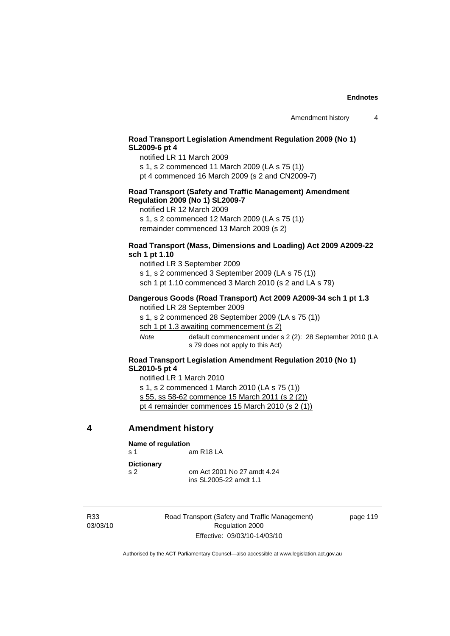# **Road Transport Legislation Amendment Regulation 2009 (No 1) SL2009-6 pt 4**

notified LR 11 March 2009

s 1, s 2 commenced 11 March 2009 (LA s 75 (1)) pt 4 commenced 16 March 2009 (s 2 and CN2009-7)

# **Road Transport (Safety and Traffic Management) Amendment Regulation 2009 (No 1) SL2009-7**

notified LR 12 March 2009

s 1, s 2 commenced 12 March 2009 (LA s 75 (1)) remainder commenced 13 March 2009 (s 2)

# **Road Transport (Mass, Dimensions and Loading) Act 2009 A2009-22 sch 1 pt 1.10**

notified LR 3 September 2009 s 1, s 2 commenced 3 September 2009 (LA s 75 (1)) sch 1 pt 1.10 commenced 3 March 2010 (s 2 and LA s 79)

#### **Dangerous Goods (Road Transport) Act 2009 A2009-34 sch 1 pt 1.3**

notified LR 28 September 2009 s 1, s 2 commenced 28 September 2009 (LA s 75 (1)) sch 1 pt 1.3 awaiting commencement (s 2) *Note* default commencement under s 2 (2): 28 September 2010 (LA

s 79 does not apply to this Act)

# **Road Transport Legislation Amendment Regulation 2010 (No 1) SL2010-5 pt 4**

notified LR 1 March 2010 s 1, s 2 commenced 1 March 2010 (LA s 75 (1)) s 55, ss 58-62 commence 15 March 2011 (s 2 (2)) pt 4 remainder commences 15 March 2010 (s 2 (1))

# **4 Amendment history**

| Name of regulation                  |                                                       |
|-------------------------------------|-------------------------------------------------------|
| $\mathbf{s}$ 1                      | am R18 LA                                             |
| <b>Dictionary</b><br>S <sub>2</sub> | om Act 2001 No 27 amdt 4.24<br>ins SL2005-22 amdt 1.1 |

R33 03/03/10 Road Transport (Safety and Traffic Management) Regulation 2000 Effective: 03/03/10-14/03/10

page 119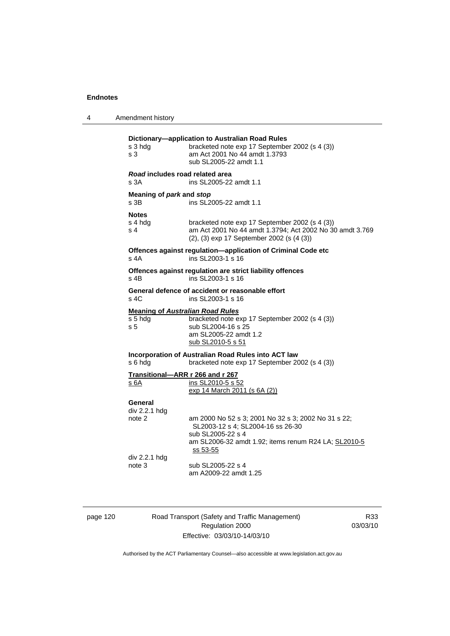4 Amendment history **Dictionary—application to Australian Road Rules**  bracketed note exp 17 September 2002 (s 4 (3)) s 3 am Act 2001 No 44 amdt 1.3793 sub SL2005-22 amdt 1.1 *Road* **includes road related area**  s 3A ins SL2005-22 amdt 1.1 **Meaning of** *park* **and** *stop* s 3B ins SL2005-22 amdt 1.1 **Notes**  s 4 hdg bracketed note exp 17 September 2002 (s 4 (3)) s 4 am Act 2001 No 44 amdt 1.3794; Act 2002 No 30 amdt 3.769 (2), (3) exp 17 September 2002 (s (4 (3)) **Offences against regulation—application of Criminal Code etc**  s 4A ins SL2003-1 s 16 **Offences against regulation are strict liability offences**  s 4B ins SL2003-1 s 16 **General defence of accident or reasonable effort**  s 4C ins SL2003-1 s 16 **Meaning of** *Australian Road Rules* s 5 hdg bracketed note exp 17 September 2002 (s 4 (3)) s 5  $\frac{3}{25}$  sub SL2004-16 s 25 am SL2005-22 amdt 1.2 sub SL2010-5 s 51 **Incorporation of Australian Road Rules into ACT law**  s 6 hdg bracketed note exp 17 September 2002 (s 4 (3)) **Transitional—ARR r 266 and r 267** s 6A ins SL2010-5 s 52 exp 14 March 2011 (s 6A (2)) **General**  div 2.2.1 hdg am 2000 No 52 s 3; 2001 No 32 s 3; 2002 No 31 s 22; SL2003-12 s 4; SL2004-16 ss 26-30 sub SL2005-22 s 4 am SL2006-32 amdt 1.92; items renum R24 LA; SL2010-5 ss 53-55 div 2.2.1 hdg note 3 sub SL2005-22 s 4 am A2009-22 amdt 1.25

page 120 Road Transport (Safety and Traffic Management) Regulation 2000 Effective: 03/03/10-14/03/10

R33 03/03/10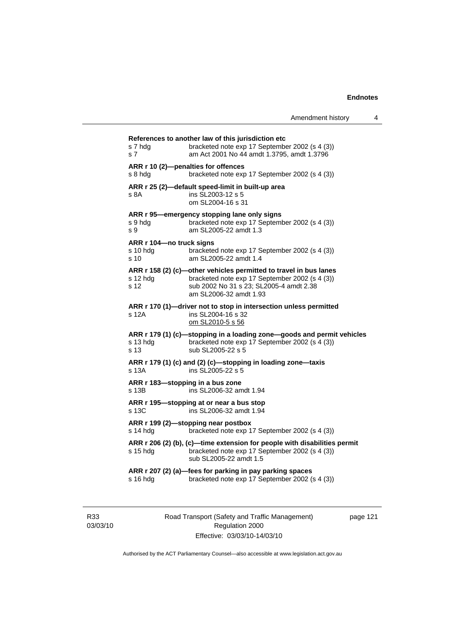| s 7 hdg<br>s 7              | bracketed note exp 17 September 2002 (s 4 (3))<br>am Act 2001 No 44 amdt 1.3795, amdt 1.3796                                                                                             |
|-----------------------------|------------------------------------------------------------------------------------------------------------------------------------------------------------------------------------------|
| s 8 hda                     | ARR r 10 (2)-penalties for offences<br>bracketed note exp 17 September 2002 (s 4 (3))                                                                                                    |
| s 8A                        | ARR r 25 (2)-default speed-limit in built-up area<br>ins SL2003-12 s 5<br>om SL2004-16 s 31                                                                                              |
| s 9 hdg<br>s 9              | ARR r 95-emergency stopping lane only signs<br>bracketed note exp 17 September 2002 (s 4 (3))<br>am SL2005-22 amdt 1.3                                                                   |
| s 10 hda<br>s <sub>10</sub> | ARR r 104-no truck signs<br>bracketed note exp 17 September 2002 (s 4 (3))<br>am SL2005-22 amdt 1.4                                                                                      |
| s 12 hda<br>s 12            | ARR r 158 (2) (c)-other vehicles permitted to travel in bus lanes<br>bracketed note exp 17 September 2002 (s 4 (3))<br>sub 2002 No 31 s 23; SL2005-4 amdt 2.38<br>am SL2006-32 amdt 1.93 |
| s 12A                       | ARR r 170 (1)-driver not to stop in intersection unless permitted<br>ins SL2004-16 s 32<br>om SL2010-5 s 56                                                                              |
| s 13 hdg<br>s 13            | ARR r 179 (1) (c)-stopping in a loading zone-goods and permit vehicles<br>bracketed note exp 17 September 2002 (s 4 (3))<br>sub SL2005-22 s 5                                            |
| s 13A                       | ARR r 179 (1) (c) and (2) (c)-stopping in loading zone-taxis<br>ins SL2005-22 s 5                                                                                                        |
| s 13B                       | ARR r 183-stopping in a bus zone<br>ins SL2006-32 amdt 1.94                                                                                                                              |
| s 13C                       | ARR r 195-stopping at or near a bus stop<br>ins SL2006-32 amdt 1.94                                                                                                                      |
| s 14 hdg                    | ARR r 199 (2)-stopping near postbox<br>bracketed note exp 17 September 2002 (s 4 (3))                                                                                                    |
| s 15 hdg                    | ARR r 206 (2) (b), (c)-time extension for people with disabilities permit<br>bracketed note exp 17 September 2002 (s 4 (3))<br>sub SL2005-22 amdt 1.5                                    |
| s 16 hdg                    | ARR r 207 (2) (a)-fees for parking in pay parking spaces<br>bracketed note exp 17 September 2002 (s 4 (3))                                                                               |

R33 03/03/10 Road Transport (Safety and Traffic Management) Regulation 2000 Effective: 03/03/10-14/03/10

page 121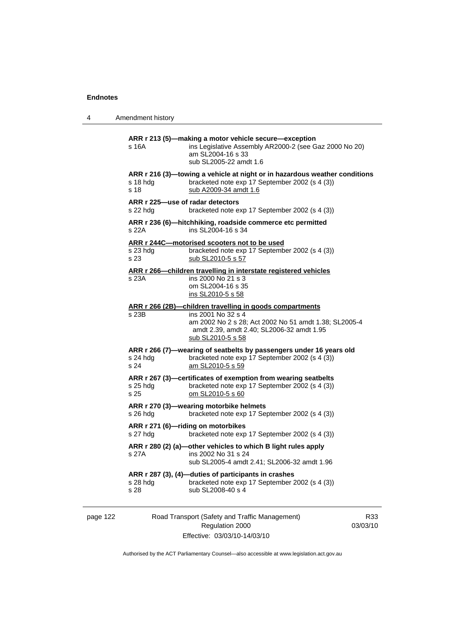4 Amendment history **ARR r 213 (5)—making a motor vehicle secure—exception**  s 16A ins Legislative Assembly AR2000-2 (see Gaz 2000 No 20) am SL2004-16 s 33 sub SL2005-22 amdt 1.6 **ARR r 216 (3)—towing a vehicle at night or in hazardous weather conditions**  s 18 hdg bracketed note exp 17 September 2002 (s 4 (3)) s 18 sub A2009-34 amdt 1.6 **ARR r 225—use of radar detectors**  s 22 hdg bracketed note exp 17 September 2002 (s 4 (3)) **ARR r 236 (6)—hitchhiking, roadside commerce etc permitted**  s 22A ins SL2004-16 s 34 **ARR r 244C—motorised scooters not to be used** s 23 hdg bracketed note exp 17 September 2002 (s 4 (3)) s 23 sub SL2010-5 s 57 **ARR r 266—children travelling in interstate registered vehicles** s 23A ins 2000 No 21 s 3 om SL2004-16 s 35 ins SL2010-5 s 58 **ARR r 266 (2B)—children travelling in goods compartments** s 23B ins 2001 No 32 s 4 am 2002 No 2 s 28; Act 2002 No 51 amdt 1.38; SL2005-4 amdt 2.39, amdt 2.40; SL2006-32 amdt 1.95 sub SL2010-5 s 58 **ARR r 266 (7)—wearing of seatbelts by passengers under 16 years old**  s 24 hdg bracketed note exp 17 September 2002 (s 4 (3)) s 24 am SL2010-5 s 59 **ARR r 267 (3)—certificates of exemption from wearing seatbelts**  s 25 hdg bracketed note exp 17 September 2002 (s 4 (3)) s 25 om SL2010-5 s 60 **ARR r 270 (3)—wearing motorbike helmets**  s 26 hdg bracketed note exp 17 September 2002 (s 4 (3)) **ARR r 271 (6)—riding on motorbikes**  s 27 hdg bracketed note exp 17 September 2002 (s 4 (3)) **ARR r 280 (2) (a)—other vehicles to which B light rules apply**  s 27A ins 2002 No 31 s 24 sub SL2005-4 amdt 2.41; SL2006-32 amdt 1.96 **ARR r 287 (3), (4)—duties of participants in crashes**  s 28 hdg bracketed note exp 17 September 2002 (s 4 (3)) s 28 sub SL2008-40 s 4

page 122 Road Transport (Safety and Traffic Management) Regulation 2000 Effective: 03/03/10-14/03/10

R33 03/03/10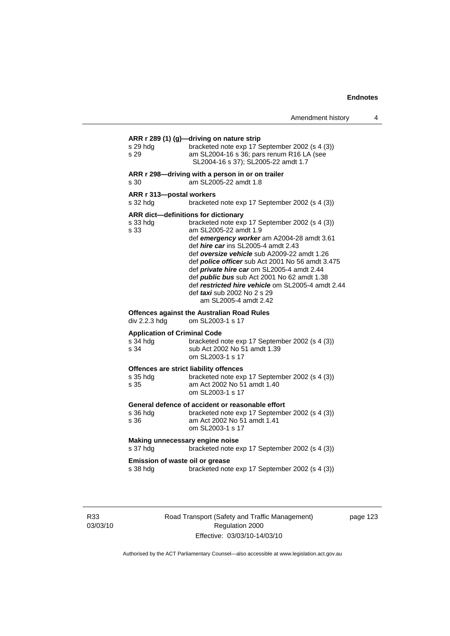| s 29 hdg<br>s 29                                        | ARR r 289 (1) (g)-driving on nature strip<br>bracketed note exp 17 September 2002 (s 4 (3))<br>am SL2004-16 s 36; pars renum R16 LA (see<br>SL2004-16 s 37); SL2005-22 amdt 1.7                                                                                                                                                                                                                                                                                                                                                       |
|---------------------------------------------------------|---------------------------------------------------------------------------------------------------------------------------------------------------------------------------------------------------------------------------------------------------------------------------------------------------------------------------------------------------------------------------------------------------------------------------------------------------------------------------------------------------------------------------------------|
| s 30                                                    | ARR r 298-driving with a person in or on trailer<br>am SL2005-22 amdt 1.8                                                                                                                                                                                                                                                                                                                                                                                                                                                             |
| ARR r 313-postal workers<br>s 32 hda                    | bracketed note exp 17 September 2002 (s 4 (3))                                                                                                                                                                                                                                                                                                                                                                                                                                                                                        |
| s 33 hda<br>s 33                                        | ARR dict-definitions for dictionary<br>bracketed note exp 17 September 2002 (s 4 (3))<br>am SL2005-22 amdt 1.9<br>def emergency worker am A2004-28 amdt 3.61<br>def <i>hire car</i> ins SL2005-4 amdt 2.43<br>def oversize vehicle sub A2009-22 amdt 1.26<br>def police officer sub Act 2001 No 56 amdt 3.475<br>def private hire car om SL2005-4 amdt 2.44<br>def <b>public bus</b> sub Act 2001 No 62 amdt 1.38<br>def restricted hire vehicle om SL2005-4 amdt 2.44<br>def <i>taxi</i> sub 2002 No 2 s 29<br>am SL2005-4 amdt 2.42 |
| div 2.2.3 hdg                                           | <b>Offences against the Australian Road Rules</b><br>om SL2003-1 s 17                                                                                                                                                                                                                                                                                                                                                                                                                                                                 |
| <b>Application of Criminal Code</b><br>s 34 hdg<br>s 34 | bracketed note exp 17 September 2002 (s 4 (3))<br>sub Act 2002 No 51 amdt 1.39<br>om SL2003-1 s 17                                                                                                                                                                                                                                                                                                                                                                                                                                    |
| s 35 hdg<br>s 35                                        | Offences are strict liability offences<br>bracketed note exp 17 September 2002 (s 4 (3))<br>am Act 2002 No 51 amdt 1.40<br>om SL2003-1 s 17                                                                                                                                                                                                                                                                                                                                                                                           |
| s 36 hdg                                                | General defence of accident or reasonable effort<br>bracketed note exp 17 September 2002 (s 4 (3))<br>am Act 2002 No 51 amdt 1.41                                                                                                                                                                                                                                                                                                                                                                                                     |
| s 36                                                    | om SL2003-1 s 17                                                                                                                                                                                                                                                                                                                                                                                                                                                                                                                      |
| s 37 hdg                                                | Making unnecessary engine noise<br>bracketed note exp 17 September 2002 (s 4 (3))                                                                                                                                                                                                                                                                                                                                                                                                                                                     |

R33 03/03/10 Road Transport (Safety and Traffic Management) Regulation 2000 Effective: 03/03/10-14/03/10

page 123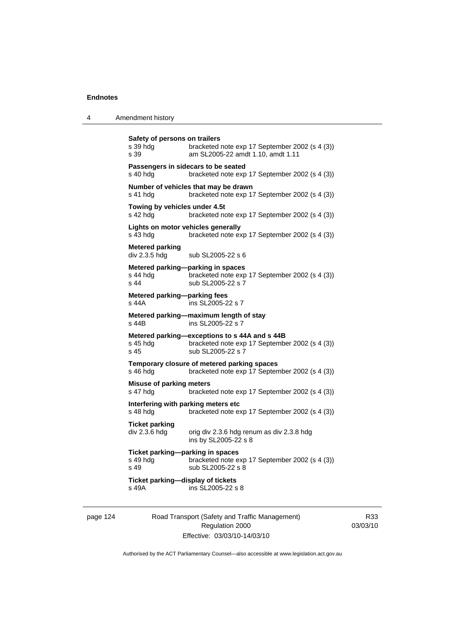| 4 | Amendment history |  |
|---|-------------------|--|
|---|-------------------|--|

```
Safety of persons on trailers 
s 39 hdg bracketed note exp 17 September 2002 (s 4 (3))
s 39 am SL2005-22 amdt 1.10, amdt 1.11 
Passengers in sidecars to be seated 
s 40 hdg bracketed note exp 17 September 2002 (s 4 (3))
Number of vehicles that may be drawn 
s 41 hdg bracketed note exp 17 September 2002 (s 4 (3))
Towing by vehicles under 4.5t 
s 42 hdg bracketed note exp 17 September 2002 (s 4 (3))
Lights on motor vehicles generally 
s 43 hdg bracketed note exp 17 September 2002 (s 4 (3)) 
Metered parking 
div 2.3.5 hdg sub SL2005-22 s 6
Metered parking—parking in spaces 
s 44 hdg bracketed note exp 17 September 2002 (s 4 (3))<br>s 44 sub SL2005-22 s 7
                 sub SL2005-22 s 7
Metered parking—parking fees 
s 44A ins SL2005-22 s 7 
Metered parking—maximum length of stay 
s 44B ins SL2005-22 s 7
Metered parking—exceptions to s 44A and s 44B<br>s 45 hdg bracketed note exp 17 Septembe
                 bracketed note exp 17 September 2002 (s 4 (3))
s 45 sub SL2005-22 s 7 
Temporary closure of metered parking spaces 
s 46 hdg bracketed note exp 17 September 2002 (s 4 (3)) 
Misuse of parking meters 
s 47 hdg bracketed note exp 17 September 2002 (s 4 (3)) 
Interfering with parking meters etc 
s 48 hdg bracketed note exp 17 September 2002 (s 4 (3))
Ticket parking 
div 2.3.6 hdg orig div 2.3.6 hdg renum as div 2.3.8 hdg
                  ins by SL2005-22 s 8 
Ticket parking—parking in spaces 
s 49 hdg bracketed note exp 17 September 2002 (s 4 (3)) 
s 49 sub SL2005-22 s 8 
Ticket parking—display of tickets 
s 49A ins SL2005-22 s 8
```
page 124 Road Transport (Safety and Traffic Management) Regulation 2000 Effective: 03/03/10-14/03/10

R33 03/03/10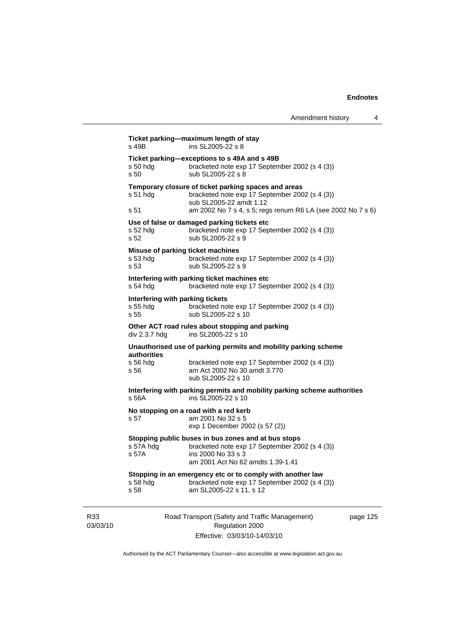| Amendment history |  |
|-------------------|--|
|-------------------|--|

| s 49B                                                  | Ticket parking-maximum length of stay<br>ins SL2005-22 s 8                                                                                                                                       |          |  |
|--------------------------------------------------------|--------------------------------------------------------------------------------------------------------------------------------------------------------------------------------------------------|----------|--|
| s 50 hdg<br>s <sub>50</sub>                            | Ticket parking-exceptions to s 49A and s 49B<br>bracketed note exp 17 September 2002 (s 4 (3))<br>sub SL2005-22 s 8                                                                              |          |  |
| $s51$ hdg<br>s 51                                      | Temporary closure of ticket parking spaces and areas<br>bracketed note exp 17 September 2002 (s 4 (3))<br>sub SL2005-22 amdt 1.12<br>am 2002 No 7 s 4, s 5; regs renum R6 LA (see 2002 No 7 s 6) |          |  |
| $s52$ hdg<br>s 52                                      | Use of false or damaged parking tickets etc<br>bracketed note exp 17 September 2002 (s 4 (3))<br>sub SL2005-22 s 9                                                                               |          |  |
| Misuse of parking ticket machines<br>$s53$ hdg<br>s 53 | bracketed note exp 17 September 2002 (s 4 (3))<br>sub SL2005-22 s 9                                                                                                                              |          |  |
| s 54 hdg                                               | Interfering with parking ticket machines etc<br>bracketed note exp 17 September 2002 (s 4 (3))                                                                                                   |          |  |
| Interfering with parking tickets<br>$s$ 55 hdg<br>s 55 | bracketed note exp 17 September 2002 (s 4 (3))<br>sub SL2005-22 s 10                                                                                                                             |          |  |
| div 2.3.7 hdg                                          | Other ACT road rules about stopping and parking<br>ins SL2005-22 s 10                                                                                                                            |          |  |
|                                                        | Unauthorised use of parking permits and mobility parking scheme                                                                                                                                  |          |  |
| <b>authorities</b><br>$s$ 56 hdg<br>s 56               | bracketed note exp 17 September 2002 (s 4 (3))<br>am Act 2002 No 30 amdt 3.770<br>sub SL2005-22 s 10                                                                                             |          |  |
| s 56A                                                  | Interfering with parking permits and mobility parking scheme authorities<br>ins SL2005-22 s 10                                                                                                   |          |  |
| s 57                                                   | No stopping on a road with a red kerb<br>am 2001 No 32 s 5<br>exp 1 December 2002 (s 57 (2))                                                                                                     |          |  |
| s 57A hdg<br>s 57A                                     | Stopping public buses in bus zones and at bus stops<br>bracketed note exp 17 September 2002 (s 4 (3))<br>ins 2000 No 33 s 3<br>am 2001 Act No 62 amdts 1.39-1.41                                 |          |  |
| $s58$ hdg<br>s 58                                      | Stopping in an emergency etc or to comply with another law<br>bracketed note exp 17 September 2002 (s 4 (3))<br>am SL2005-22 s 11, s 12                                                          |          |  |
|                                                        | Road Transport (Safety and Traffic Management)<br>Regulation 2000                                                                                                                                | page 125 |  |

Effective: 03/03/10-14/03/10

Authorised by the ACT Parliamentary Counsel—also accessible at www.legislation.act.gov.au

R33 03/03/10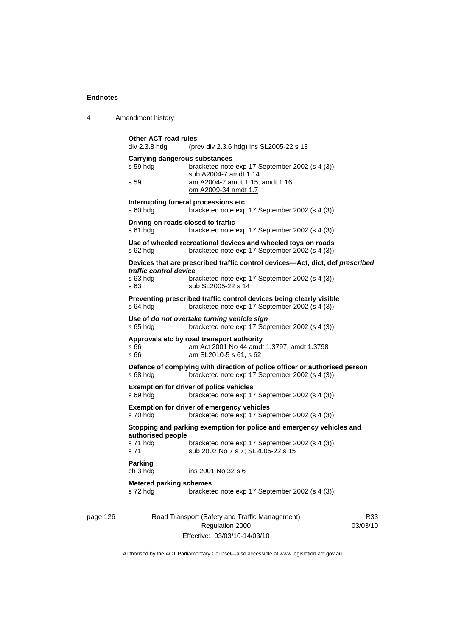4 Amendment history

```
page 126 Road Transport (Safety and Traffic Management) 
           Other ACT road rules<br>div 2.3.8 hdg (pre
                             (prev div 2.3.6 hdg) ins SL2005-22 s 13
           Carrying dangerous substances 
           s 59 hdg bracketed note exp 17 September 2002 (s 4 (3)) 
                              sub A2004-7 amdt 1.14 
           s 59 am A2004-7 amdt 1.15, amdt 1.16 
                              om A2009-34 amdt 1.7
           Interrupting funeral processions etc 
           s 60 hdg bracketed note exp 17 September 2002 (s 4 (3)) 
           Driving on roads closed to traffic 
           s 61 hdg bracketed note exp 17 September 2002 (s 4 (3)) 
           Use of wheeled recreational devices and wheeled toys on roads 
           s 62 hdg bracketed note exp 17 September 2002 (s 4 (3)) 
           Devices that are prescribed traffic control devices—Act, dict, def prescribed 
           traffic control device
                             bracketed note exp 17 September 2002 (s 4 (3))
           s 63 sub SL2005-22 s 14 
           Preventing prescribed traffic control devices being clearly visible 
           s 64 hdg bracketed note exp 17 September 2002 (s 4 (3)) 
           Use of do not overtake turning vehicle sign 
           s 65 hdg bracketed note exp 17 September 2002 (s 4 (3)) 
           Approvals etc by road transport authority 
           s 66 am Act 2001 No 44 amdt 1.3797, amdt 1.3798 
           s 66 am SL2010-5 s 61, s 62
           Defence of complying with direction of police officer or authorised person 
           s 68 hdg bracketed note exp 17 September 2002 (s 4 (3)) 
           Exemption for driver of police vehicles 
           s 69 hdg bracketed note exp 17 September 2002 (s 4 (3)) 
           Exemption for driver of emergency vehicles 
           s 70 hdg bracketed note exp 17 September 2002 (s 4 (3)) 
           Stopping and parking exemption for police and emergency vehicles and 
           authorised people 
           s 71 hdg bracketed note exp 17 September 2002 (s 4 (3))
           s 71 sub 2002 No 7 s 7; SL2005-22 s 15 
           Parking 
           ch 3 hdg ins 2001 No 32 s 6 
           Metered parking schemes 
           s 72 hdg bracketed note exp 17 September 2002 (s 4 (3))
```
Regulation 2000 Effective: 03/03/10-14/03/10

R33 03/03/10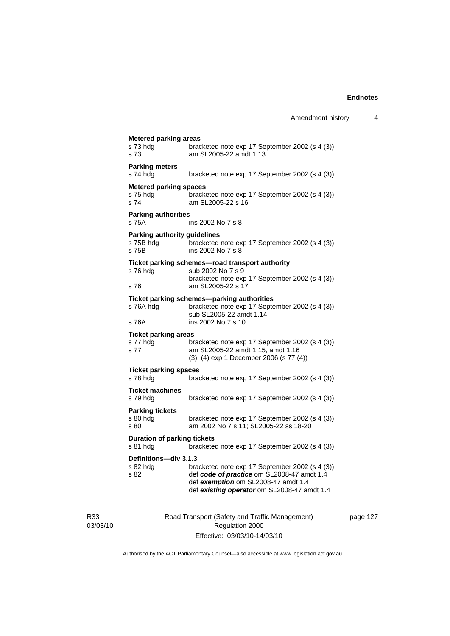| s 73 hda<br>s 73                                          | bracketed note exp 17 September 2002 (s 4 (3))<br>am SL2005-22 amdt 1.13                                                                                                           |
|-----------------------------------------------------------|------------------------------------------------------------------------------------------------------------------------------------------------------------------------------------|
| <b>Parking meters</b><br>s 74 hdg                         | bracketed note exp 17 September 2002 (s 4 (3))                                                                                                                                     |
| <b>Metered parking spaces</b><br>s 75 hda<br>s 74         | bracketed note exp 17 September 2002 (s 4 (3))<br>am SL2005-22 s 16                                                                                                                |
| <b>Parking authorities</b><br>s 75A                       | ins 2002 No 7 s 8                                                                                                                                                                  |
| <b>Parking authority guidelines</b><br>s 75B hdg<br>s 75B | bracketed note exp 17 September 2002 (s 4 (3))<br>ins 2002 No 7 s 8                                                                                                                |
| s 76 hda<br>s 76                                          | Ticket parking schemes-road transport authority<br>sub 2002 No 7 s 9<br>bracketed note exp 17 September 2002 (s 4 (3))<br>am SL2005-22 s 17                                        |
| s 76A hdg<br>s 76A                                        | Ticket parking schemes-parking authorities<br>bracketed note exp 17 September 2002 (s 4 (3))<br>sub SL2005-22 amdt 1.14<br>ins 2002 No 7 s 10                                      |
| <b>Ticket parking areas</b><br>s 77 hda<br>s 77           | bracketed note exp 17 September 2002 (s 4 (3))<br>am SL2005-22 amdt 1.15, amdt 1.16<br>(3), (4) exp 1 December 2006 (s 77 (4))                                                     |
| <b>Ticket parking spaces</b><br>s 78 hdg                  | bracketed note exp 17 September 2002 (s 4 (3))                                                                                                                                     |
| <b>Ticket machines</b><br>s 79 hdg                        | bracketed note exp 17 September 2002 (s 4 (3))                                                                                                                                     |
| <b>Parking tickets</b><br>s 80 hdg<br>s 80                | bracketed note exp 17 September 2002 (s 4 (3))<br>am 2002 No 7 s 11; SL2005-22 ss 18-20                                                                                            |
| <b>Duration of parking tickets</b><br>s 81 hda            | bracketed note exp 17 September 2002 (s 4 (3))                                                                                                                                     |
| Definitions-div 3.1.3<br>s 82 hda<br>s 82                 | bracketed note exp 17 September 2002 (s 4 (3))<br>def code of practice om SL2008-47 amdt 1.4<br>def exemption om SL2008-47 amdt 1.4<br>def existing operator om SL2008-47 amdt 1.4 |

R33 03/03/10 Road Transport (Safety and Traffic Management) Regulation 2000 Effective: 03/03/10-14/03/10

page 127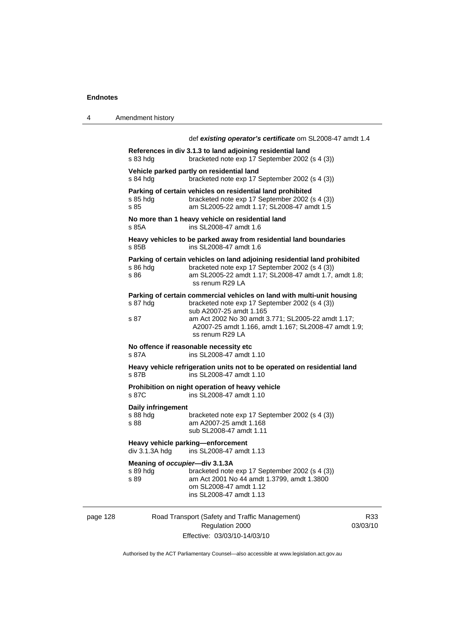page 128

| 4 | Amendment history |
|---|-------------------|
|---|-------------------|

|                                                                                     | def existing operator's certificate om SL2008-47 amdt 1.4                                                                                                                                                                                                                            |              |  |
|-------------------------------------------------------------------------------------|--------------------------------------------------------------------------------------------------------------------------------------------------------------------------------------------------------------------------------------------------------------------------------------|--------------|--|
| s 83 hdg                                                                            | References in div 3.1.3 to land adjoining residential land<br>bracketed note exp 17 September 2002 (s 4 (3))                                                                                                                                                                         |              |  |
| s 84 hdg                                                                            | Vehicle parked partly on residential land<br>bracketed note exp 17 September 2002 (s 4 (3))                                                                                                                                                                                          |              |  |
| s 85 hdg<br>s 85                                                                    | Parking of certain vehicles on residential land prohibited<br>bracketed note exp 17 September 2002 (s 4 (3))<br>am SL2005-22 amdt 1.17; SL2008-47 amdt 1.5                                                                                                                           |              |  |
| s 85A                                                                               | No more than 1 heavy vehicle on residential land<br>ins SL2008-47 amdt 1.6                                                                                                                                                                                                           |              |  |
| s 85B                                                                               | Heavy vehicles to be parked away from residential land boundaries<br>ins SL2008-47 amdt 1.6                                                                                                                                                                                          |              |  |
| s 86 hdg<br>s 86                                                                    | Parking of certain vehicles on land adjoining residential land prohibited<br>bracketed note exp 17 September 2002 (s 4 (3))<br>am SL2005-22 amdt 1.17; SL2008-47 amdt 1.7, amdt 1.8;<br>ss renum R29 LA                                                                              |              |  |
| s 87 hdg<br>s 87                                                                    | Parking of certain commercial vehicles on land with multi-unit housing<br>bracketed note exp 17 September 2002 (s 4 (3))<br>sub A2007-25 amdt 1.165<br>am Act 2002 No 30 amdt 3.771; SL2005-22 amdt 1.17;<br>A2007-25 amdt 1.166, amdt 1.167; SL2008-47 amdt 1.9;<br>ss renum R29 LA |              |  |
| s 87A                                                                               | No offence if reasonable necessity etc<br>ins SL2008-47 amdt 1.10                                                                                                                                                                                                                    |              |  |
| s 87B                                                                               | Heavy vehicle refrigeration units not to be operated on residential land<br>ins SL2008-47 amdt 1.10                                                                                                                                                                                  |              |  |
| Prohibition on night operation of heavy vehicle<br>ins SL2008-47 amdt 1.10<br>s 87C |                                                                                                                                                                                                                                                                                      |              |  |
| Daily infringement<br>s 88 hdg<br>s 88                                              | bracketed note exp 17 September 2002 (s 4 (3))<br>am A2007-25 amdt 1.168<br>sub SL2008-47 amdt 1.11                                                                                                                                                                                  |              |  |
| div 3.1.3A hdg                                                                      | Heavy vehicle parking-enforcement<br>ins SL2008-47 amdt 1.13                                                                                                                                                                                                                         |              |  |
| Meaning of occupier-div 3.1.3A<br>s 89 hdg<br>s 89                                  | bracketed note exp 17 September 2002 (s 4 (3))<br>am Act 2001 No 44 amdt 1.3799, amdt 1.3800<br>om SL2008-47 amdt 1.12<br>ins SL2008-47 amdt 1.13                                                                                                                                    |              |  |
|                                                                                     | Road Transport (Safety and Traffic Management)<br>Regulation 2000                                                                                                                                                                                                                    | R.<br>03/03/ |  |

Effective: 03/03/10-14/03/10

R33 03/03/10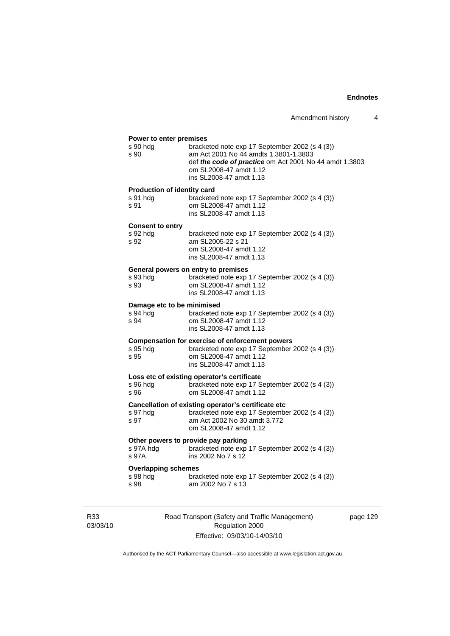# **Power to enter premises**

| Power to enter premises                                |                                                                                                                                                                                                        |
|--------------------------------------------------------|--------------------------------------------------------------------------------------------------------------------------------------------------------------------------------------------------------|
| s 90 hdg<br>s 90                                       | bracketed note exp 17 September 2002 (s 4 (3))<br>am Act 2001 No 44 amdts 1.3801-1.3803<br>def the code of practice om Act 2001 No 44 amdt 1.3803<br>om SL2008-47 amdt 1.12<br>ins SL2008-47 amdt 1.13 |
| <b>Production of identity card</b><br>s 91 hdg<br>s 91 | bracketed note exp 17 September 2002 (s 4 (3))<br>om SL2008-47 amdt 1.12<br>ins SL2008-47 amdt 1.13                                                                                                    |
| <b>Consent to entry</b><br>s 92 hdg<br>s 92            | bracketed note exp 17 September 2002 (s 4 (3))<br>am SL2005-22 s 21<br>om SL2008-47 amdt 1.12<br>ins SL2008-47 amdt 1.13                                                                               |
| s 93 hdg<br>s 93                                       | General powers on entry to premises<br>bracketed note exp 17 September 2002 (s 4 (3))<br>om SL2008-47 amdt 1.12<br>ins SL2008-47 amdt 1.13                                                             |
| Damage etc to be minimised<br>s 94 hda<br>s 94         | bracketed note exp 17 September 2002 (s 4 (3))<br>om SL2008-47 amdt 1.12<br>ins SL2008-47 amdt 1.13                                                                                                    |
| s 95 hdg<br>s 95                                       | <b>Compensation for exercise of enforcement powers</b><br>bracketed note exp 17 September 2002 (s 4 (3))<br>om SL2008-47 amdt 1.12<br>ins SL2008-47 amdt 1.13                                          |
| s 96 hdq<br>s 96                                       | Loss etc of existing operator's certificate<br>bracketed note exp 17 September 2002 (s 4 (3))<br>om SL2008-47 amdt 1.12                                                                                |
| s 97 hdg<br>s 97                                       | Cancellation of existing operator's certificate etc<br>bracketed note exp 17 September 2002 (s 4 (3))<br>am Act 2002 No 30 amdt 3.772<br>om SL2008-47 amdt 1.12                                        |
| s 97A                                                  | Other powers to provide pay parking<br>s 97A hdg bracketed note exp 17 September 2002 (s 4 (3))<br>ins 2002 No 7 s 12                                                                                  |
| <b>Overlapping schemes</b><br>s 98 hdg<br>s 98         | bracketed note exp 17 September 2002 (s 4 (3))<br>am 2002 No 7 s 13                                                                                                                                    |
|                                                        |                                                                                                                                                                                                        |

R33 03/03/10 Road Transport (Safety and Traffic Management) Regulation 2000 Effective: 03/03/10-14/03/10

page 129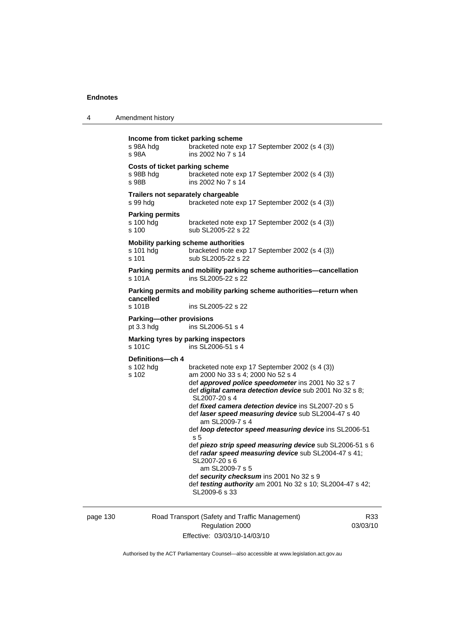| 4 | Amendment history |
|---|-------------------|
|---|-------------------|

```
Income from ticket parking scheme 
s 98A hdg bracketed note exp 17 September 2002 (s 4 (3)) 
s 98A ins 2002 No 7 s 14 
Costs of ticket parking scheme 
s 98B hdg bracketed note exp 17 September 2002 (s 4 (3)) 
s 98B ins 2002 No 7 s 14 
Trailers not separately chargeable 
s 99 hdg bracketed note exp 17 September 2002 (s 4 (3)) 
Parking permits 
s 100 hdg bracketed note exp 17 September 2002 (s 4 (3)) 
s 100 sub SL2005-22 s 22
Mobility parking scheme authorities 
                 bracketed note exp 17 September 2002 (s 4 (3))
s 101 sub SL2005-22 s 22
Parking permits and mobility parking scheme authorities—cancellation 
s 101A ins SL2005-22 s 22
Parking permits and mobility parking scheme authorities—return when 
cancelled 
s 101B ins SL2005-22 s 22 
Parking—other provisions 
pt 3.3 hdg ins SL2006-51 s 4 
Marking tyres by parking inspectors 
s 101C ins SL2006-51 s 4 
Definitions—ch 4 
                 bracketed note exp 17 September 2002 (s 4 (3))
s 102 am 2000 No 33 s 4; 2000 No 52 s 4 
                  def approved police speedometer ins 2001 No 32 s 7 
                  def digital camera detection device sub 2001 No 32 s 8; 
                  SL2007-20 s 4 
                  def fixed camera detection device ins SL2007-20 s 5 
                  def laser speed measuring device sub SL2004-47 s 40 
                     am SL2009-7 s 4 
                  def loop detector speed measuring device ins SL2006-51 
                  s 5 
                  def piezo strip speed measuring device sub SL2006-51 s 6 
                  def radar speed measuring device sub SL2004-47 s 41; 
                  SL2007-20 s 6 
                     am SL2009-7 s 5 
                  def security checksum ins 2001 No 32 s 9 
                 def testing authority am 2001 No 32 s 10; SL2004-47 s 42; 
                  SL2009-6 s 33
```
page 130 Road Transport (Safety and Traffic Management) Regulation 2000 Effective: 03/03/10-14/03/10

R33 03/03/10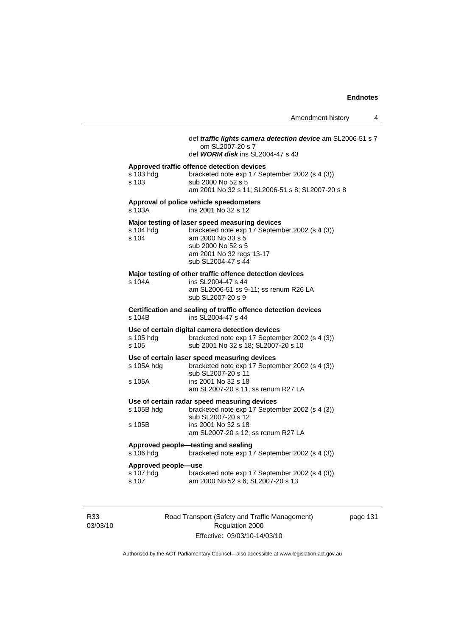Amendment history 4

 def *traffic lights camera detection device* am SL2006-51 s 7 om SL2007-20 s 7 def *WORM disk* ins SL2004-47 s 43 **Approved traffic offence detection devices**  s 103 hdg bracketed note exp 17 September 2002 (s 4 (3)) s 103 sub 2000 No 52 s 5 am 2001 No 32 s 11; SL2006-51 s 8; SL2007-20 s 8 **Approval of police vehicle speedometers**  s 103A ins 2001 No 32 s 12 **Major testing of laser speed measuring devices**  s 104 hdg bracketed note exp 17 September 2002 (s 4 (3))<br>s 104 am 2000 No 33 s 5 am 2000 No 33 s 5 sub 2000 No 52 s 5 am 2001 No 32 regs 13-17 sub SL2004-47 s 44 **Major testing of other traffic offence detection devices**  s 104A ins SL2004-47 s 44 am SL2006-51 ss 9-11; ss renum R26 LA sub SL2007-20 s 9 **Certification and sealing of traffic offence detection devices**  s 104B ins SL2004-47 s 44 **Use of certain digital camera detection devices**  bracketed note exp 17 September 2002 (s 4 (3)) s 105 sub 2001 No 32 s 18; SL2007-20 s 10 **Use of certain laser speed measuring devices**  s 105A hdg bracketed note exp 17 September 2002 (s 4 (3)) sub SL2007-20 s 11 s 105A ins 2001 No 32 s 18 am SL2007-20 s 11; ss renum R27 LA **Use of certain radar speed measuring devices**  bracketed note exp 17 September 2002 (s 4 (3)) sub SL2007-20 s 12 s 105B ins 2001 No 32 s 18 am SL2007-20 s 12; ss renum R27 LA **Approved people—testing and sealing**  s 106 hdg bracketed note exp 17 September 2002 (s 4 (3)) **Approved people—use**  bracketed note exp 17 September 2002 (s 4 (3)) s 107 am 2000 No 52 s 6; SL2007-20 s 13

R33 03/03/10 Road Transport (Safety and Traffic Management) Regulation 2000 Effective: 03/03/10-14/03/10

page 131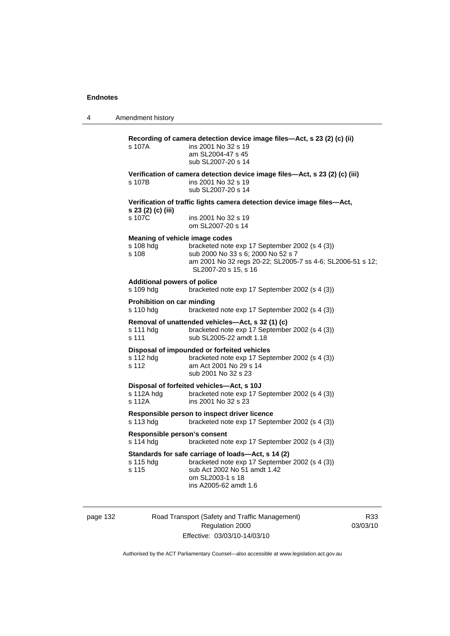4 Amendment history

|                                                                                               | Recording of camera detection device image files-Act, s 23 (2) (c) (ii)                                                                                  |  |
|-----------------------------------------------------------------------------------------------|----------------------------------------------------------------------------------------------------------------------------------------------------------|--|
| s 107A                                                                                        | ins 2001 No 32 s 19<br>am SL2004-47 s 45<br>sub SL2007-20 s 14                                                                                           |  |
|                                                                                               | Verification of camera detection device image files-Act, s 23 (2) (c) (iii)                                                                              |  |
| s 107B                                                                                        | ins 2001 No 32 s 19<br>sub SL2007-20 s 14                                                                                                                |  |
| Verification of traffic lights camera detection device image files-Act,<br>s 23 (2) (c) (iii) |                                                                                                                                                          |  |
| s 107C                                                                                        | ins 2001 No 32 s 19<br>om SL2007-20 s 14                                                                                                                 |  |
| Meaning of vehicle image codes                                                                |                                                                                                                                                          |  |
| s 108 hdg                                                                                     | bracketed note exp 17 September 2002 (s 4 (3))                                                                                                           |  |
| s 108                                                                                         | sub 2000 No 33 s 6; 2000 No 52 s 7<br>am 2001 No 32 regs 20-22; SL2005-7 ss 4-6; SL2006-51 s 12;<br>SL2007-20 s 15, s 16                                 |  |
| <b>Additional powers of police</b>                                                            |                                                                                                                                                          |  |
| s 109 hdg                                                                                     | bracketed note exp 17 September 2002 (s 4 (3))                                                                                                           |  |
| Prohibition on car minding<br>s 110 hdg                                                       | bracketed note exp 17 September 2002 (s 4 (3))                                                                                                           |  |
|                                                                                               | Removal of unattended vehicles-Act, s 32 (1) (c)                                                                                                         |  |
| s 111 hdg<br>s 111                                                                            | bracketed note exp 17 September 2002 (s 4 (3))<br>sub SL2005-22 amdt 1.18                                                                                |  |
|                                                                                               | Disposal of impounded or forfeited vehicles                                                                                                              |  |
| s 112 hdg<br>s 112                                                                            | bracketed note exp 17 September 2002 (s 4 (3))<br>am Act 2001 No 29 s 14<br>sub 2001 No 32 s 23                                                          |  |
|                                                                                               | Disposal of forfeited vehicles-Act, s 10J                                                                                                                |  |
| s 112A hdg<br>s 112A                                                                          | bracketed note exp 17 September 2002 (s 4 (3))<br>ins 2001 No 32 s 23                                                                                    |  |
|                                                                                               | Responsible person to inspect driver licence                                                                                                             |  |
| s 113 hdg                                                                                     | bracketed note exp 17 September 2002 (s 4 (3))                                                                                                           |  |
| Responsible person's consent                                                                  |                                                                                                                                                          |  |
| s 114 hdg                                                                                     | bracketed note exp 17 September 2002 (s 4 (3))                                                                                                           |  |
| s 115 hdg<br>s 115                                                                            | Standards for safe carriage of loads-Act, s 14 (2)<br>bracketed note exp 17 September 2002 (s 4 (3))<br>sub Act 2002 No 51 amdt 1.42<br>om SL2003-1 s 18 |  |
|                                                                                               | ins A2005-62 amdt 1.6                                                                                                                                    |  |

page 132 Road Transport (Safety and Traffic Management) Regulation 2000 Effective: 03/03/10-14/03/10

R33 03/03/10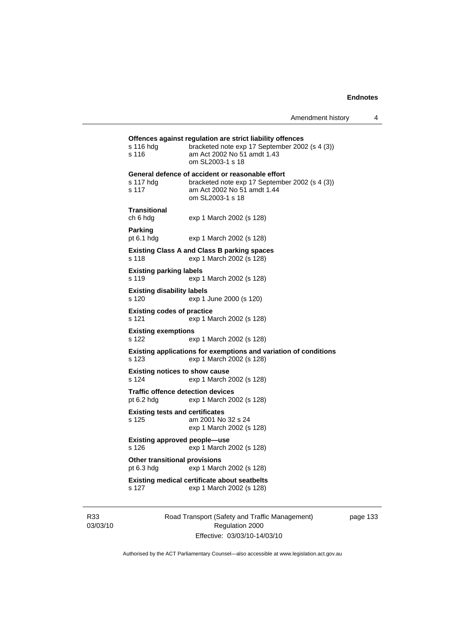|                                                        | Offences against regulation are strict liability offences                                                                                             |
|--------------------------------------------------------|-------------------------------------------------------------------------------------------------------------------------------------------------------|
| s 116 hdg<br>s 116                                     | bracketed note exp 17 September 2002 (s 4 (3))<br>am Act 2002 No 51 amdt 1.43<br>om SL2003-1 s 18                                                     |
| s 117 hdg<br>s 117                                     | General defence of accident or reasonable effort<br>bracketed note exp 17 September 2002 (s 4 (3))<br>am Act 2002 No 51 amdt 1.44<br>om SL2003-1 s 18 |
| <b>Transitional</b><br>ch 6 hdg                        | exp 1 March 2002 (s 128)                                                                                                                              |
| Parking<br>pt 6.1 hdg                                  | exp 1 March 2002 (s 128)                                                                                                                              |
| s 118                                                  | <b>Existing Class A and Class B parking spaces</b><br>exp 1 March 2002 (s 128)                                                                        |
| <b>Existing parking labels</b><br>s 119                | exp 1 March 2002 (s 128)                                                                                                                              |
| <b>Existing disability labels</b><br>s 120             | exp 1 June 2000 (s 120)                                                                                                                               |
| <b>Existing codes of practice</b><br>s 121             | exp 1 March 2002 (s 128)                                                                                                                              |
| <b>Existing exemptions</b><br>s 122                    | exp 1 March 2002 (s 128)                                                                                                                              |
| s 123                                                  | Existing applications for exemptions and variation of conditions<br>exp 1 March 2002 (s 128)                                                          |
| <b>Existing notices to show cause</b><br>s 124         | exp 1 March 2002 (s 128)                                                                                                                              |
| <b>Traffic offence detection devices</b><br>pt 6.2 hdg | exp 1 March 2002 (s 128)                                                                                                                              |
| <b>Existing tests and certificates</b><br>s 125        | am 2001 No 32 s 24<br>exp 1 March 2002 (s 128)                                                                                                        |
| <b>Existing approved people-use</b><br>s 126           | exp 1 March 2002 (s 128)                                                                                                                              |
| <b>Other transitional provisions</b><br>pt 6.3 hdg     | exp 1 March 2002 (s 128)                                                                                                                              |
| s 127                                                  | <b>Existing medical certificate about seatbelts</b><br>exp 1 March 2002 (s 128)                                                                       |

R33 03/03/10 Road Transport (Safety and Traffic Management) Regulation 2000 Effective: 03/03/10-14/03/10

page 133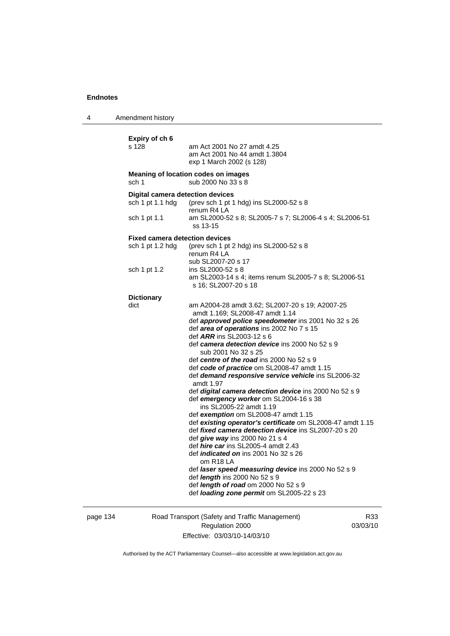4 Amendment history

| Expiry of ch 6                          |                                                                                          |
|-----------------------------------------|------------------------------------------------------------------------------------------|
| s 128                                   | am Act 2001 No 27 amdt 4.25<br>am Act 2001 No 44 amdt 1.3804<br>exp 1 March 2002 (s 128) |
| sch 1                                   | Meaning of location codes on images<br>sub 2000 No 33 s 8                                |
| <b>Digital camera detection devices</b> |                                                                                          |
| sch 1 pt 1.1 hdg                        | (prev sch 1 pt 1 hdg) ins SL2000-52 s 8                                                  |
| sch 1 pt 1.1                            | renum R4 LA<br>am SL2000-52 s 8; SL2005-7 s 7; SL2006-4 s 4; SL2006-51<br>ss 13-15       |
| <b>Fixed camera detection devices</b>   |                                                                                          |
| sch 1 pt 1.2 hdg                        | (prev sch 1 pt 2 hdg) ins SL2000-52 s 8<br>renum R4 LA                                   |
|                                         | sub SL2007-20 s 17                                                                       |
| sch 1 pt 1.2                            | ins SL2000-52 s 8                                                                        |
|                                         | am SL2003-14 s 4; items renum SL2005-7 s 8; SL2006-51<br>s 16; SL2007-20 s 18            |
| <b>Dictionary</b>                       |                                                                                          |
| dict                                    | am A2004-28 amdt 3.62; SL2007-20 s 19; A2007-25<br>amdt 1.169; SL2008-47 amdt 1.14       |
|                                         | def approved police speedometer ins 2001 No 32 s 26                                      |
|                                         | def area of operations ins 2002 No 7 s 15                                                |
|                                         | def ARR ins SL2003-12 s 6<br>def camera detection device ins 2000 No 52 s 9              |
|                                         | sub 2001 No 32 s 25                                                                      |
|                                         | def centre of the road ins 2000 No 52 s 9                                                |
|                                         | def code of practice om SL2008-47 amdt 1.15                                              |
|                                         | def demand responsive service vehicle ins SL2006-32<br>amdt 1.97                         |
|                                         | def digital camera detection device ins 2000 No 52 s 9                                   |
|                                         | def emergency worker om SL2004-16 s 38                                                   |
|                                         | ins SL2005-22 amdt 1.19<br>def exemption om SL2008-47 amdt 1.15                          |
|                                         | def existing operator's certificate om SL2008-47 amdt 1.15                               |
|                                         | def <i>fixed camera detection device</i> ins SL2007-20 s 20                              |
|                                         | def give way ins 2000 No 21 s 4                                                          |
|                                         | def <i>hire car</i> ins SL2005-4 amdt 2.43                                               |
|                                         | def <i>indicated on</i> ins 2001 No 32 s 26<br>om R18 LA                                 |
|                                         | def laser speed measuring device ins 2000 No 52 s 9                                      |
|                                         | def <i>length</i> ins 2000 No 52 s 9                                                     |
|                                         | def length of road om 2000 No 52 s 9<br>def loading zone permit om SL2005-22 s 23        |
|                                         |                                                                                          |
|                                         |                                                                                          |

page 134 Road Transport (Safety and Traffic Management) Regulation 2000 Effective: 03/03/10-14/03/10

R33 03/03/10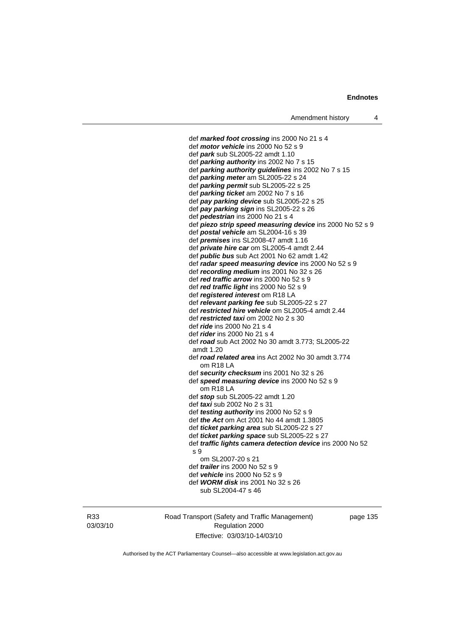def *marked foot crossing* ins 2000 No 21 s 4 def *motor vehicle* ins 2000 No 52 s 9 def *park* sub SL2005-22 amdt 1.10 def *parking authority* ins 2002 No 7 s 15 def *parking authority guidelines* ins 2002 No 7 s 15 def *parking meter* am SL2005-22 s 24 def *parking permit* sub SL2005-22 s 25 def *parking ticket* am 2002 No 7 s 16 def *pay parking device* sub SL2005-22 s 25 def *pay parking sign* ins SL2005-22 s 26 def *pedestrian* ins 2000 No 21 s 4 def *piezo strip speed measuring device* ins 2000 No 52 s 9 def *postal vehicle* am SL2004-16 s 39 def *premises* ins SL2008-47 amdt 1.16 def *private hire car* om SL2005-4 amdt 2.44 def *public bus* sub Act 2001 No 62 amdt 1.42 def *radar speed measuring device* ins 2000 No 52 s 9 def *recording medium* ins 2001 No 32 s 26 def *red traffic arrow* ins 2000 No 52 s 9 def *red traffic light* ins 2000 No 52 s 9 def *registered interest* om R18 LA def *relevant parking fee* sub SL2005-22 s 27 def *restricted hire vehicle* om SL2005-4 amdt 2.44 def *restricted taxi* om 2002 No 2 s 30 def *ride* ins 2000 No 21 s 4 def *rider* ins 2000 No 21 s 4 def *road* sub Act 2002 No 30 amdt 3.773; SL2005-22 amdt 1.20 def *road related area* ins Act 2002 No 30 amdt 3.774 om R18 LA def *security checksum* ins 2001 No 32 s 26 def *speed measuring device* ins 2000 No 52 s 9 om R18 LA def *stop* sub SL2005-22 amdt 1.20 def *taxi* sub 2002 No 2 s 31 def *testing authority* ins 2000 No 52 s 9 def *the Act* om Act 2001 No 44 amdt 1.3805 def *ticket parking area* sub SL2005-22 s 27 def *ticket parking space* sub SL2005-22 s 27 def *traffic lights camera detection device* ins 2000 No 52 s 9 om SL2007-20 s 21 def *trailer* ins 2000 No 52 s 9 def *vehicle* ins 2000 No 52 s 9 def *WORM disk* ins 2001 No 32 s 26 sub SL2004-47 s 46

R33 03/03/10 Road Transport (Safety and Traffic Management) Regulation 2000 Effective: 03/03/10-14/03/10

page 135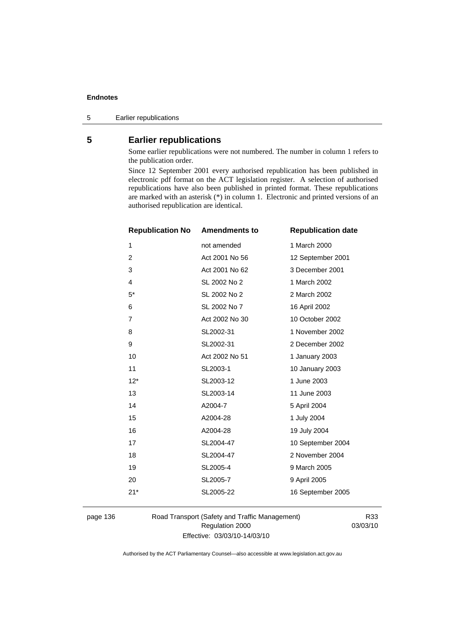5 Earlier republications

# **5 Earlier republications**

Some earlier republications were not numbered. The number in column 1 refers to the publication order.

Since 12 September 2001 every authorised republication has been published in electronic pdf format on the ACT legislation register. A selection of authorised republications have also been published in printed format. These republications are marked with an asterisk (\*) in column 1. Electronic and printed versions of an authorised republication are identical.

| <b>Republication No</b> | <b>Amendments to</b> | <b>Republication date</b> |
|-------------------------|----------------------|---------------------------|
| 1                       | not amended          | 1 March 2000              |
| $\overline{2}$          | Act 2001 No 56       | 12 September 2001         |
| 3                       | Act 2001 No 62       | 3 December 2001           |
| 4                       | SL 2002 No 2         | 1 March 2002              |
| $5^*$                   | SL 2002 No 2         | 2 March 2002              |
| 6                       | SL 2002 No 7         | 16 April 2002             |
| $\overline{7}$          | Act 2002 No 30       | 10 October 2002           |
| 8                       | SL2002-31            | 1 November 2002           |
| 9                       | SL2002-31            | 2 December 2002           |
| 10                      | Act 2002 No 51       | 1 January 2003            |
| 11                      | SL2003-1             | 10 January 2003           |
| $12*$                   | SL2003-12            | 1 June 2003               |
| 13                      | SL2003-14            | 11 June 2003              |
| 14                      | A2004-7              | 5 April 2004              |
| 15                      | A2004-28             | 1 July 2004               |
| 16                      | A2004-28             | 19 July 2004              |
| 17                      | SL2004-47            | 10 September 2004         |
| 18                      | SL2004-47            | 2 November 2004           |
| 19                      | SL2005-4             | 9 March 2005              |
| 20                      | SL2005-7             | 9 April 2005              |
| $21*$                   | SL2005-22            | 16 September 2005         |
|                         |                      |                           |

page 136 Road Transport (Safety and Traffic Management) Regulation 2000 Effective: 03/03/10-14/03/10

R33 03/03/10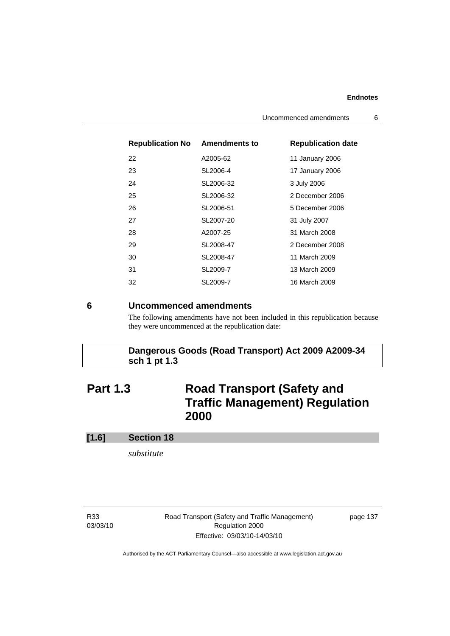| <b>Republication No Amendments to</b> |           | <b>Republication date</b> |  |
|---------------------------------------|-----------|---------------------------|--|
| 22                                    | A2005-62  | 11 January 2006           |  |
| 23                                    | SL2006-4  | 17 January 2006           |  |
| 24                                    | SL2006-32 | 3 July 2006               |  |
| 25                                    | SL2006-32 | 2 December 2006           |  |
| 26                                    | SL2006-51 | 5 December 2006           |  |
| 27                                    | SL2007-20 | 31 July 2007              |  |
| 28                                    | A2007-25  | 31 March 2008             |  |
| 29                                    | SL2008-47 | 2 December 2008           |  |
| 30                                    | SL2008-47 | 11 March 2009             |  |
| 31                                    | SL2009-7  | 13 March 2009             |  |
| 32                                    | SL2009-7  | 16 March 2009             |  |

### **6 Uncommenced amendments**

The following amendments have not been included in this republication because they were uncommenced at the republication date:

# **Dangerous Goods (Road Transport) Act 2009 A2009-34 sch 1 pt 1.3**

# **Part 1.3** Road Transport (Safety and **Traffic Management) Regulation 2000**

## **[1.6] Section 18**

*substitute* 

R33 03/03/10 Road Transport (Safety and Traffic Management) Regulation 2000 Effective: 03/03/10-14/03/10

page 137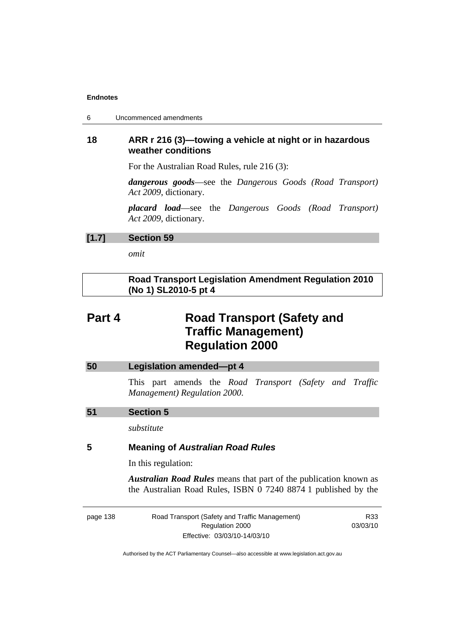| 6 | Uncommenced amendments |
|---|------------------------|
|---|------------------------|

# **18 ARR r 216 (3)—towing a vehicle at night or in hazardous weather conditions**

For the Australian Road Rules, rule 216 (3):

*dangerous goods*—see the *Dangerous Goods (Road Transport) Act 2009*, dictionary.

*placard load*—see the *Dangerous Goods (Road Transport) Act 2009*, dictionary.

## **[1.7] Section 59**

*omit* 

# **Road Transport Legislation Amendment Regulation 2010 (No 1) SL2010-5 pt 4**

# **Part 4** Road Transport (Safety and **Traffic Management) Regulation 2000**

| 50 | <b>Legislation amended-pt 4</b>                                                                                                            |
|----|--------------------------------------------------------------------------------------------------------------------------------------------|
|    | This part amends the Road Transport (Safety and Traffic<br>Management) Regulation 2000.                                                    |
| 51 | <b>Section 5</b>                                                                                                                           |
|    | substitute                                                                                                                                 |
| 5  | <b>Meaning of Australian Road Rules</b>                                                                                                    |
|    | In this regulation:                                                                                                                        |
|    | <b>Australian Road Rules</b> means that part of the publication known as<br>the Australian Road Rules, ISBN 0 7240 8874 1 published by the |
|    |                                                                                                                                            |

page 138 Road Transport (Safety and Traffic Management) Regulation 2000 Effective: 03/03/10-14/03/10

R33 03/03/10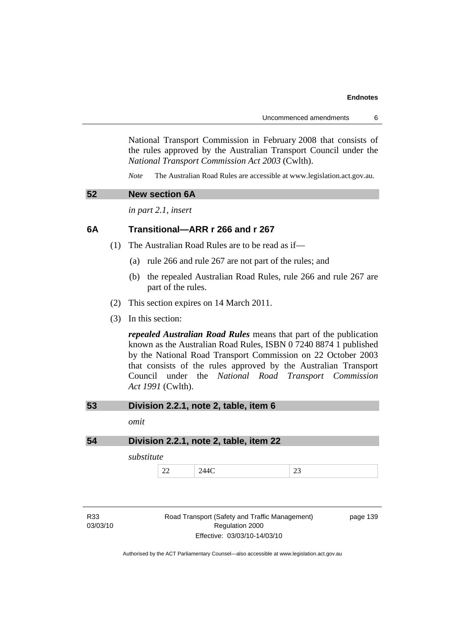National Transport Commission in February 2008 that consists of the rules approved by the Australian Transport Council under the *National Transport Commission Act 2003* (Cwlth).

*Note* The Australian Road Rules are accessible at www.legislation.act.gov.au.

# **52 New section 6A**

*in part 2.1, insert* 

## **6A Transitional—ARR r 266 and r 267**

- (1) The Australian Road Rules are to be read as if—
	- (a) rule 266 and rule 267 are not part of the rules; and
	- (b) the repealed Australian Road Rules, rule 266 and rule 267 are part of the rules.
- (2) This section expires on 14 March 2011.
- (3) In this section:

*repealed Australian Road Rules* means that part of the publication known as the Australian Road Rules, ISBN 0 7240 8874 1 published by the National Road Transport Commission on 22 October 2003 that consists of the rules approved by the Australian Transport Council under the *National Road Transport Commission Act 1991* (Cwlth).

| 53 |  | Division 2.2.1, note 2, table, item 6 |  |  |
|----|--|---------------------------------------|--|--|
|----|--|---------------------------------------|--|--|

*omit* 

**54 Division 2.2.1, note 2, table, item 22** 

*substitute* 

22 244C 23

R33 03/03/10 Road Transport (Safety and Traffic Management) Regulation 2000 Effective: 03/03/10-14/03/10

page 139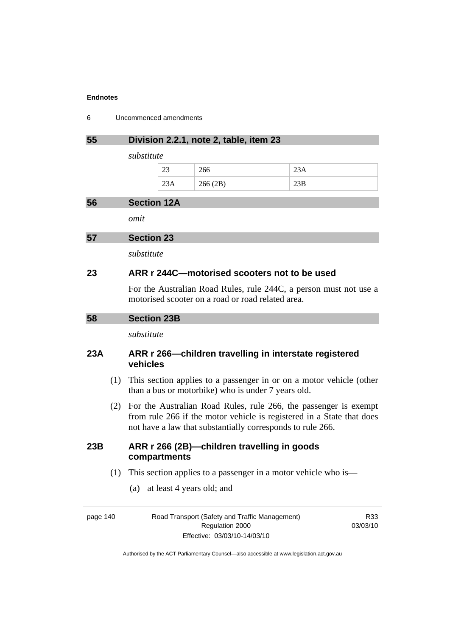| 6 | Uncommenced amendments |  |
|---|------------------------|--|
|---|------------------------|--|

## **55 Division 2.2.1, note 2, table, item 23**

*substitute* 

| n n<br>رے | 266     |     |
|-----------|---------|-----|
| د د ب     | 266(2B) | ں ت |

### **56 Section 12A**

*omit* 

**57 Section 23** 

*substitute* 

## **23 ARR r 244C—motorised scooters not to be used**

For the Australian Road Rules, rule 244C, a person must not use a motorised scooter on a road or road related area.

*substitute* 

# **23A ARR r 266—children travelling in interstate registered vehicles**

- (1) This section applies to a passenger in or on a motor vehicle (other than a bus or motorbike) who is under 7 years old.
- (2) For the Australian Road Rules, rule 266, the passenger is exempt from rule 266 if the motor vehicle is registered in a State that does not have a law that substantially corresponds to rule 266.

# **23B ARR r 266 (2B)—children travelling in goods compartments**

- (1) This section applies to a passenger in a motor vehicle who is—
	- (a) at least 4 years old; and

page 140 Road Transport (Safety and Traffic Management) Regulation 2000 Effective: 03/03/10-14/03/10

R33 03/03/10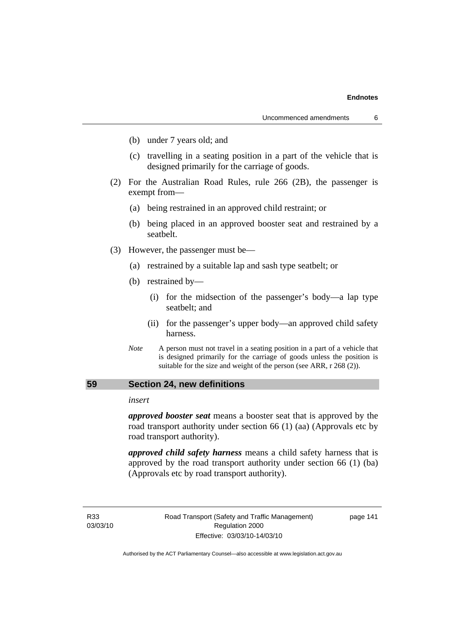- (b) under 7 years old; and
- (c) travelling in a seating position in a part of the vehicle that is designed primarily for the carriage of goods.
- (2) For the Australian Road Rules, rule 266 (2B), the passenger is exempt from—
	- (a) being restrained in an approved child restraint; or
	- (b) being placed in an approved booster seat and restrained by a seatbelt.
- (3) However, the passenger must be—
	- (a) restrained by a suitable lap and sash type seatbelt; or
	- (b) restrained by—
		- (i) for the midsection of the passenger's body—a lap type seatbelt; and
		- (ii) for the passenger's upper body—an approved child safety harness.
	- *Note* A person must not travel in a seating position in a part of a vehicle that is designed primarily for the carriage of goods unless the position is suitable for the size and weight of the person (see ARR, r 268 (2)).

## **59 Section 24, new definitions**

## *insert*

*approved booster seat* means a booster seat that is approved by the road transport authority under section 66 (1) (aa) (Approvals etc by road transport authority).

*approved child safety harness* means a child safety harness that is approved by the road transport authority under section 66 (1) (ba) (Approvals etc by road transport authority).

R33 03/03/10 Road Transport (Safety and Traffic Management) Regulation 2000 Effective: 03/03/10-14/03/10

page 141